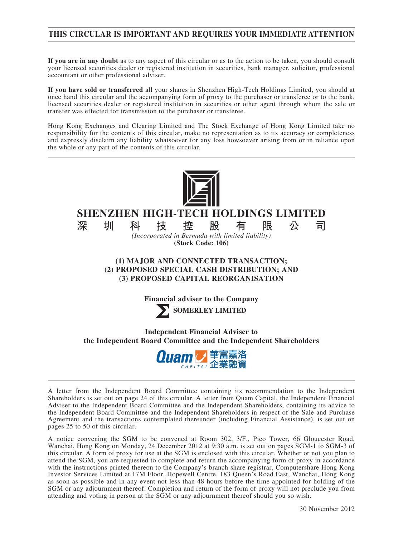## **THIS CIRCULAR IS IMPORTANT AND REQUIRES YOUR IMMEDIATE ATTENTION**

**If you are in any doubt** as to any aspect of this circular or as to the action to be taken, you should consult your licensed securities dealer or registered institution in securities, bank manager, solicitor, professional accountant or other professional adviser.

**If you have sold or transferred** all your shares in Shenzhen High-Tech Holdings Limited, you should at once hand this circular and the accompanying form of proxy to the purchaser or transferee or to the bank, licensed securities dealer or registered institution in securities or other agent through whom the sale or transfer was effected for transmission to the purchaser or transferee.

Hong Kong Exchanges and Clearing Limited and The Stock Exchange of Hong Kong Limited take no responsibility for the contents of this circular, make no representation as to its accuracy or completeness and expressly disclaim any liability whatsoever for any loss howsoever arising from or in reliance upon the whole or any part of the contents of this circular.



# **SHENZHEN HIGH-TECH HOLDINGS LIMITED**

**深圳科技控股有限公司** *(Incorporated in Bermuda with limited liability)* **(Stock Code: 106)**

### **(1) MAJOR AND CONNECTED TRANSACTION; (2) PROPOSED SPECIAL CASH DISTRIBUTION; AND (3) PROPOSED CAPITAL REORGANISATION**

**Financial adviser to the Company**

**SOMERLEY LIMITED**

**Independent Financial Adviser to the Independent Board Committee and the Independent Shareholders**



A letter from the Independent Board Committee containing its recommendation to the Independent Shareholders is set out on page 24 of this circular. A letter from Quam Capital, the Independent Financial Adviser to the Independent Board Committee and the Independent Shareholders, containing its advice to the Independent Board Committee and the Independent Shareholders in respect of the Sale and Purchase Agreement and the transactions contemplated thereunder (including Financial Assistance), is set out on pages 25 to 50 of this circular.

A notice convening the SGM to be convened at Room 302, 3/F., Pico Tower, 66 Gloucester Road, Wanchai, Hong Kong on Monday, 24 December 2012 at 9:30 a.m. is set out on pages SGM-1 to SGM-3 of this circular. A form of proxy for use at the SGM is enclosed with this circular. Whether or not you plan to attend the SGM, you are requested to complete and return the accompanying form of proxy in accordance with the instructions printed thereon to the Company's branch share registrar, Computershare Hong Kong Investor Services Limited at 17M Floor, Hopewell Centre, 183 Queen's Road East, Wanchai, Hong Kong as soon as possible and in any event not less than 48 hours before the time appointed for holding of the SGM or any adjournment thereof. Completion and return of the form of proxy will not preclude you from attending and voting in person at the SGM or any adjournment thereof should you so wish.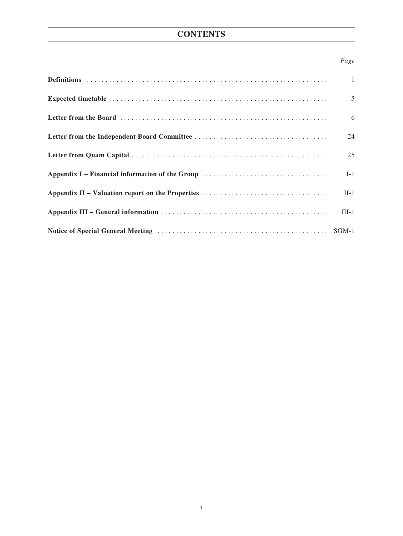# **CONTENTS**

### *Page*

| $\overline{1}$ |
|----------------|
| $\overline{5}$ |
| 6              |
| 24             |
| 25             |
| $I-1$          |
| $II-1$         |
| $III-1$        |
|                |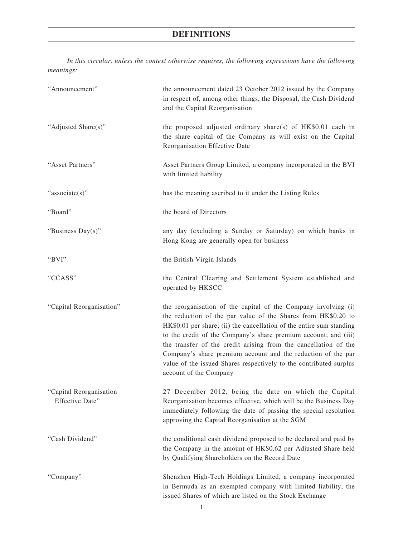*In this circular, unless the context otherwise requires, the following expressions have the following meanings:*

| "Announcement"                             | the announcement dated 23 October 2012 issued by the Company<br>in respect of, among other things, the Disposal, the Cash Dividend<br>and the Capital Reorganisation                                                                                                                                                                                                                                                                                                                                          |
|--------------------------------------------|---------------------------------------------------------------------------------------------------------------------------------------------------------------------------------------------------------------------------------------------------------------------------------------------------------------------------------------------------------------------------------------------------------------------------------------------------------------------------------------------------------------|
| "Adjusted Share(s)"                        | the proposed adjusted ordinary share(s) of HK\$0.01 each in<br>the share capital of the Company as will exist on the Capital<br>Reorganisation Effective Date                                                                                                                                                                                                                                                                                                                                                 |
| "Asset Partners"                           | Asset Partners Group Limited, a company incorporated in the BVI<br>with limited liability                                                                                                                                                                                                                                                                                                                                                                                                                     |
| "associate(s)"                             | has the meaning ascribed to it under the Listing Rules                                                                                                                                                                                                                                                                                                                                                                                                                                                        |
| "Board"                                    | the board of Directors                                                                                                                                                                                                                                                                                                                                                                                                                                                                                        |
| "Business Day(s)"                          | any day (excluding a Sunday or Saturday) on which banks in<br>Hong Kong are generally open for business                                                                                                                                                                                                                                                                                                                                                                                                       |
| "BVI"                                      | the British Virgin Islands                                                                                                                                                                                                                                                                                                                                                                                                                                                                                    |
| "CCASS"                                    | the Central Clearing and Settlement System established and<br>operated by HKSCC                                                                                                                                                                                                                                                                                                                                                                                                                               |
| "Capital Reorganisation"                   | the reorganisation of the capital of the Company involving (i)<br>the reduction of the par value of the Shares from HK\$0.20 to<br>HK\$0.01 per share; (ii) the cancellation of the entire sum standing<br>to the credit of the Company's share premium account; and (iii)<br>the transfer of the credit arising from the cancellation of the<br>Company's share premium account and the reduction of the par<br>value of the issued Shares respectively to the contributed surplus<br>account of the Company |
| "Capital Reorganisation<br>Effective Date" | 27 December 2012, being the date on which the Capital<br>Reorganisation becomes effective, which will be the Business Day<br>immediately following the date of passing the special resolution<br>approving the Capital Reorganisation at the SGM                                                                                                                                                                                                                                                              |
| "Cash Dividend"                            | the conditional cash dividend proposed to be declared and paid by<br>the Company in the amount of HK\$0.62 per Adjusted Share held<br>by Qualifying Shareholders on the Record Date                                                                                                                                                                                                                                                                                                                           |
| "Company"                                  | Shenzhen High-Tech Holdings Limited, a company incorporated<br>in Bermuda as an exempted company with limited liability, the<br>issued Shares of which are listed on the Stock Exchange                                                                                                                                                                                                                                                                                                                       |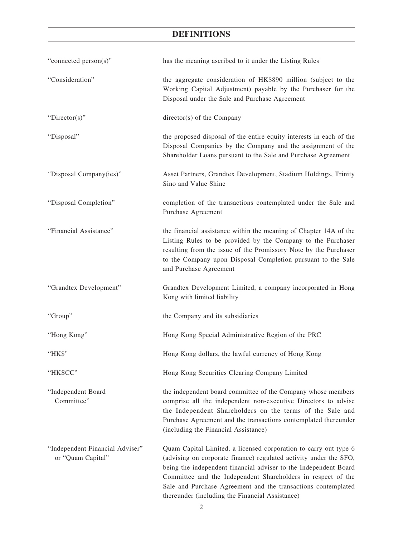| "connected person(s)"                                | has the meaning ascribed to it under the Listing Rules                                                                                                                                                                                                                                                                                                                                        |
|------------------------------------------------------|-----------------------------------------------------------------------------------------------------------------------------------------------------------------------------------------------------------------------------------------------------------------------------------------------------------------------------------------------------------------------------------------------|
| "Consideration"                                      | the aggregate consideration of HK\$890 million (subject to the<br>Working Capital Adjustment) payable by the Purchaser for the<br>Disposal under the Sale and Purchase Agreement                                                                                                                                                                                                              |
| " $Directory$ "                                      | director(s) of the Company                                                                                                                                                                                                                                                                                                                                                                    |
| "Disposal"                                           | the proposed disposal of the entire equity interests in each of the<br>Disposal Companies by the Company and the assignment of the<br>Shareholder Loans pursuant to the Sale and Purchase Agreement                                                                                                                                                                                           |
| "Disposal Company(ies)"                              | Asset Partners, Grandtex Development, Stadium Holdings, Trinity<br>Sino and Value Shine                                                                                                                                                                                                                                                                                                       |
| "Disposal Completion"                                | completion of the transactions contemplated under the Sale and<br>Purchase Agreement                                                                                                                                                                                                                                                                                                          |
| "Financial Assistance"                               | the financial assistance within the meaning of Chapter 14A of the<br>Listing Rules to be provided by the Company to the Purchaser<br>resulting from the issue of the Promissory Note by the Purchaser<br>to the Company upon Disposal Completion pursuant to the Sale<br>and Purchase Agreement                                                                                               |
| "Grandtex Development"                               | Grandtex Development Limited, a company incorporated in Hong<br>Kong with limited liability                                                                                                                                                                                                                                                                                                   |
| "Group"                                              | the Company and its subsidiaries                                                                                                                                                                                                                                                                                                                                                              |
| "Hong Kong"                                          | Hong Kong Special Administrative Region of the PRC                                                                                                                                                                                                                                                                                                                                            |
| "HK\$"                                               | Hong Kong dollars, the lawful currency of Hong Kong                                                                                                                                                                                                                                                                                                                                           |
| "HKSCC"                                              | Hong Kong Securities Clearing Company Limited                                                                                                                                                                                                                                                                                                                                                 |
| "Independent Board<br>Committee"                     | the independent board committee of the Company whose members<br>comprise all the independent non-executive Directors to advise<br>the Independent Shareholders on the terms of the Sale and<br>Purchase Agreement and the transactions contemplated thereunder<br>(including the Financial Assistance)                                                                                        |
| "Independent Financial Adviser"<br>or "Quam Capital" | Quam Capital Limited, a licensed corporation to carry out type 6<br>(advising on corporate finance) regulated activity under the SFO,<br>being the independent financial adviser to the Independent Board<br>Committee and the Independent Shareholders in respect of the<br>Sale and Purchase Agreement and the transactions contemplated<br>thereunder (including the Financial Assistance) |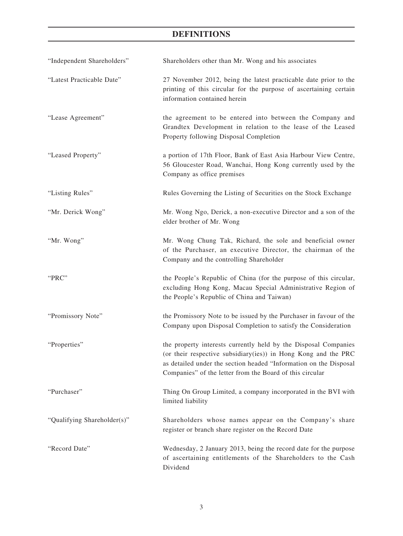| "Independent Shareholders"  | Shareholders other than Mr. Wong and his associates                                                                                                                                                                                                                |
|-----------------------------|--------------------------------------------------------------------------------------------------------------------------------------------------------------------------------------------------------------------------------------------------------------------|
| "Latest Practicable Date"   | 27 November 2012, being the latest practicable date prior to the<br>printing of this circular for the purpose of ascertaining certain<br>information contained herein                                                                                              |
| "Lease Agreement"           | the agreement to be entered into between the Company and<br>Grandtex Development in relation to the lease of the Leased<br>Property following Disposal Completion                                                                                                  |
| "Leased Property"           | a portion of 17th Floor, Bank of East Asia Harbour View Centre,<br>56 Gloucester Road, Wanchai, Hong Kong currently used by the<br>Company as office premises                                                                                                      |
| "Listing Rules"             | Rules Governing the Listing of Securities on the Stock Exchange                                                                                                                                                                                                    |
| "Mr. Derick Wong"           | Mr. Wong Ngo, Derick, a non-executive Director and a son of the<br>elder brother of Mr. Wong                                                                                                                                                                       |
| "Mr. Wong"                  | Mr. Wong Chung Tak, Richard, the sole and beneficial owner<br>of the Purchaser, an executive Director, the chairman of the<br>Company and the controlling Shareholder                                                                                              |
| "PRC"                       | the People's Republic of China (for the purpose of this circular,<br>excluding Hong Kong, Macau Special Administrative Region of<br>the People's Republic of China and Taiwan)                                                                                     |
| "Promissory Note"           | the Promissory Note to be issued by the Purchaser in favour of the<br>Company upon Disposal Completion to satisfy the Consideration                                                                                                                                |
| "Properties"                | the property interests currently held by the Disposal Companies<br>(or their respective subsidiary(ies)) in Hong Kong and the PRC<br>as detailed under the section headed "Information on the Disposal<br>Companies" of the letter from the Board of this circular |
| "Purchaser"                 | Thing On Group Limited, a company incorporated in the BVI with<br>limited liability                                                                                                                                                                                |
| "Qualifying Shareholder(s)" | Shareholders whose names appear on the Company's share<br>register or branch share register on the Record Date                                                                                                                                                     |
| "Record Date"               | Wednesday, 2 January 2013, being the record date for the purpose<br>of ascertaining entitlements of the Shareholders to the Cash<br>Dividend                                                                                                                       |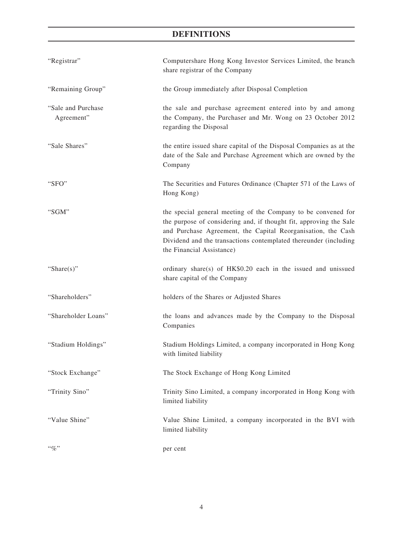| "Registrar"                      | Computershare Hong Kong Investor Services Limited, the branch<br>share registrar of the Company                                                                                                                                                                                                      |
|----------------------------------|------------------------------------------------------------------------------------------------------------------------------------------------------------------------------------------------------------------------------------------------------------------------------------------------------|
| "Remaining Group"                | the Group immediately after Disposal Completion                                                                                                                                                                                                                                                      |
| "Sale and Purchase<br>Agreement" | the sale and purchase agreement entered into by and among<br>the Company, the Purchaser and Mr. Wong on 23 October 2012<br>regarding the Disposal                                                                                                                                                    |
| "Sale Shares"                    | the entire issued share capital of the Disposal Companies as at the<br>date of the Sale and Purchase Agreement which are owned by the<br>Company                                                                                                                                                     |
| "SFO"                            | The Securities and Futures Ordinance (Chapter 571 of the Laws of<br>Hong Kong)                                                                                                                                                                                                                       |
| "SGM"                            | the special general meeting of the Company to be convened for<br>the purpose of considering and, if thought fit, approving the Sale<br>and Purchase Agreement, the Capital Reorganisation, the Cash<br>Dividend and the transactions contemplated thereunder (including<br>the Financial Assistance) |
| "Share $(s)$ "                   | ordinary share(s) of HK\$0.20 each in the issued and unissued<br>share capital of the Company                                                                                                                                                                                                        |
| "Shareholders"                   | holders of the Shares or Adjusted Shares                                                                                                                                                                                                                                                             |
| "Shareholder Loans"              | the loans and advances made by the Company to the Disposal<br>Companies                                                                                                                                                                                                                              |
| "Stadium Holdings"               | Stadium Holdings Limited, a company incorporated in Hong Kong<br>with limited liability                                                                                                                                                                                                              |
| "Stock Exchange"                 | The Stock Exchange of Hong Kong Limited                                                                                                                                                                                                                                                              |
| "Trinity Sino"                   | Trinity Sino Limited, a company incorporated in Hong Kong with<br>limited liability                                                                                                                                                                                                                  |
| "Value Shine"                    | Value Shine Limited, a company incorporated in the BVI with<br>limited liability                                                                                                                                                                                                                     |
| $``\%"$                          | per cent                                                                                                                                                                                                                                                                                             |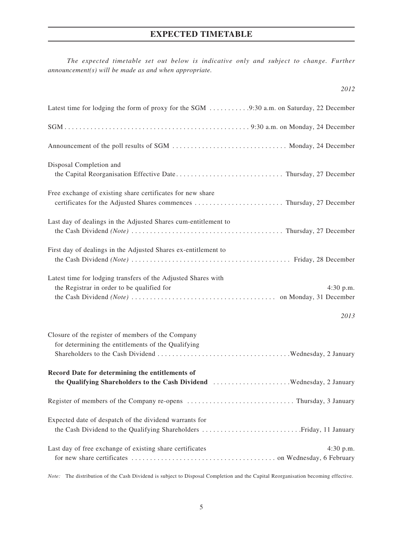## **EXPECTED TIMETABLE**

*The expected timetable set out below is indicative only and subject to change. Further announcement(s) will be made as and when appropriate.*

| Disposal Completion and                                        |
|----------------------------------------------------------------|
| Free exchange of existing share certificates for new share     |
| Last day of dealings in the Adjusted Shares cum-entitlement to |
| First day of dealings in the Adjusted Shares ex-entitlement to |
| Latest time for lodging transfers of the Adjusted Shares with  |

the Registrar in order to be qualified for  $4:30 \text{ p.m.}$ the Cash Dividend *(Note)* . . on Monday, 31 December

#### *2013*

*2012*

| Closure of the register of members of the Company                       |  |
|-------------------------------------------------------------------------|--|
| for determining the entitlements of the Qualifying                      |  |
|                                                                         |  |
| Record Date for determining the entitlements of                         |  |
|                                                                         |  |
|                                                                         |  |
| Expected date of despatch of the dividend warrants for                  |  |
|                                                                         |  |
| Last day of free exchange of existing share certificates<br>$4:30$ p.m. |  |
|                                                                         |  |

*Note:* The distribution of the Cash Dividend is subject to Disposal Completion and the Capital Reorganisation becoming effective.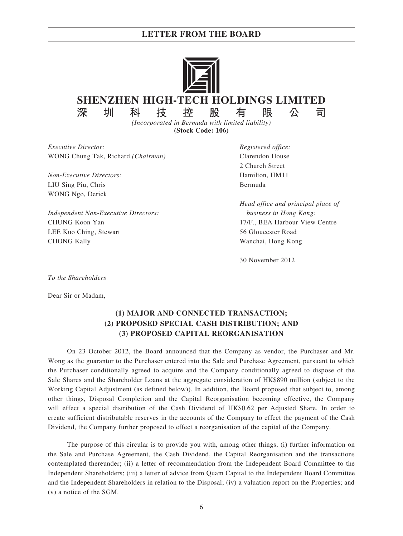

**(Stock Code: 106)**

*Executive Director: Registered office:* WONG Chung Tak, Richard *(Chairman)* Clarendon House

*Non-Executive Directors:* Hamilton, HM11 LIU Sing Piu, Chris Bermuda WONG Ngo, Derick

*Independent Non-Executive Directors: business in Hong Kong:* CHUNG Koon Yan 17/F., BEA Harbour View Centre LEE Kuo Ching, Stewart 56 Gloucester Road CHONG Kally Wanchai, Hong Kong

2 Church Street

*Head office and principal place of*

30 November 2012

*To the Shareholders*

Dear Sir or Madam,

### **(1) MAJOR AND CONNECTED TRANSACTION; (2) PROPOSED SPECIAL CASH DISTRIBUTION; AND (3) PROPOSED CAPITAL REORGANISATION**

On 23 October 2012, the Board announced that the Company as vendor, the Purchaser and Mr. Wong as the guarantor to the Purchaser entered into the Sale and Purchase Agreement, pursuant to which the Purchaser conditionally agreed to acquire and the Company conditionally agreed to dispose of the Sale Shares and the Shareholder Loans at the aggregate consideration of HK\$890 million (subject to the Working Capital Adjustment (as defined below)). In addition, the Board proposed that subject to, among other things, Disposal Completion and the Capital Reorganisation becoming effective, the Company will effect a special distribution of the Cash Dividend of HK\$0.62 per Adjusted Share. In order to create sufficient distributable reserves in the accounts of the Company to effect the payment of the Cash Dividend, the Company further proposed to effect a reorganisation of the capital of the Company.

The purpose of this circular is to provide you with, among other things, (i) further information on the Sale and Purchase Agreement, the Cash Dividend, the Capital Reorganisation and the transactions contemplated thereunder; (ii) a letter of recommendation from the Independent Board Committee to the Independent Shareholders; (iii) a letter of advice from Quam Capital to the Independent Board Committee and the Independent Shareholders in relation to the Disposal; (iv) a valuation report on the Properties; and (v) a notice of the SGM.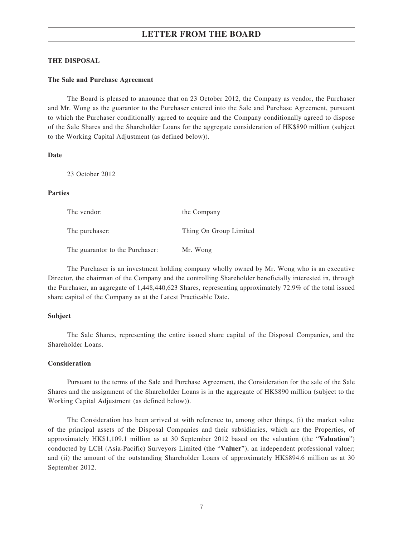#### **THE DISPOSAL**

#### **The Sale and Purchase Agreement**

The Board is pleased to announce that on 23 October 2012, the Company as vendor, the Purchaser and Mr. Wong as the guarantor to the Purchaser entered into the Sale and Purchase Agreement, pursuant to which the Purchaser conditionally agreed to acquire and the Company conditionally agreed to dispose of the Sale Shares and the Shareholder Loans for the aggregate consideration of HK\$890 million (subject to the Working Capital Adjustment (as defined below)).

**Date**

23 October 2012

#### **Parties**

| The vendor:                     | the Company            |
|---------------------------------|------------------------|
| The purchaser:                  | Thing On Group Limited |
| The guarantor to the Purchaser: | Mr. Wong               |

The Purchaser is an investment holding company wholly owned by Mr. Wong who is an executive Director, the chairman of the Company and the controlling Shareholder beneficially interested in, through the Purchaser, an aggregate of 1,448,440,623 Shares, representing approximately 72.9% of the total issued share capital of the Company as at the Latest Practicable Date.

#### **Subject**

The Sale Shares, representing the entire issued share capital of the Disposal Companies, and the Shareholder Loans.

#### **Consideration**

Pursuant to the terms of the Sale and Purchase Agreement, the Consideration for the sale of the Sale Shares and the assignment of the Shareholder Loans is in the aggregate of HK\$890 million (subject to the Working Capital Adjustment (as defined below)).

The Consideration has been arrived at with reference to, among other things, (i) the market value of the principal assets of the Disposal Companies and their subsidiaries, which are the Properties, of approximately HK\$1,109.1 million as at 30 September 2012 based on the valuation (the "**Valuation**") conducted by LCH (Asia-Pacific) Surveyors Limited (the "**Valuer**"), an independent professional valuer; and (ii) the amount of the outstanding Shareholder Loans of approximately HK\$894.6 million as at 30 September 2012.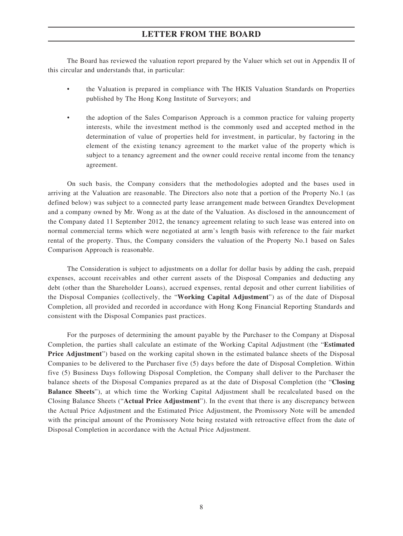The Board has reviewed the valuation report prepared by the Valuer which set out in Appendix II of this circular and understands that, in particular:

- the Valuation is prepared in compliance with The HKIS Valuation Standards on Properties published by The Hong Kong Institute of Surveyors; and
- the adoption of the Sales Comparison Approach is a common practice for valuing property interests, while the investment method is the commonly used and accepted method in the determination of value of properties held for investment, in particular, by factoring in the element of the existing tenancy agreement to the market value of the property which is subject to a tenancy agreement and the owner could receive rental income from the tenancy agreement.

On such basis, the Company considers that the methodologies adopted and the bases used in arriving at the Valuation are reasonable. The Directors also note that a portion of the Property No.1 (as defined below) was subject to a connected party lease arrangement made between Grandtex Development and a company owned by Mr. Wong as at the date of the Valuation. As disclosed in the announcement of the Company dated 11 September 2012, the tenancy agreement relating to such lease was entered into on normal commercial terms which were negotiated at arm's length basis with reference to the fair market rental of the property. Thus, the Company considers the valuation of the Property No.1 based on Sales Comparison Approach is reasonable.

The Consideration is subject to adjustments on a dollar for dollar basis by adding the cash, prepaid expenses, account receivables and other current assets of the Disposal Companies and deducting any debt (other than the Shareholder Loans), accrued expenses, rental deposit and other current liabilities of the Disposal Companies (collectively, the "**Working Capital Adjustment**") as of the date of Disposal Completion, all provided and recorded in accordance with Hong Kong Financial Reporting Standards and consistent with the Disposal Companies past practices.

For the purposes of determining the amount payable by the Purchaser to the Company at Disposal Completion, the parties shall calculate an estimate of the Working Capital Adjustment (the "**Estimated Price Adjustment**") based on the working capital shown in the estimated balance sheets of the Disposal Companies to be delivered to the Purchaser five (5) days before the date of Disposal Completion. Within five (5) Business Days following Disposal Completion, the Company shall deliver to the Purchaser the balance sheets of the Disposal Companies prepared as at the date of Disposal Completion (the "**Closing Balance Sheets**"), at which time the Working Capital Adjustment shall be recalculated based on the Closing Balance Sheets ("**Actual Price Adjustment**"). In the event that there is any discrepancy between the Actual Price Adjustment and the Estimated Price Adjustment, the Promissory Note will be amended with the principal amount of the Promissory Note being restated with retroactive effect from the date of Disposal Completion in accordance with the Actual Price Adjustment.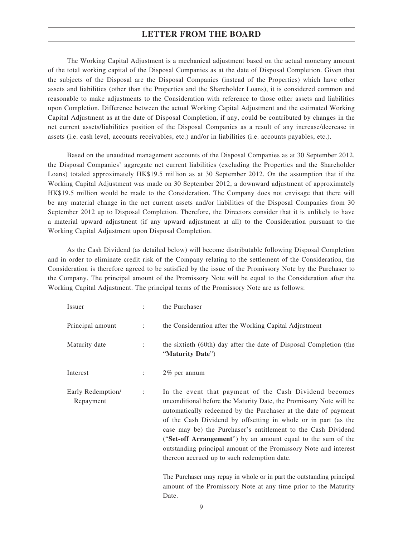The Working Capital Adjustment is a mechanical adjustment based on the actual monetary amount of the total working capital of the Disposal Companies as at the date of Disposal Completion. Given that the subjects of the Disposal are the Disposal Companies (instead of the Properties) which have other assets and liabilities (other than the Properties and the Shareholder Loans), it is considered common and reasonable to make adjustments to the Consideration with reference to those other assets and liabilities upon Completion. Difference between the actual Working Capital Adjustment and the estimated Working Capital Adjustment as at the date of Disposal Completion, if any, could be contributed by changes in the net current assets/liabilities position of the Disposal Companies as a result of any increase/decrease in assets (i.e. cash level, accounts receivables, etc.) and/or in liabilities (i.e. accounts payables, etc.).

Based on the unaudited management accounts of the Disposal Companies as at 30 September 2012, the Disposal Companies' aggregate net current liabilities (excluding the Properties and the Shareholder Loans) totaled approximately HK\$19.5 million as at 30 September 2012. On the assumption that if the Working Capital Adjustment was made on 30 September 2012, a downward adjustment of approximately HK\$19.5 million would be made to the Consideration. The Company does not envisage that there will be any material change in the net current assets and/or liabilities of the Disposal Companies from 30 September 2012 up to Disposal Completion. Therefore, the Directors consider that it is unlikely to have a material upward adjustment (if any upward adjustment at all) to the Consideration pursuant to the Working Capital Adjustment upon Disposal Completion.

As the Cash Dividend (as detailed below) will become distributable following Disposal Completion and in order to eliminate credit risk of the Company relating to the settlement of the Consideration, the Consideration is therefore agreed to be satisfied by the issue of the Promissory Note by the Purchaser to the Company. The principal amount of the Promissory Note will be equal to the Consideration after the Working Capital Adjustment. The principal terms of the Promissory Note are as follows:

| Issuer                         |                      | the Purchaser                                                                                                                                                                                                                                                                                                                                                                                                                                                                                                         |
|--------------------------------|----------------------|-----------------------------------------------------------------------------------------------------------------------------------------------------------------------------------------------------------------------------------------------------------------------------------------------------------------------------------------------------------------------------------------------------------------------------------------------------------------------------------------------------------------------|
| Principal amount               | ÷                    | the Consideration after the Working Capital Adjustment                                                                                                                                                                                                                                                                                                                                                                                                                                                                |
| Maturity date                  |                      | the sixtieth (60th) day after the date of Disposal Completion (the<br>"Maturity Date")                                                                                                                                                                                                                                                                                                                                                                                                                                |
| Interest                       |                      | $2\%$ per annum                                                                                                                                                                                                                                                                                                                                                                                                                                                                                                       |
| Early Redemption/<br>Repayment | $\ddot{\phantom{a}}$ | In the event that payment of the Cash Dividend becomes<br>unconditional before the Maturity Date, the Promissory Note will be<br>automatically redeemed by the Purchaser at the date of payment<br>of the Cash Dividend by offsetting in whole or in part (as the<br>case may be) the Purchaser's entitlement to the Cash Dividend<br>("Set-off Arrangement") by an amount equal to the sum of the<br>outstanding principal amount of the Promissory Note and interest<br>thereon accrued up to such redemption date. |
|                                |                      | The Durchaser may repay in whole or in part the outstanding principal                                                                                                                                                                                                                                                                                                                                                                                                                                                 |

The Purchaser may repay in whole or in part the outstanding principal amount of the Promissory Note at any time prior to the Maturity Date.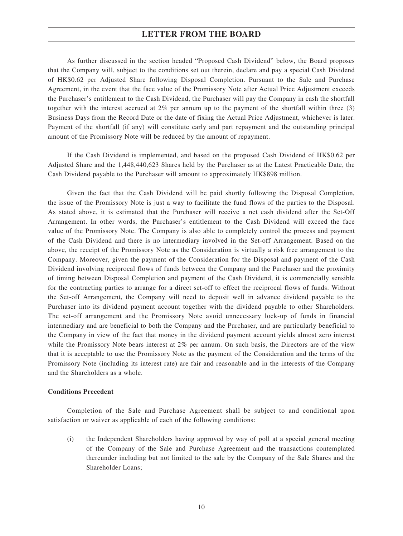As further discussed in the section headed "Proposed Cash Dividend" below, the Board proposes that the Company will, subject to the conditions set out therein, declare and pay a special Cash Dividend of HK\$0.62 per Adjusted Share following Disposal Completion. Pursuant to the Sale and Purchase Agreement, in the event that the face value of the Promissory Note after Actual Price Adjustment exceeds the Purchaser's entitlement to the Cash Dividend, the Purchaser will pay the Company in cash the shortfall together with the interest accrued at 2% per annum up to the payment of the shortfall within three (3) Business Days from the Record Date or the date of fixing the Actual Price Adjustment, whichever is later. Payment of the shortfall (if any) will constitute early and part repayment and the outstanding principal amount of the Promissory Note will be reduced by the amount of repayment.

If the Cash Dividend is implemented, and based on the proposed Cash Dividend of HK\$0.62 per Adjusted Share and the 1,448,440,623 Shares held by the Purchaser as at the Latest Practicable Date, the Cash Dividend payable to the Purchaser will amount to approximately HK\$898 million.

Given the fact that the Cash Dividend will be paid shortly following the Disposal Completion, the issue of the Promissory Note is just a way to facilitate the fund flows of the parties to the Disposal. As stated above, it is estimated that the Purchaser will receive a net cash dividend after the Set-Off Arrangement. In other words, the Purchaser's entitlement to the Cash Dividend will exceed the face value of the Promissory Note. The Company is also able to completely control the process and payment of the Cash Dividend and there is no intermediary involved in the Set-off Arrangement. Based on the above, the receipt of the Promissory Note as the Consideration is virtually a risk free arrangement to the Company. Moreover, given the payment of the Consideration for the Disposal and payment of the Cash Dividend involving reciprocal flows of funds between the Company and the Purchaser and the proximity of timing between Disposal Completion and payment of the Cash Dividend, it is commercially sensible for the contracting parties to arrange for a direct set-off to effect the reciprocal flows of funds. Without the Set-off Arrangement, the Company will need to deposit well in advance dividend payable to the Purchaser into its dividend payment account together with the dividend payable to other Shareholders. The set-off arrangement and the Promissory Note avoid unnecessary lock-up of funds in financial intermediary and are beneficial to both the Company and the Purchaser, and are particularly beneficial to the Company in view of the fact that money in the dividend payment account yields almost zero interest while the Promissory Note bears interest at 2% per annum. On such basis, the Directors are of the view that it is acceptable to use the Promissory Note as the payment of the Consideration and the terms of the Promissory Note (including its interest rate) are fair and reasonable and in the interests of the Company and the Shareholders as a whole.

#### **Conditions Precedent**

Completion of the Sale and Purchase Agreement shall be subject to and conditional upon satisfaction or waiver as applicable of each of the following conditions:

(i) the Independent Shareholders having approved by way of poll at a special general meeting of the Company of the Sale and Purchase Agreement and the transactions contemplated thereunder including but not limited to the sale by the Company of the Sale Shares and the Shareholder Loans;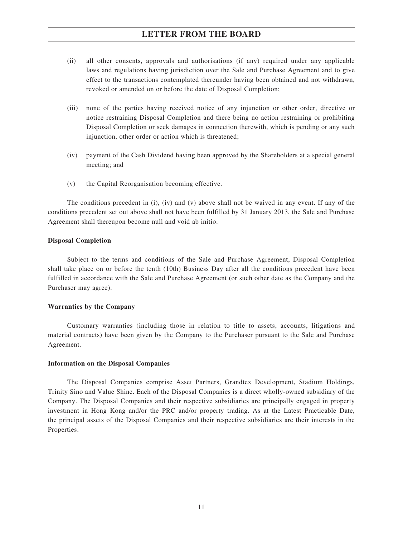- (ii) all other consents, approvals and authorisations (if any) required under any applicable laws and regulations having jurisdiction over the Sale and Purchase Agreement and to give effect to the transactions contemplated thereunder having been obtained and not withdrawn, revoked or amended on or before the date of Disposal Completion;
- (iii) none of the parties having received notice of any injunction or other order, directive or notice restraining Disposal Completion and there being no action restraining or prohibiting Disposal Completion or seek damages in connection therewith, which is pending or any such injunction, other order or action which is threatened;
- (iv) payment of the Cash Dividend having been approved by the Shareholders at a special general meeting; and
- (v) the Capital Reorganisation becoming effective.

The conditions precedent in (i), (iv) and (v) above shall not be waived in any event. If any of the conditions precedent set out above shall not have been fulfilled by 31 January 2013, the Sale and Purchase Agreement shall thereupon become null and void ab initio.

#### **Disposal Completion**

Subject to the terms and conditions of the Sale and Purchase Agreement, Disposal Completion shall take place on or before the tenth (10th) Business Day after all the conditions precedent have been fulfilled in accordance with the Sale and Purchase Agreement (or such other date as the Company and the Purchaser may agree).

#### **Warranties by the Company**

Customary warranties (including those in relation to title to assets, accounts, litigations and material contracts) have been given by the Company to the Purchaser pursuant to the Sale and Purchase Agreement.

#### **Information on the Disposal Companies**

The Disposal Companies comprise Asset Partners, Grandtex Development, Stadium Holdings, Trinity Sino and Value Shine. Each of the Disposal Companies is a direct wholly-owned subsidiary of the Company. The Disposal Companies and their respective subsidiaries are principally engaged in property investment in Hong Kong and/or the PRC and/or property trading. As at the Latest Practicable Date, the principal assets of the Disposal Companies and their respective subsidiaries are their interests in the Properties.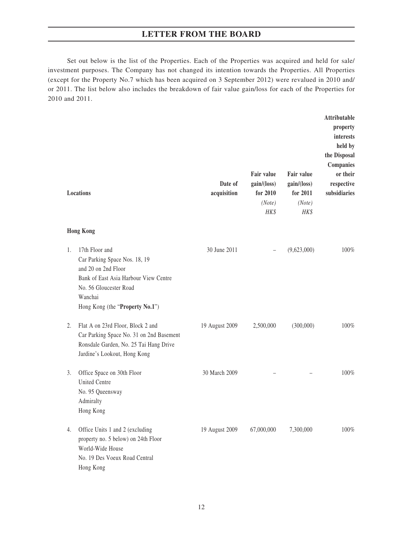Set out below is the list of the Properties. Each of the Properties was acquired and held for sale/ investment purposes. The Company has not changed its intention towards the Properties. All Properties (except for the Property No.7 which has been acquired on 3 September 2012) were revalued in 2010 and/ or 2011. The list below also includes the breakdown of fair value gain/loss for each of the Properties for 2010 and 2011.

|    | Locations                                                                                                                                                                               | Date of<br>acquisition | Fair value<br>gain/(loss)<br>for 2010<br>(Note)<br>HK\$ | Fair value<br>gain/(loss)<br>for 2011<br>(Note)<br>HK\$ | Attributable<br>property<br>interests<br>held by<br>the Disposal<br><b>Companies</b><br>or their<br>respective<br>subsidiaries |
|----|-----------------------------------------------------------------------------------------------------------------------------------------------------------------------------------------|------------------------|---------------------------------------------------------|---------------------------------------------------------|--------------------------------------------------------------------------------------------------------------------------------|
|    | <b>Hong Kong</b>                                                                                                                                                                        |                        |                                                         |                                                         |                                                                                                                                |
| 1. | 17th Floor and<br>Car Parking Space Nos. 18, 19<br>and 20 on 2nd Floor<br>Bank of East Asia Harbour View Centre<br>No. 56 Gloucester Road<br>Wanchai<br>Hong Kong (the "Property No.1") | 30 June 2011           |                                                         | (9,623,000)                                             | 100%                                                                                                                           |
| 2. | Flat A on 23rd Floor, Block 2 and<br>Car Parking Space No. 31 on 2nd Basement<br>Ronsdale Garden, No. 25 Tai Hang Drive<br>Jardine's Lookout, Hong Kong                                 | 19 August 2009         | 2,500,000                                               | (300,000)                                               | 100%                                                                                                                           |
| 3. | Office Space on 30th Floor<br><b>United Centre</b><br>No. 95 Queensway<br>Admiralty<br>Hong Kong                                                                                        | 30 March 2009          |                                                         |                                                         | 100%                                                                                                                           |
| 4. | Office Units 1 and 2 (excluding<br>property no. 5 below) on 24th Floor<br>World-Wide House<br>No. 19 Des Voeux Road Central<br>Hong Kong                                                | 19 August 2009         | 67,000,000                                              | 7,300,000                                               | 100%                                                                                                                           |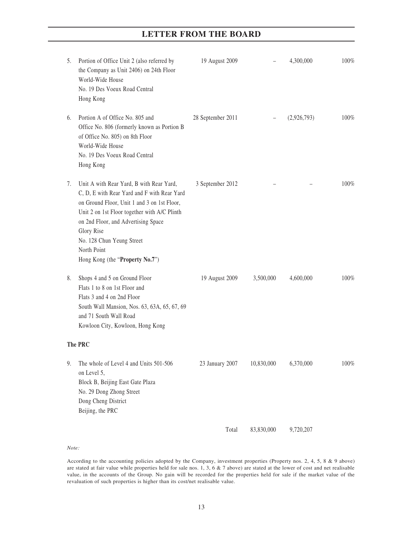| 5. | Portion of Office Unit 2 (also referred by<br>the Company as Unit 2406) on 24th Floor<br>World-Wide House<br>No. 19 Des Voeux Road Central<br>Hong Kong                                                                                                                                                                    | 19 August 2009    |            | 4,300,000   | 100%    |
|----|----------------------------------------------------------------------------------------------------------------------------------------------------------------------------------------------------------------------------------------------------------------------------------------------------------------------------|-------------------|------------|-------------|---------|
| 6. | Portion A of Office No. 805 and<br>Office No. 806 (formerly known as Portion B<br>of Office No. 805) on 8th Floor<br>World-Wide House<br>No. 19 Des Voeux Road Central<br>Hong Kong                                                                                                                                        | 28 September 2011 |            | (2,926,793) | 100%    |
| 7. | Unit A with Rear Yard, B with Rear Yard,<br>C, D, E with Rear Yard and F with Rear Yard<br>on Ground Floor, Unit 1 and 3 on 1st Floor,<br>Unit 2 on 1st Floor together with A/C Plinth<br>on 2nd Floor, and Advertising Space<br>Glory Rise<br>No. 128 Chun Yeung Street<br>North Point<br>Hong Kong (the "Property No.7") | 3 September 2012  |            |             | $100\%$ |
| 8. | Shops 4 and 5 on Ground Floor<br>Flats 1 to 8 on 1st Floor and<br>Flats 3 and 4 on 2nd Floor<br>South Wall Mansion, Nos. 63, 63A, 65, 67, 69<br>and 71 South Wall Road<br>Kowloon City, Kowloon, Hong Kong                                                                                                                 | 19 August 2009    | 3,500,000  | 4,600,000   | $100\%$ |
|    | The PRC                                                                                                                                                                                                                                                                                                                    |                   |            |             |         |
| 9. | The whole of Level 4 and Units 501-506<br>on Level 5,<br>Block B, Beijing East Gate Plaza<br>No. 29 Dong Zhong Street<br>Dong Cheng District<br>Beijing, the PRC                                                                                                                                                           | 23 January 2007   | 10,830,000 | 6,370,000   | 100%    |
|    |                                                                                                                                                                                                                                                                                                                            | Total             | 83,830,000 | 9,720,207   |         |

*Note:*

According to the accounting policies adopted by the Company, investment properties (Property nos. 2, 4, 5, 8 & 9 above) are stated at fair value while properties held for sale nos. 1, 3, 6 & 7 above) are stated at the lower of cost and net realisable value, in the accounts of the Group. No gain will be recorded for the properties held for sale if the market value of the revaluation of such properties is higher than its cost/net realisable value.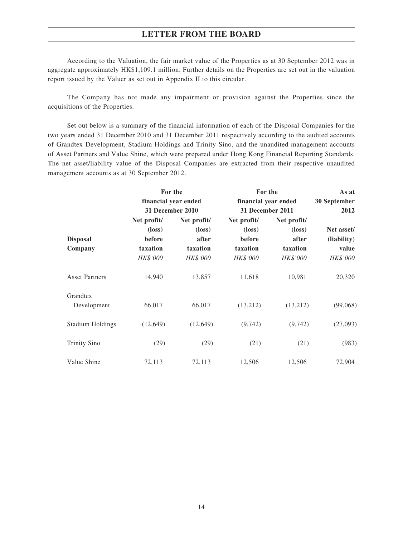According to the Valuation, the fair market value of the Properties as at 30 September 2012 was in aggregate approximately HK\$1,109.1 million. Further details on the Properties are set out in the valuation report issued by the Valuer as set out in Appendix II to this circular.

The Company has not made any impairment or provision against the Properties since the acquisitions of the Properties.

Set out below is a summary of the financial information of each of the Disposal Companies for the two years ended 31 December 2010 and 31 December 2011 respectively according to the audited accounts of Grandtex Development, Stadium Holdings and Trinity Sino, and the unaudited management accounts of Asset Partners and Value Shine, which were prepared under Hong Kong Financial Reporting Standards. The net asset/liability value of the Disposal Companies are extracted from their respective unaudited management accounts as at 30 September 2012.

|                         | For the              |                 | For the              |                 | As at        |  |
|-------------------------|----------------------|-----------------|----------------------|-----------------|--------------|--|
|                         | financial year ended |                 | financial year ended |                 | 30 September |  |
|                         | 31 December 2010     |                 | 31 December 2011     |                 | 2012         |  |
|                         | Net profit/          | Net profit/     | Net profit/          | Net profit/     |              |  |
|                         | $(\text{loss})$      | $(\text{loss})$ | $(\text{loss})$      | $(\text{loss})$ | Net asset/   |  |
| <b>Disposal</b>         | before               | after           | before               | after           | (liability)  |  |
| Company                 | taxation             | taxation        | taxation             | taxation        | value        |  |
|                         | HK\$'000             | HK\$'000        | HK\$'000             | HK\$'000        | HK\$'000     |  |
| <b>Asset Partners</b>   | 14,940               | 13,857          | 11,618               | 10,981          | 20,320       |  |
| Grandtex                |                      |                 |                      |                 |              |  |
| Development             | 66,017               | 66,017          | (13,212)             | (13,212)        | (99,068)     |  |
| <b>Stadium Holdings</b> | (12, 649)            | (12, 649)       | (9, 742)             | (9,742)         | (27,093)     |  |
| <b>Trinity Sino</b>     | (29)                 | (29)            | (21)                 | (21)            | (983)        |  |
| Value Shine             | 72,113               | 72,113          | 12,506               | 12,506          | 72,904       |  |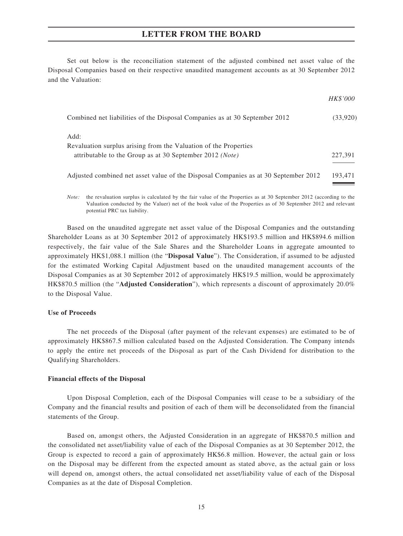Set out below is the reconciliation statement of the adjusted combined net asset value of the Disposal Companies based on their respective unaudited management accounts as at 30 September 2012 and the Valuation:

|                                                                                     | <i>HK\$'000</i> |
|-------------------------------------------------------------------------------------|-----------------|
| Combined net liabilities of the Disposal Companies as at 30 September 2012          | (33,920)        |
| Add:                                                                                |                 |
| Revaluation surplus arising from the Valuation of the Properties                    |                 |
| attributable to the Group as at 30 September 2012 ( <i>Note</i> )                   | 227,391         |
| Adjusted combined net asset value of the Disposal Companies as at 30 September 2012 | 193,471         |

*Note:* the revaluation surplus is calculated by the fair value of the Properties as at 30 September 2012 (according to the Valuation conducted by the Valuer) net of the book value of the Properties as of 30 September 2012 and relevant potential PRC tax liability.

Based on the unaudited aggregate net asset value of the Disposal Companies and the outstanding Shareholder Loans as at 30 September 2012 of approximately HK\$193.5 million and HK\$894.6 million respectively, the fair value of the Sale Shares and the Shareholder Loans in aggregate amounted to approximately HK\$1,088.1 million (the "**Disposal Value**"). The Consideration, if assumed to be adjusted for the estimated Working Capital Adjustment based on the unaudited management accounts of the Disposal Companies as at 30 September 2012 of approximately HK\$19.5 million, would be approximately HK\$870.5 million (the "**Adjusted Consideration**"), which represents a discount of approximately 20.0% to the Disposal Value.

#### **Use of Proceeds**

The net proceeds of the Disposal (after payment of the relevant expenses) are estimated to be of approximately HK\$867.5 million calculated based on the Adjusted Consideration. The Company intends to apply the entire net proceeds of the Disposal as part of the Cash Dividend for distribution to the Qualifying Shareholders.

#### **Financial effects of the Disposal**

Upon Disposal Completion, each of the Disposal Companies will cease to be a subsidiary of the Company and the financial results and position of each of them will be deconsolidated from the financial statements of the Group.

Based on, amongst others, the Adjusted Consideration in an aggregate of HK\$870.5 million and the consolidated net asset/liability value of each of the Disposal Companies as at 30 September 2012, the Group is expected to record a gain of approximately HK\$6.8 million. However, the actual gain or loss on the Disposal may be different from the expected amount as stated above, as the actual gain or loss will depend on, amongst others, the actual consolidated net asset/liability value of each of the Disposal Companies as at the date of Disposal Completion.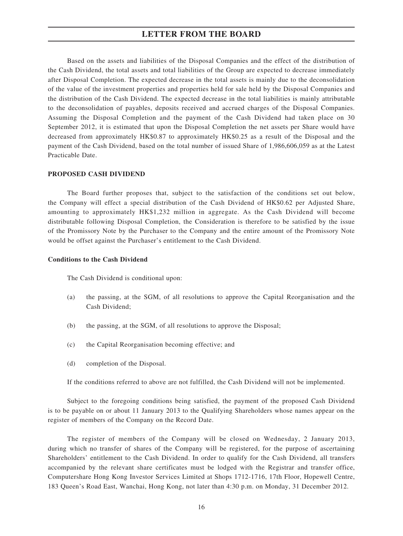Based on the assets and liabilities of the Disposal Companies and the effect of the distribution of the Cash Dividend, the total assets and total liabilities of the Group are expected to decrease immediately after Disposal Completion. The expected decrease in the total assets is mainly due to the deconsolidation of the value of the investment properties and properties held for sale held by the Disposal Companies and the distribution of the Cash Dividend. The expected decrease in the total liabilities is mainly attributable to the deconsolidation of payables, deposits received and accrued charges of the Disposal Companies. Assuming the Disposal Completion and the payment of the Cash Dividend had taken place on 30 September 2012, it is estimated that upon the Disposal Completion the net assets per Share would have decreased from approximately HK\$0.87 to approximately HK\$0.25 as a result of the Disposal and the payment of the Cash Dividend, based on the total number of issued Share of 1,986,606,059 as at the Latest Practicable Date.

#### **PROPOSED CASH DIVIDEND**

The Board further proposes that, subject to the satisfaction of the conditions set out below, the Company will effect a special distribution of the Cash Dividend of HK\$0.62 per Adjusted Share, amounting to approximately HK\$1,232 million in aggregate. As the Cash Dividend will become distributable following Disposal Completion, the Consideration is therefore to be satisfied by the issue of the Promissory Note by the Purchaser to the Company and the entire amount of the Promissory Note would be offset against the Purchaser's entitlement to the Cash Dividend.

#### **Conditions to the Cash Dividend**

The Cash Dividend is conditional upon:

- (a) the passing, at the SGM, of all resolutions to approve the Capital Reorganisation and the Cash Dividend;
- (b) the passing, at the SGM, of all resolutions to approve the Disposal;
- (c) the Capital Reorganisation becoming effective; and
- (d) completion of the Disposal.

If the conditions referred to above are not fulfilled, the Cash Dividend will not be implemented.

Subject to the foregoing conditions being satisfied, the payment of the proposed Cash Dividend is to be payable on or about 11 January 2013 to the Qualifying Shareholders whose names appear on the register of members of the Company on the Record Date.

The register of members of the Company will be closed on Wednesday, 2 January 2013, during which no transfer of shares of the Company will be registered, for the purpose of ascertaining Shareholders' entitlement to the Cash Dividend. In order to qualify for the Cash Dividend, all transfers accompanied by the relevant share certificates must be lodged with the Registrar and transfer office, Computershare Hong Kong Investor Services Limited at Shops 1712-1716, 17th Floor, Hopewell Centre, 183 Queen's Road East, Wanchai, Hong Kong, not later than 4:30 p.m. on Monday, 31 December 2012.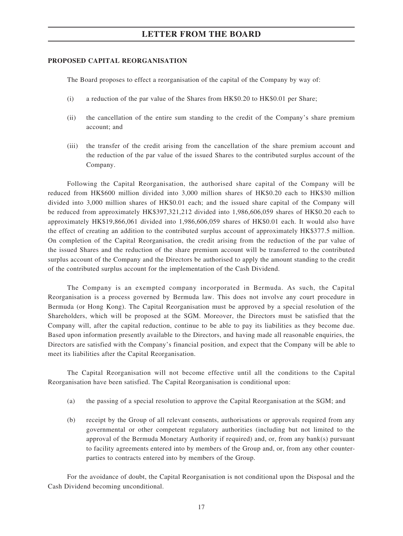#### **PROPOSED CAPITAL REORGANISATION**

The Board proposes to effect a reorganisation of the capital of the Company by way of:

- (i) a reduction of the par value of the Shares from HK\$0.20 to HK\$0.01 per Share;
- (ii) the cancellation of the entire sum standing to the credit of the Company's share premium account; and
- (iii) the transfer of the credit arising from the cancellation of the share premium account and the reduction of the par value of the issued Shares to the contributed surplus account of the Company.

Following the Capital Reorganisation, the authorised share capital of the Company will be reduced from HK\$600 million divided into 3,000 million shares of HK\$0.20 each to HK\$30 million divided into 3,000 million shares of HK\$0.01 each; and the issued share capital of the Company will be reduced from approximately HK\$397,321,212 divided into 1,986,606,059 shares of HK\$0.20 each to approximately HK\$19,866,061 divided into 1,986,606,059 shares of HK\$0.01 each. It would also have the effect of creating an addition to the contributed surplus account of approximately HK\$377.5 million. On completion of the Capital Reorganisation, the credit arising from the reduction of the par value of the issued Shares and the reduction of the share premium account will be transferred to the contributed surplus account of the Company and the Directors be authorised to apply the amount standing to the credit of the contributed surplus account for the implementation of the Cash Dividend.

The Company is an exempted company incorporated in Bermuda. As such, the Capital Reorganisation is a process governed by Bermuda law. This does not involve any court procedure in Bermuda (or Hong Kong). The Capital Reorganisation must be approved by a special resolution of the Shareholders, which will be proposed at the SGM. Moreover, the Directors must be satisfied that the Company will, after the capital reduction, continue to be able to pay its liabilities as they become due. Based upon information presently available to the Directors, and having made all reasonable enquiries, the Directors are satisfied with the Company's financial position, and expect that the Company will be able to meet its liabilities after the Capital Reorganisation.

The Capital Reorganisation will not become effective until all the conditions to the Capital Reorganisation have been satisfied. The Capital Reorganisation is conditional upon:

- (a) the passing of a special resolution to approve the Capital Reorganisation at the SGM; and
- (b) receipt by the Group of all relevant consents, authorisations or approvals required from any governmental or other competent regulatory authorities (including but not limited to the approval of the Bermuda Monetary Authority if required) and, or, from any bank(s) pursuant to facility agreements entered into by members of the Group and, or, from any other counterparties to contracts entered into by members of the Group.

For the avoidance of doubt, the Capital Reorganisation is not conditional upon the Disposal and the Cash Dividend becoming unconditional.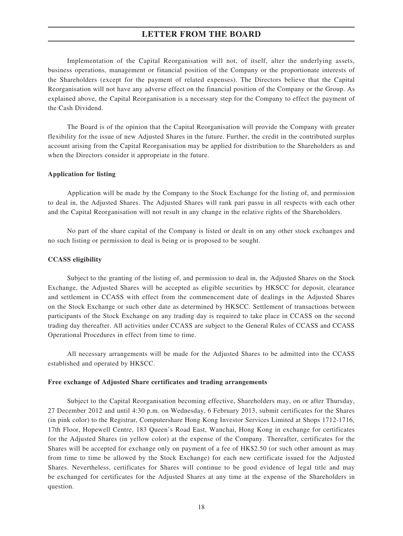Implementation of the Capital Reorganisation will not, of itself, alter the underlying assets, business operations, management or financial position of the Company or the proportionate interests of the Shareholders (except for the payment of related expenses). The Directors believe that the Capital Reorganisation will not have any adverse effect on the financial position of the Company or the Group. As explained above, the Capital Reorganisation is a necessary step for the Company to effect the payment of the Cash Dividend.

The Board is of the opinion that the Capital Reorganisation will provide the Company with greater flexibility for the issue of new Adjusted Shares in the future. Further, the credit in the contributed surplus account arising from the Capital Reorganisation may be applied for distribution to the Shareholders as and when the Directors consider it appropriate in the future.

#### **Application for listing**

Application will be made by the Company to the Stock Exchange for the listing of, and permission to deal in, the Adjusted Shares. The Adjusted Shares will rank pari passu in all respects with each other and the Capital Reorganisation will not result in any change in the relative rights of the Shareholders.

No part of the share capital of the Company is listed or dealt in on any other stock exchanges and no such listing or permission to deal is being or is proposed to be sought.

#### **CCASS eligibility**

Subject to the granting of the listing of, and permission to deal in, the Adjusted Shares on the Stock Exchange, the Adjusted Shares will be accepted as eligible securities by HKSCC for deposit, clearance and settlement in CCASS with effect from the commencement date of dealings in the Adjusted Shares on the Stock Exchange or such other date as determined by HKSCC. Settlement of transactions between participants of the Stock Exchange on any trading day is required to take place in CCASS on the second trading day thereafter. All activities under CCASS are subject to the General Rules of CCASS and CCASS Operational Procedures in effect from time to time.

All necessary arrangements will be made for the Adjusted Shares to be admitted into the CCASS established and operated by HKSCC.

#### **Free exchange of Adjusted Share certificates and trading arrangements**

Subject to the Capital Reorganisation becoming effective, Shareholders may, on or after Thursday, 27 December 2012 and until 4:30 p.m. on Wednesday, 6 February 2013, submit certificates for the Shares (in pink color) to the Registrar, Computershare Hong Kong Investor Services Limited at Shops 1712-1716, 17th Floor, Hopewell Centre, 183 Queen's Road East, Wanchai, Hong Kong in exchange for certificates for the Adjusted Shares (in yellow color) at the expense of the Company. Thereafter, certificates for the Shares will be accepted for exchange only on payment of a fee of HK\$2.50 (or such other amount as may from time to time be allowed by the Stock Exchange) for each new certificate issued for the Adjusted Shares. Nevertheless, certificates for Shares will continue to be good evidence of legal title and may be exchanged for certificates for the Adjusted Shares at any time at the expense of the Shareholders in question.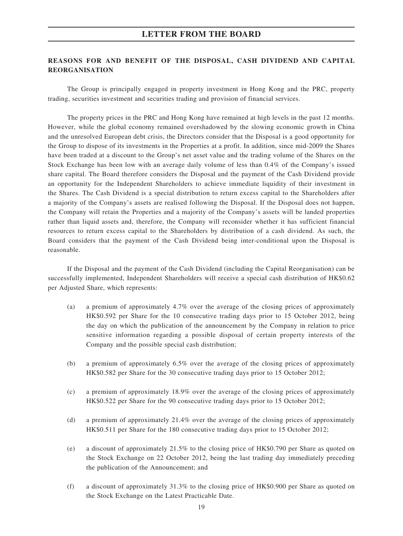### **REASONS FOR AND BENEFIT OF THE DISPOSAL, CASH DIVIDEND AND CAPITAL REORGANISATION**

The Group is principally engaged in property investment in Hong Kong and the PRC, property trading, securities investment and securities trading and provision of financial services.

The property prices in the PRC and Hong Kong have remained at high levels in the past 12 months. However, while the global economy remained overshadowed by the slowing economic growth in China and the unresolved European debt crisis, the Directors consider that the Disposal is a good opportunity for the Group to dispose of its investments in the Properties at a profit. In addition, since mid-2009 the Shares have been traded at a discount to the Group's net asset value and the trading volume of the Shares on the Stock Exchange has been low with an average daily volume of less than 0.4% of the Company's issued share capital. The Board therefore considers the Disposal and the payment of the Cash Dividend provide an opportunity for the Independent Shareholders to achieve immediate liquidity of their investment in the Shares. The Cash Dividend is a special distribution to return excess capital to the Shareholders after a majority of the Company's assets are realised following the Disposal. If the Disposal does not happen, the Company will retain the Properties and a majority of the Company's assets will be landed properties rather than liquid assets and, therefore, the Company will reconsider whether it has sufficient financial resources to return excess capital to the Shareholders by distribution of a cash dividend. As such, the Board considers that the payment of the Cash Dividend being inter-conditional upon the Disposal is reasonable.

If the Disposal and the payment of the Cash Dividend (including the Capital Reorganisation) can be successfully implemented, Independent Shareholders will receive a special cash distribution of HK\$0.62 per Adjusted Share, which represents:

- (a) a premium of approximately 4.7% over the average of the closing prices of approximately HK\$0.592 per Share for the 10 consecutive trading days prior to 15 October 2012, being the day on which the publication of the announcement by the Company in relation to price sensitive information regarding a possible disposal of certain property interests of the Company and the possible special cash distribution;
- (b) a premium of approximately 6.5% over the average of the closing prices of approximately HK\$0.582 per Share for the 30 consecutive trading days prior to 15 October 2012;
- (c) a premium of approximately 18.9% over the average of the closing prices of approximately HK\$0.522 per Share for the 90 consecutive trading days prior to 15 October 2012;
- (d) a premium of approximately 21.4% over the average of the closing prices of approximately HK\$0.511 per Share for the 180 consecutive trading days prior to 15 October 2012;
- (e) a discount of approximately 21.5% to the closing price of HK\$0.790 per Share as quoted on the Stock Exchange on 22 October 2012, being the last trading day immediately preceding the publication of the Announcement; and
- (f) a discount of approximately 31.3% to the closing price of HK\$0.900 per Share as quoted on the Stock Exchange on the Latest Practicable Date.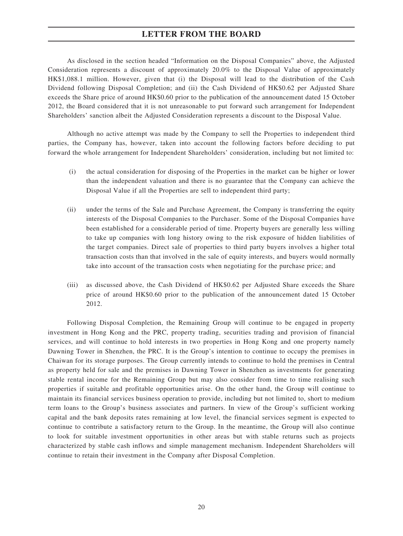As disclosed in the section headed "Information on the Disposal Companies" above, the Adjusted Consideration represents a discount of approximately 20.0% to the Disposal Value of approximately HK\$1,088.1 million. However, given that (i) the Disposal will lead to the distribution of the Cash Dividend following Disposal Completion; and (ii) the Cash Dividend of HK\$0.62 per Adjusted Share exceeds the Share price of around HK\$0.60 prior to the publication of the announcement dated 15 October 2012, the Board considered that it is not unreasonable to put forward such arrangement for Independent Shareholders' sanction albeit the Adjusted Consideration represents a discount to the Disposal Value.

Although no active attempt was made by the Company to sell the Properties to independent third parties, the Company has, however, taken into account the following factors before deciding to put forward the whole arrangement for Independent Shareholders' consideration, including but not limited to:

- (i) the actual consideration for disposing of the Properties in the market can be higher or lower than the independent valuation and there is no guarantee that the Company can achieve the Disposal Value if all the Properties are sell to independent third party;
- (ii) under the terms of the Sale and Purchase Agreement, the Company is transferring the equity interests of the Disposal Companies to the Purchaser. Some of the Disposal Companies have been established for a considerable period of time. Property buyers are generally less willing to take up companies with long history owing to the risk exposure of hidden liabilities of the target companies. Direct sale of properties to third party buyers involves a higher total transaction costs than that involved in the sale of equity interests, and buyers would normally take into account of the transaction costs when negotiating for the purchase price; and
- (iii) as discussed above, the Cash Dividend of HK\$0.62 per Adjusted Share exceeds the Share price of around HK\$0.60 prior to the publication of the announcement dated 15 October 2012.

Following Disposal Completion, the Remaining Group will continue to be engaged in property investment in Hong Kong and the PRC, property trading, securities trading and provision of financial services, and will continue to hold interests in two properties in Hong Kong and one property namely Dawning Tower in Shenzhen, the PRC. It is the Group's intention to continue to occupy the premises in Chaiwan for its storage purposes. The Group currently intends to continue to hold the premises in Central as property held for sale and the premises in Dawning Tower in Shenzhen as investments for generating stable rental income for the Remaining Group but may also consider from time to time realising such properties if suitable and profitable opportunities arise. On the other hand, the Group will continue to maintain its financial services business operation to provide, including but not limited to, short to medium term loans to the Group's business associates and partners. In view of the Group's sufficient working capital and the bank deposits rates remaining at low level, the financial services segment is expected to continue to contribute a satisfactory return to the Group. In the meantime, the Group will also continue to look for suitable investment opportunities in other areas but with stable returns such as projects characterized by stable cash inflows and simple management mechanism. Independent Shareholders will continue to retain their investment in the Company after Disposal Completion.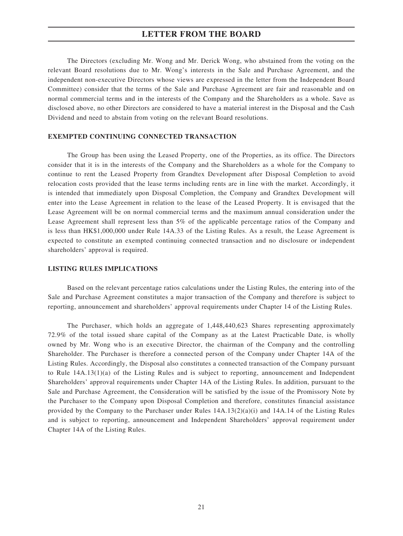The Directors (excluding Mr. Wong and Mr. Derick Wong, who abstained from the voting on the relevant Board resolutions due to Mr. Wong's interests in the Sale and Purchase Agreement, and the independent non-executive Directors whose views are expressed in the letter from the Independent Board Committee) consider that the terms of the Sale and Purchase Agreement are fair and reasonable and on normal commercial terms and in the interests of the Company and the Shareholders as a whole. Save as disclosed above, no other Directors are considered to have a material interest in the Disposal and the Cash Dividend and need to abstain from voting on the relevant Board resolutions.

### **EXEMPTED CONTINUING CONNECTED TRANSACTION**

The Group has been using the Leased Property, one of the Properties, as its office. The Directors consider that it is in the interests of the Company and the Shareholders as a whole for the Company to continue to rent the Leased Property from Grandtex Development after Disposal Completion to avoid relocation costs provided that the lease terms including rents are in line with the market. Accordingly, it is intended that immediately upon Disposal Completion, the Company and Grandtex Development will enter into the Lease Agreement in relation to the lease of the Leased Property. It is envisaged that the Lease Agreement will be on normal commercial terms and the maximum annual consideration under the Lease Agreement shall represent less than 5% of the applicable percentage ratios of the Company and is less than HK\$1,000,000 under Rule 14A.33 of the Listing Rules. As a result, the Lease Agreement is expected to constitute an exempted continuing connected transaction and no disclosure or independent shareholders' approval is required.

#### **LISTING RULES IMPLICATIONS**

Based on the relevant percentage ratios calculations under the Listing Rules, the entering into of the Sale and Purchase Agreement constitutes a major transaction of the Company and therefore is subject to reporting, announcement and shareholders' approval requirements under Chapter 14 of the Listing Rules.

The Purchaser, which holds an aggregate of 1,448,440,623 Shares representing approximately 72.9% of the total issued share capital of the Company as at the Latest Practicable Date, is wholly owned by Mr. Wong who is an executive Director, the chairman of the Company and the controlling Shareholder. The Purchaser is therefore a connected person of the Company under Chapter 14A of the Listing Rules. Accordingly, the Disposal also constitutes a connected transaction of the Company pursuant to Rule 14A.13(1)(a) of the Listing Rules and is subject to reporting, announcement and Independent Shareholders' approval requirements under Chapter 14A of the Listing Rules. In addition, pursuant to the Sale and Purchase Agreement, the Consideration will be satisfied by the issue of the Promissory Note by the Purchaser to the Company upon Disposal Completion and therefore, constitutes financial assistance provided by the Company to the Purchaser under Rules 14A.13(2)(a)(i) and 14A.14 of the Listing Rules and is subject to reporting, announcement and Independent Shareholders' approval requirement under Chapter 14A of the Listing Rules.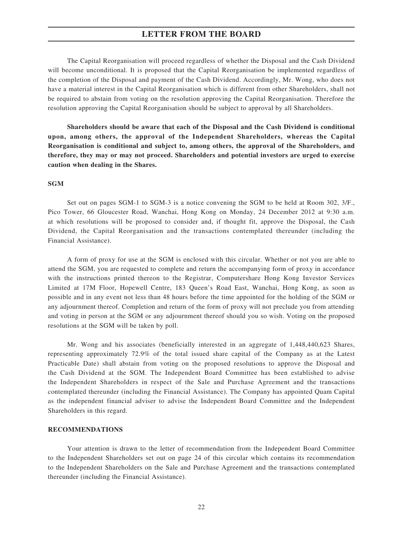The Capital Reorganisation will proceed regardless of whether the Disposal and the Cash Dividend will become unconditional. It is proposed that the Capital Reorganisation be implemented regardless of the completion of the Disposal and payment of the Cash Dividend. Accordingly, Mr. Wong, who does not have a material interest in the Capital Reorganisation which is different from other Shareholders, shall not be required to abstain from voting on the resolution approving the Capital Reorganisation. Therefore the resolution approving the Capital Reorganisation should be subject to approval by all Shareholders.

**Shareholders should be aware that each of the Disposal and the Cash Dividend is conditional upon, among others, the approval of the Independent Shareholders, whereas the Capital Reorganisation is conditional and subject to, among others, the approval of the Shareholders, and therefore, they may or may not proceed. Shareholders and potential investors are urged to exercise caution when dealing in the Shares.**

#### **SGM**

Set out on pages SGM-1 to SGM-3 is a notice convening the SGM to be held at Room 302, 3/F., Pico Tower, 66 Gloucester Road, Wanchai, Hong Kong on Monday, 24 December 2012 at 9:30 a.m. at which resolutions will be proposed to consider and, if thought fit, approve the Disposal, the Cash Dividend, the Capital Reorganisation and the transactions contemplated thereunder (including the Financial Assistance).

A form of proxy for use at the SGM is enclosed with this circular. Whether or not you are able to attend the SGM, you are requested to complete and return the accompanying form of proxy in accordance with the instructions printed thereon to the Registrar, Computershare Hong Kong Investor Services Limited at 17M Floor, Hopewell Centre, 183 Queen's Road East, Wanchai, Hong Kong, as soon as possible and in any event not less than 48 hours before the time appointed for the holding of the SGM or any adjournment thereof. Completion and return of the form of proxy will not preclude you from attending and voting in person at the SGM or any adjournment thereof should you so wish. Voting on the proposed resolutions at the SGM will be taken by poll.

Mr. Wong and his associates (beneficially interested in an aggregate of 1,448,440,623 Shares, representing approximately 72.9% of the total issued share capital of the Company as at the Latest Practicable Date) shall abstain from voting on the proposed resolutions to approve the Disposal and the Cash Dividend at the SGM. The Independent Board Committee has been established to advise the Independent Shareholders in respect of the Sale and Purchase Agreement and the transactions contemplated thereunder (including the Financial Assistance). The Company has appointed Quam Capital as the independent financial adviser to advise the Independent Board Committee and the Independent Shareholders in this regard.

#### **RECOMMENDATIONS**

Your attention is drawn to the letter of recommendation from the Independent Board Committee to the Independent Shareholders set out on page 24 of this circular which contains its recommendation to the Independent Shareholders on the Sale and Purchase Agreement and the transactions contemplated thereunder (including the Financial Assistance).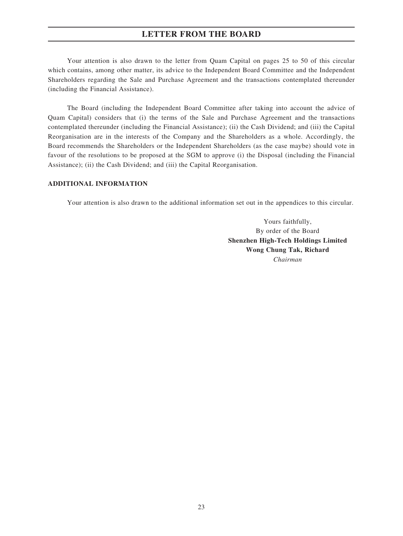Your attention is also drawn to the letter from Quam Capital on pages 25 to 50 of this circular which contains, among other matter, its advice to the Independent Board Committee and the Independent Shareholders regarding the Sale and Purchase Agreement and the transactions contemplated thereunder (including the Financial Assistance).

The Board (including the Independent Board Committee after taking into account the advice of Quam Capital) considers that (i) the terms of the Sale and Purchase Agreement and the transactions contemplated thereunder (including the Financial Assistance); (ii) the Cash Dividend; and (iii) the Capital Reorganisation are in the interests of the Company and the Shareholders as a whole. Accordingly, the Board recommends the Shareholders or the Independent Shareholders (as the case maybe) should vote in favour of the resolutions to be proposed at the SGM to approve (i) the Disposal (including the Financial Assistance); (ii) the Cash Dividend; and (iii) the Capital Reorganisation.

### **ADDITIONAL INFORMATION**

Your attention is also drawn to the additional information set out in the appendices to this circular.

Yours faithfully, By order of the Board **Shenzhen High-Tech Holdings Limited Wong Chung Tak, Richard** *Chairman*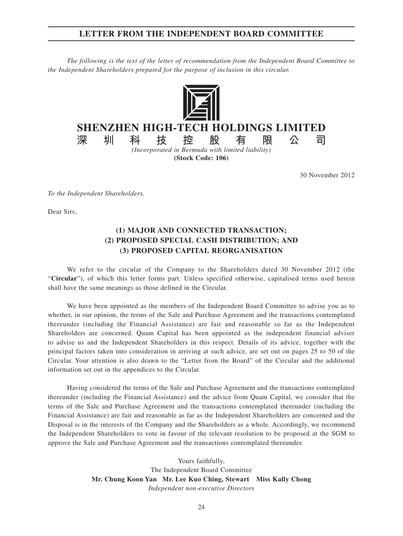### **LETTER FROM THE INDEPENDENT BOARD COMMITTEE**

*The following is the text of the letter of recommendation from the Independent Board Committee to the Independent Shareholders prepared for the purpose of inclusion in this circular.*



# **SHENZHEN HIGH-TECH HOLDINGS LIMITED**

**深圳科技控股有限公司** *(Incorporated in Bermuda with limited liability)* **(Stock Code: 106)**

30 November 2012

*To the Independent Shareholders,*

Dear Sirs,

### **(1) MAJOR AND CONNECTED TRANSACTION; (2) PROPOSED SPECIAL CASH DISTRIBUTION; AND (3) PROPOSED CAPITAL REORGANISATION**

We refer to the circular of the Company to the Shareholders dated 30 November 2012 (the "**Circular**"), of which this letter forms part. Unless specified otherwise, capitalised terms used herein shall have the same meanings as those defined in the Circular.

We have been appointed as the members of the Independent Board Committee to advise you as to whether, in our opinion, the terms of the Sale and Purchase Agreement and the transactions contemplated thereunder (including the Financial Assistance) are fair and reasonable so far as the Independent Shareholders are concerned. Quam Capital has been appointed as the independent financial adviser to advise us and the Independent Shareholders in this respect. Details of its advice, together with the principal factors taken into consideration in arriving at such advice, are set out on pages 25 to 50 of the Circular. Your attention is also drawn to the "Letter from the Board" of the Circular and the additional information set out in the appendices to the Circular.

Having considered the terms of the Sale and Purchase Agreement and the transactions contemplated thereunder (including the Financial Assistance) and the advice from Quam Capital, we consider that the terms of the Sale and Purchase Agreement and the transactions contemplated thereunder (including the Financial Assistance) are fair and reasonable as far as the Independent Shareholders are concerned and the Disposal is in the interests of the Company and the Shareholders as a whole. Accordingly, we recommend the Independent Shareholders to vote in favour of the relevant resolution to be proposed at the SGM to approve the Sale and Purchase Agreement and the transactions contemplated thereunder.

> Yours faithfully, The Independent Board Committee **Mr. Chung Koon Yan Mr. Lee Kuo Ching, Stewart Miss Kally Chong** *Independent non-executive Directors*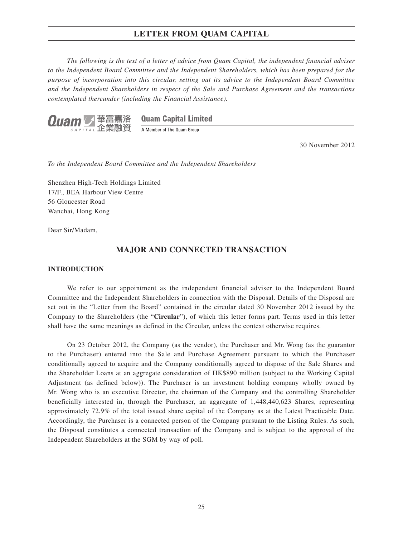*The following is the text of a letter of advice from Quam Capital, the independent financial adviser to the Independent Board Committee and the Independent Shareholders, which has been prepared for the purpose of incorporation into this circular, setting out its advice to the Independent Board Committee and the Independent Shareholders in respect of the Sale and Purchase Agreement and the transactions contemplated thereunder (including the Financial Assistance).*



**Quam Capital Limited** 

A Member of The Quam Group

30 November 2012

*To the Independent Board Committee and the Independent Shareholders*

Shenzhen High-Tech Holdings Limited 17/F., BEA Harbour View Centre 56 Gloucester Road Wanchai, Hong Kong

Dear Sir/Madam,

### **MAJOR AND CONNECTED TRANSACTION**

#### **INTRODUCTION**

We refer to our appointment as the independent financial adviser to the Independent Board Committee and the Independent Shareholders in connection with the Disposal. Details of the Disposal are set out in the "Letter from the Board" contained in the circular dated 30 November 2012 issued by the Company to the Shareholders (the "**Circular**"), of which this letter forms part. Terms used in this letter shall have the same meanings as defined in the Circular, unless the context otherwise requires.

On 23 October 2012, the Company (as the vendor), the Purchaser and Mr. Wong (as the guarantor to the Purchaser) entered into the Sale and Purchase Agreement pursuant to which the Purchaser conditionally agreed to acquire and the Company conditionally agreed to dispose of the Sale Shares and the Shareholder Loans at an aggregate consideration of HK\$890 million (subject to the Working Capital Adjustment (as defined below)). The Purchaser is an investment holding company wholly owned by Mr. Wong who is an executive Director, the chairman of the Company and the controlling Shareholder beneficially interested in, through the Purchaser, an aggregate of 1,448,440,623 Shares, representing approximately 72.9% of the total issued share capital of the Company as at the Latest Practicable Date. Accordingly, the Purchaser is a connected person of the Company pursuant to the Listing Rules. As such, the Disposal constitutes a connected transaction of the Company and is subject to the approval of the Independent Shareholders at the SGM by way of poll.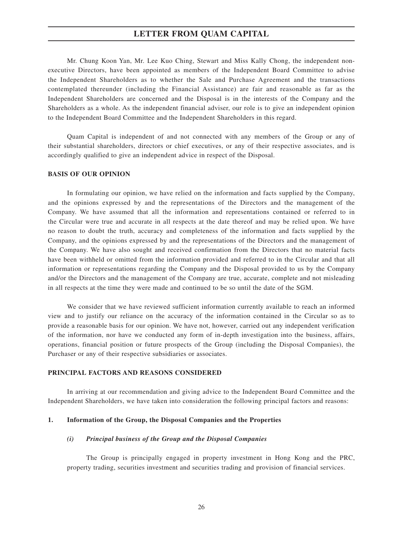Mr. Chung Koon Yan, Mr. Lee Kuo Ching, Stewart and Miss Kally Chong, the independent nonexecutive Directors, have been appointed as members of the Independent Board Committee to advise the Independent Shareholders as to whether the Sale and Purchase Agreement and the transactions contemplated thereunder (including the Financial Assistance) are fair and reasonable as far as the Independent Shareholders are concerned and the Disposal is in the interests of the Company and the Shareholders as a whole. As the independent financial adviser, our role is to give an independent opinion to the Independent Board Committee and the Independent Shareholders in this regard.

Quam Capital is independent of and not connected with any members of the Group or any of their substantial shareholders, directors or chief executives, or any of their respective associates, and is accordingly qualified to give an independent advice in respect of the Disposal.

#### **BASIS OF OUR OPINION**

In formulating our opinion, we have relied on the information and facts supplied by the Company, and the opinions expressed by and the representations of the Directors and the management of the Company. We have assumed that all the information and representations contained or referred to in the Circular were true and accurate in all respects at the date thereof and may be relied upon. We have no reason to doubt the truth, accuracy and completeness of the information and facts supplied by the Company, and the opinions expressed by and the representations of the Directors and the management of the Company. We have also sought and received confirmation from the Directors that no material facts have been withheld or omitted from the information provided and referred to in the Circular and that all information or representations regarding the Company and the Disposal provided to us by the Company and/or the Directors and the management of the Company are true, accurate, complete and not misleading in all respects at the time they were made and continued to be so until the date of the SGM.

We consider that we have reviewed sufficient information currently available to reach an informed view and to justify our reliance on the accuracy of the information contained in the Circular so as to provide a reasonable basis for our opinion. We have not, however, carried out any independent verification of the information, nor have we conducted any form of in-depth investigation into the business, affairs, operations, financial position or future prospects of the Group (including the Disposal Companies), the Purchaser or any of their respective subsidiaries or associates.

### **PRINCIPAL FACTORS AND REASONS CONSIDERED**

In arriving at our recommendation and giving advice to the Independent Board Committee and the Independent Shareholders, we have taken into consideration the following principal factors and reasons:

#### **1. Information of the Group, the Disposal Companies and the Properties**

#### *(i) Principal business of the Group and the Disposal Companies*

The Group is principally engaged in property investment in Hong Kong and the PRC, property trading, securities investment and securities trading and provision of financial services.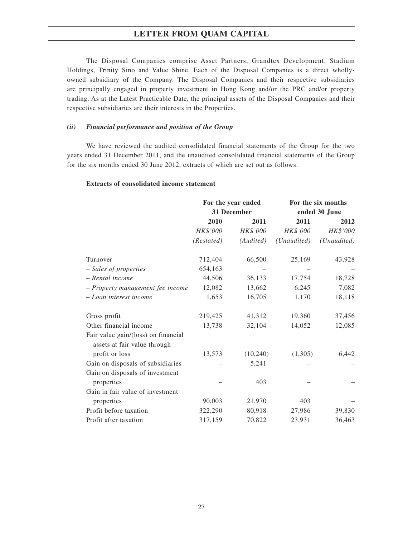The Disposal Companies comprise Asset Partners, Grandtex Development, Stadium Holdings, Trinity Sino and Value Shine. Each of the Disposal Companies is a direct whollyowned subsidiary of the Company. The Disposal Companies and their respective subsidiaries are principally engaged in property investment in Hong Kong and/or the PRC and/or property trading. As at the Latest Practicable Date, the principal assets of the Disposal Companies and their respective subsidiaries are their interests in the Properties.

#### *(ii) Financial performance and position of the Group*

We have reviewed the audited consolidated financial statements of the Group for the two years ended 31 December 2011, and the unaudited consolidated financial statements of the Group for the six months ended 30 June 2012, extracts of which are set out as follows:

### **Extracts of consolidated income statement**

|                                                                     | For the year ended<br>31 December |           | For the six months<br>ended 30 June |             |
|---------------------------------------------------------------------|-----------------------------------|-----------|-------------------------------------|-------------|
|                                                                     | 2010                              | 2011      | 2011                                | 2012        |
|                                                                     | HK\$'000                          | HK\$'000  | HK\$'000                            | HK\$'000    |
|                                                                     | (Restated)                        | (Audited) | (Unaudited)                         | (Unaudited) |
| Turnover                                                            | 712,404                           | 66,500    | 25,169                              | 43,928      |
| - Sales of properties                                               | 654,163                           |           |                                     |             |
| - Rental income                                                     | 44,506                            | 36,133    | 17,754                              | 18,728      |
| - Property management fee income                                    | 12,082                            | 13,662    | 6,245                               | 7,082       |
| – Loan interest income                                              | 1,653                             | 16,705    | 1,170                               | 18,118      |
| Gross profit                                                        | 219,425                           | 41,312    | 19,360                              | 37,456      |
| Other financial income                                              | 13,738                            | 32,104    | 14,052                              | 12,085      |
| Fair value gain/(loss) on financial<br>assets at fair value through |                                   |           |                                     |             |
| profit or loss                                                      | 13,573                            | (10, 240) | (1,305)                             | 6,442       |
| Gain on disposals of subsidiaries                                   |                                   | 5,241     |                                     |             |
| Gain on disposals of investment                                     |                                   |           |                                     |             |
| properties                                                          |                                   | 403       |                                     |             |
| Gain in fair value of investment                                    |                                   |           |                                     |             |
| properties                                                          | 90,003                            | 21,970    | 403                                 |             |
| Profit before taxation                                              | 322,290                           | 80,918    | 27,986                              | 39,830      |
| Profit after taxation                                               | 317,159                           | 70,822    | 23,931                              | 36,463      |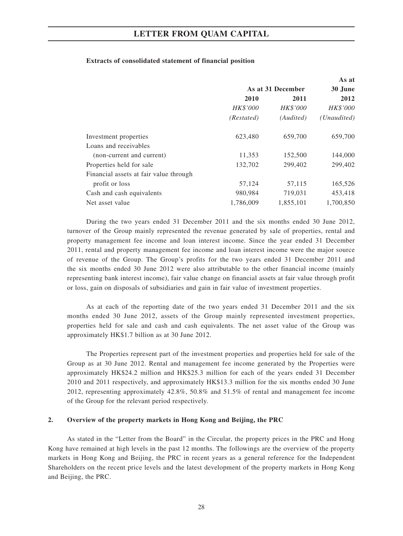### **Extracts of consolidated statement of financial position**

|                                        |                   |                 | As at           |  |
|----------------------------------------|-------------------|-----------------|-----------------|--|
|                                        | As at 31 December |                 | 30 June         |  |
|                                        | 2010              | 2011            | 2012            |  |
|                                        | <b>HK\$'000</b>   | <b>HK\$'000</b> | <b>HK\$'000</b> |  |
|                                        | (Restated)        | (Audited)       | (Unaudited)     |  |
| Investment properties                  | 623,480           | 659,700         | 659,700         |  |
| Loans and receivables                  |                   |                 |                 |  |
| (non-current and current)              | 11,353            | 152,500         | 144,000         |  |
| Properties held for sale               | 132,702           | 299,402         | 299,402         |  |
| Financial assets at fair value through |                   |                 |                 |  |
| profit or loss                         | 57,124            | 57,115          | 165,526         |  |
| Cash and cash equivalents              | 980,984           | 719,031         | 453,418         |  |
| Net asset value                        | 1,786,009         | 1,855,101       | 1,700,850       |  |

During the two years ended 31 December 2011 and the six months ended 30 June 2012, turnover of the Group mainly represented the revenue generated by sale of properties, rental and property management fee income and loan interest income. Since the year ended 31 December 2011, rental and property management fee income and loan interest income were the major source of revenue of the Group. The Group's profits for the two years ended 31 December 2011 and the six months ended 30 June 2012 were also attributable to the other financial income (mainly representing bank interest income), fair value change on financial assets at fair value through profit or loss, gain on disposals of subsidiaries and gain in fair value of investment properties.

As at each of the reporting date of the two years ended 31 December 2011 and the six months ended 30 June 2012, assets of the Group mainly represented investment properties, properties held for sale and cash and cash equivalents. The net asset value of the Group was approximately HK\$1.7 billion as at 30 June 2012.

The Properties represent part of the investment properties and properties held for sale of the Group as at 30 June 2012. Rental and management fee income generated by the Properties were approximately HK\$24.2 million and HK\$25.3 million for each of the years ended 31 December 2010 and 2011 respectively, and approximately HK\$13.3 million for the six months ended 30 June 2012, representing approximately 42.8%, 50.8% and 51.5% of rental and management fee income of the Group for the relevant period respectively.

#### **2. Overview of the property markets in Hong Kong and Beijing, the PRC**

As stated in the "Letter from the Board" in the Circular, the property prices in the PRC and Hong Kong have remained at high levels in the past 12 months. The followings are the overview of the property markets in Hong Kong and Beijing, the PRC in recent years as a general reference for the Independent Shareholders on the recent price levels and the latest development of the property markets in Hong Kong and Beijing, the PRC.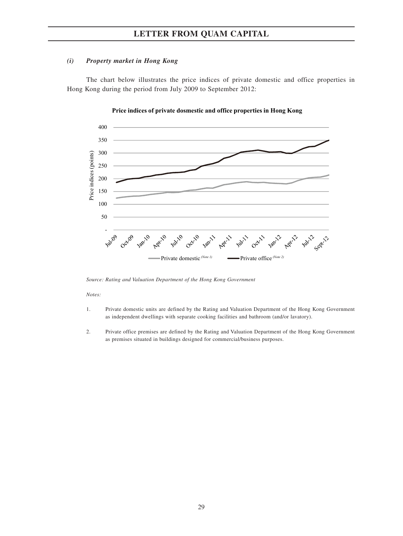### *(i) Property market in Hong Kong*

The chart below illustrates the price indices of private domestic and office properties in Hong Kong during the period from July 2009 to September 2012:



#### **Price indices of private dosmestic and office properties in Hong Kong**

*Source: Rating and Valuation Department of the Hong Kong Government*

#### *Notes:*

- 1. Private domestic units are defined by the Rating and Valuation Department of the Hong Kong Government as independent dwellings with separate cooking facilities and bathroom (and/or lavatory).
- 2. Private office premises are defined by the Rating and Valuation Department of the Hong Kong Government as premises situated in buildings designed for commercial/business purposes.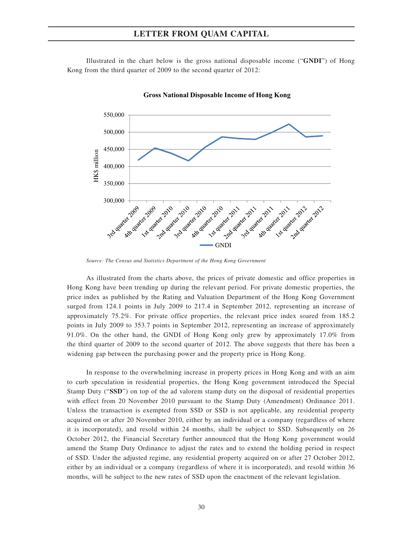Illustrated in the chart below is the gross national disposable income ("**GNDI**") of Hong Kong from the third quarter of 2009 to the second quarter of 2012:



**Gross National Disposable Income of Hong Kong**

*Source: The Census and Statistics Department of the Hong Kong Government*

As illustrated from the charts above, the prices of private domestic and office properties in Hong Kong have been trending up during the relevant period. For private domestic properties, the price index as published by the Rating and Valuation Department of the Hong Kong Government surged from 124.1 points in July 2009 to 217.4 in September 2012, representing an increase of approximately 75.2%. For private office properties, the relevant price index soared from 185.2 points in July 2009 to 353.7 points in September 2012, representing an increase of approximately 91.0%. On the other hand, the GNDI of Hong Kong only grew by approximately 17.0% from the third quarter of 2009 to the second quarter of 2012. The above suggests that there has been a widening gap between the purchasing power and the property price in Hong Kong.

In response to the overwhelming increase in property prices in Hong Kong and with an aim to curb speculation in residential properties, the Hong Kong government introduced the Special Stamp Duty ("**SSD**") on top of the ad valorem stamp duty on the disposal of residential properties with effect from 20 November 2010 pursuant to the Stamp Duty (Amendment) Ordinance 2011. Unless the transaction is exempted from SSD or SSD is not applicable, any residential property acquired on or after 20 November 2010, either by an individual or a company (regardless of where it is incorporated), and resold within 24 months, shall be subject to SSD. Subsequently on 26 October 2012, the Financial Secretary further announced that the Hong Kong government would amend the Stamp Duty Ordinance to adjust the rates and to extend the holding period in respect of SSD. Under the adjusted regime, any residential property acquired on or after 27 October 2012, either by an individual or a company (regardless of where it is incorporated), and resold within 36 months, will be subject to the new rates of SSD upon the enactment of the relevant legislation.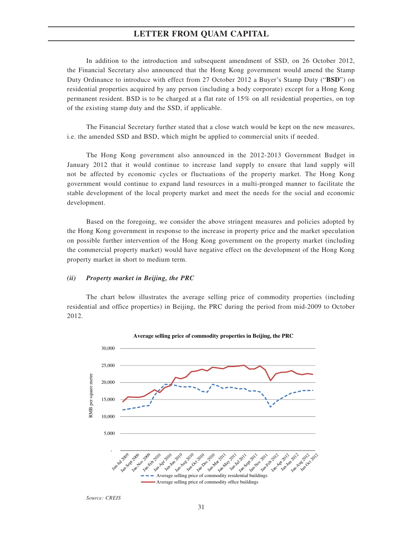In addition to the introduction and subsequent amendment of SSD, on 26 October 2012, the Financial Secretary also announced that the Hong Kong government would amend the Stamp Duty Ordinance to introduce with effect from 27 October 2012 a Buyer's Stamp Duty ("**BSD**") on residential properties acquired by any person (including a body corporate) except for a Hong Kong permanent resident. BSD is to be charged at a flat rate of 15% on all residential properties, on top of the existing stamp duty and the SSD, if applicable.

The Financial Secretary further stated that a close watch would be kept on the new measures, i.e. the amended SSD and BSD, which might be applied to commercial units if needed.

The Hong Kong government also announced in the 2012-2013 Government Budget in January 2012 that it would continue to increase land supply to ensure that land supply will not be affected by economic cycles or fluctuations of the property market. The Hong Kong government would continue to expand land resources in a multi-pronged manner to facilitate the stable development of the local property market and meet the needs for the social and economic development.

Based on the foregoing, we consider the above stringent measures and policies adopted by the Hong Kong government in response to the increase in property price and the market speculation on possible further intervention of the Hong Kong government on the property market (including the commercial property market) would have negative effect on the development of the Hong Kong property market in short to medium term.

#### *(ii) Property market in Beijing, the PRC*

The chart below illustrates the average selling price of commodity properties (including residential and office properties) in Beijing, the PRC during the period from mid-2009 to October 2012.



**Average selling price of commodity properties in Beijing, the PRC**

*Source: CREIS*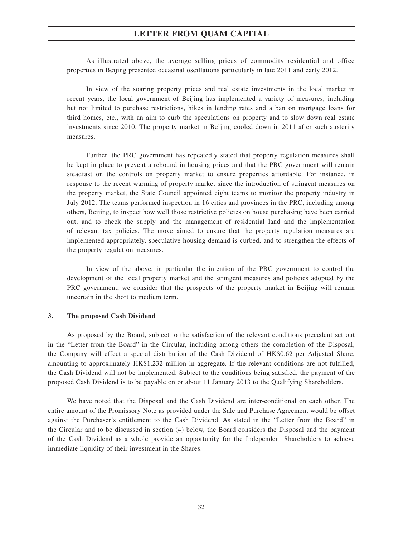As illustrated above, the average selling prices of commodity residential and office properties in Beijing presented occasinal oscillations particularly in late 2011 and early 2012.

In view of the soaring property prices and real estate investments in the local market in recent years, the local government of Beijing has implemented a variety of measures, including but not limited to purchase restrictions, hikes in lending rates and a ban on mortgage loans for third homes, etc., with an aim to curb the speculations on property and to slow down real estate investments since 2010. The property market in Beijing cooled down in 2011 after such austerity measures.

Further, the PRC government has repeatedly stated that property regulation measures shall be kept in place to prevent a rebound in housing prices and that the PRC government will remain steadfast on the controls on property market to ensure properties affordable. For instance, in response to the recent warming of property market since the introduction of stringent measures on the property market, the State Council appointed eight teams to monitor the property industry in July 2012. The teams performed inspection in 16 cities and provinces in the PRC, including among others, Beijing, to inspect how well those restrictive policies on house purchasing have been carried out, and to check the supply and the management of residential land and the implementation of relevant tax policies. The move aimed to ensure that the property regulation measures are implemented appropriately, speculative housing demand is curbed, and to strengthen the effects of the property regulation measures.

In view of the above, in particular the intention of the PRC government to control the development of the local property market and the stringent measures and policies adopted by the PRC government, we consider that the prospects of the property market in Beijing will remain uncertain in the short to medium term.

#### **3. The proposed Cash Dividend**

As proposed by the Board, subject to the satisfaction of the relevant conditions precedent set out in the "Letter from the Board" in the Circular, including among others the completion of the Disposal, the Company will effect a special distribution of the Cash Dividend of HK\$0.62 per Adjusted Share, amounting to approximately HK\$1,232 million in aggregate. If the relevant conditions are not fulfilled, the Cash Dividend will not be implemented. Subject to the conditions being satisfied, the payment of the proposed Cash Dividend is to be payable on or about 11 January 2013 to the Qualifying Shareholders.

We have noted that the Disposal and the Cash Dividend are inter-conditional on each other. The entire amount of the Promissory Note as provided under the Sale and Purchase Agreement would be offset against the Purchaser's entitlement to the Cash Dividend. As stated in the "Letter from the Board" in the Circular and to be discussed in section (4) below, the Board considers the Disposal and the payment of the Cash Dividend as a whole provide an opportunity for the Independent Shareholders to achieve immediate liquidity of their investment in the Shares.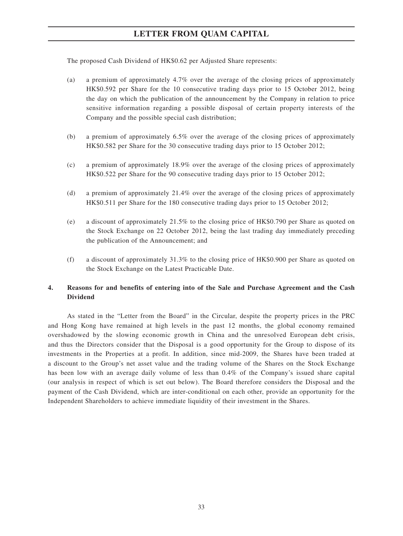The proposed Cash Dividend of HK\$0.62 per Adjusted Share represents:

- (a) a premium of approximately 4.7% over the average of the closing prices of approximately HK\$0.592 per Share for the 10 consecutive trading days prior to 15 October 2012, being the day on which the publication of the announcement by the Company in relation to price sensitive information regarding a possible disposal of certain property interests of the Company and the possible special cash distribution;
- (b) a premium of approximately 6.5% over the average of the closing prices of approximately HK\$0.582 per Share for the 30 consecutive trading days prior to 15 October 2012;
- (c) a premium of approximately 18.9% over the average of the closing prices of approximately HK\$0.522 per Share for the 90 consecutive trading days prior to 15 October 2012;
- (d) a premium of approximately 21.4% over the average of the closing prices of approximately HK\$0.511 per Share for the 180 consecutive trading days prior to 15 October 2012;
- (e) a discount of approximately 21.5% to the closing price of HK\$0.790 per Share as quoted on the Stock Exchange on 22 October 2012, being the last trading day immediately preceding the publication of the Announcement; and
- (f) a discount of approximately 31.3% to the closing price of HK\$0.900 per Share as quoted on the Stock Exchange on the Latest Practicable Date.

### **4. Reasons for and benefits of entering into of the Sale and Purchase Agreement and the Cash Dividend**

As stated in the "Letter from the Board" in the Circular, despite the property prices in the PRC and Hong Kong have remained at high levels in the past 12 months, the global economy remained overshadowed by the slowing economic growth in China and the unresolved European debt crisis, and thus the Directors consider that the Disposal is a good opportunity for the Group to dispose of its investments in the Properties at a profit. In addition, since mid-2009, the Shares have been traded at a discount to the Group's net asset value and the trading volume of the Shares on the Stock Exchange has been low with an average daily volume of less than 0.4% of the Company's issued share capital (our analysis in respect of which is set out below). The Board therefore considers the Disposal and the payment of the Cash Dividend, which are inter-conditional on each other, provide an opportunity for the Independent Shareholders to achieve immediate liquidity of their investment in the Shares.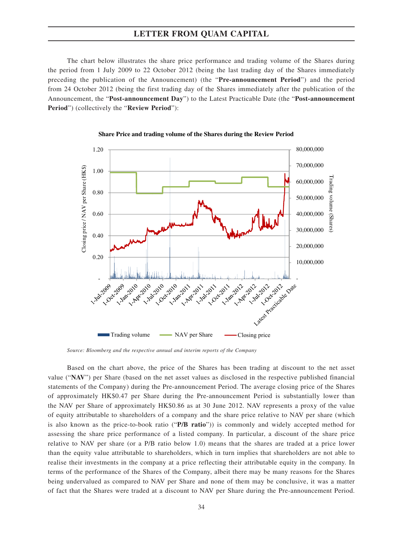The chart below illustrates the share price performance and trading volume of the Shares during the period from 1 July 2009 to 22 October 2012 (being the last trading day of the Shares immediately preceding the publication of the Announcement) (the "**Pre-announcement Period**") and the period from 24 October 2012 (being the first trading day of the Shares immediately after the publication of the Announcement, the "**Post-announcement Day**") to the Latest Practicable Date (the "**Post-announcement Period**") (collectively the "**Review Period**"):



**Share Price and trading volume of the Shares during the Review Period** 

*Source: Bloomberg and the respective annual and interim reports of the Company*

Based on the chart above, the price of the Shares has been trading at discount to the net asset value ("**NAV**") per Share (based on the net asset values as disclosed in the respective published financial statements of the Company) during the Pre-announcement Period. The average closing price of the Shares of approximately HK\$0.47 per Share during the Pre-announcement Period is substantially lower than the NAV per Share of approximately HK\$0.86 as at 30 June 2012. NAV represents a proxy of the value of equity attributable to shareholders of a company and the share price relative to NAV per share (which is also known as the price-to-book ratio ("**P/B ratio**")) is commonly and widely accepted method for assessing the share price performance of a listed company. In particular, a discount of the share price relative to NAV per share (or a P/B ratio below 1.0) means that the shares are traded at a price lower than the equity value attributable to shareholders, which in turn implies that shareholders are not able to realise their investments in the company at a price reflecting their attributable equity in the company. In terms of the performance of the Shares of the Company, albeit there may be many reasons for the Shares being undervalued as compared to NAV per Share and none of them may be conclusive, it was a matter of fact that the Shares were traded at a discount to NAV per Share during the Pre-announcement Period.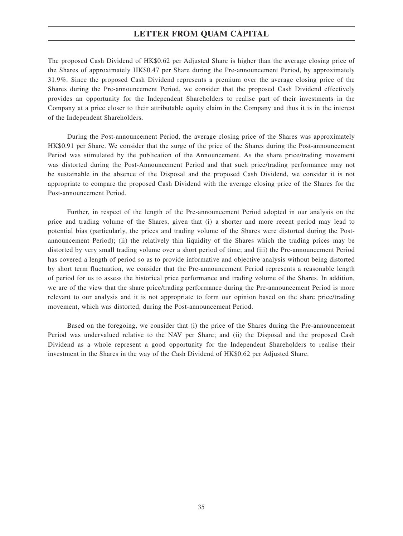The proposed Cash Dividend of HK\$0.62 per Adjusted Share is higher than the average closing price of the Shares of approximately HK\$0.47 per Share during the Pre-announcement Period, by approximately 31.9%. Since the proposed Cash Dividend represents a premium over the average closing price of the Shares during the Pre-announcement Period, we consider that the proposed Cash Dividend effectively provides an opportunity for the Independent Shareholders to realise part of their investments in the Company at a price closer to their attributable equity claim in the Company and thus it is in the interest of the Independent Shareholders.

During the Post-announcement Period, the average closing price of the Shares was approximately HK\$0.91 per Share. We consider that the surge of the price of the Shares during the Post-announcement Period was stimulated by the publication of the Announcement. As the share price/trading movement was distorted during the Post-Announcement Period and that such price/trading performance may not be sustainable in the absence of the Disposal and the proposed Cash Dividend, we consider it is not appropriate to compare the proposed Cash Dividend with the average closing price of the Shares for the Post-announcement Period.

Further, in respect of the length of the Pre-announcement Period adopted in our analysis on the price and trading volume of the Shares, given that (i) a shorter and more recent period may lead to potential bias (particularly, the prices and trading volume of the Shares were distorted during the Postannouncement Period); (ii) the relatively thin liquidity of the Shares which the trading prices may be distorted by very small trading volume over a short period of time; and (iii) the Pre-announcement Period has covered a length of period so as to provide informative and objective analysis without being distorted by short term fluctuation, we consider that the Pre-announcement Period represents a reasonable length of period for us to assess the historical price performance and trading volume of the Shares. In addition, we are of the view that the share price/trading performance during the Pre-announcement Period is more relevant to our analysis and it is not appropriate to form our opinion based on the share price/trading movement, which was distorted, during the Post-announcement Period.

Based on the foregoing, we consider that (i) the price of the Shares during the Pre-announcement Period was undervalued relative to the NAV per Share; and (ii) the Disposal and the proposed Cash Dividend as a whole represent a good opportunity for the Independent Shareholders to realise their investment in the Shares in the way of the Cash Dividend of HK\$0.62 per Adjusted Share.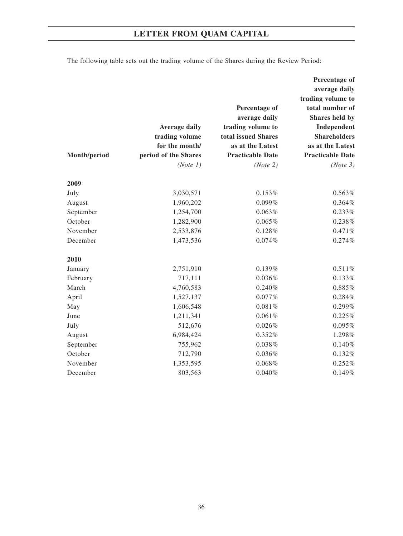The following table sets out the trading volume of the Shares during the Review Period:

|              |                      |                         | Percentage of           |
|--------------|----------------------|-------------------------|-------------------------|
|              |                      |                         | average daily           |
|              |                      |                         | trading volume to       |
|              |                      | Percentage of           | total number of         |
|              |                      | average daily           | Shares held by          |
|              | <b>Average daily</b> | trading volume to       | Independent             |
|              | trading volume       | total issued Shares     | <b>Shareholders</b>     |
|              | for the month/       | as at the Latest        | as at the Latest        |
| Month/period | period of the Shares | <b>Practicable Date</b> | <b>Practicable Date</b> |
|              | (Note 1)             | (Note 2)                | (Note 3)                |
| 2009         |                      |                         |                         |
| July         | 3,030,571            | 0.153%                  | 0.563%                  |
| August       | 1,960,202            | 0.099%                  | 0.364%                  |
| September    | 1,254,700            | 0.063%                  | 0.233%                  |
| October      | 1,282,900            | 0.065%                  | 0.238%                  |
| November     | 2,533,876            | 0.128%                  | 0.471%                  |
| December     | 1,473,536            | 0.074%                  | 0.274%                  |
| 2010         |                      |                         |                         |
| January      | 2,751,910            | 0.139%                  | 0.511%                  |
| February     | 717,111              | 0.036%                  | 0.133%                  |
| March        | 4,760,583            | 0.240%                  | 0.885%                  |
| April        | 1,527,137            | 0.077%                  | 0.284%                  |
| May          | 1,606,548            | 0.081%                  | 0.299%                  |
| June         | 1,211,341            | 0.061%                  | 0.225%                  |
| July         | 512,676              | 0.026%                  | 0.095%                  |
| August       | 6,984,424            | 0.352%                  | 1.298%                  |
| September    | 755,962              | 0.038%                  | 0.140%                  |
| October      | 712,790              | 0.036%                  | 0.132%                  |
| November     | 1,353,595            | 0.068%                  | 0.252%                  |
| December     | 803,563              | 0.040%                  | 0.149%                  |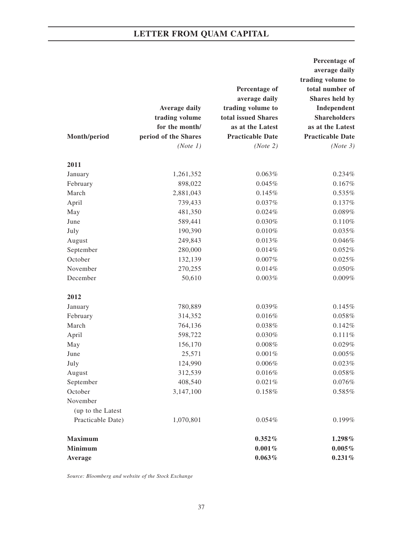|                   |                      |                         | Percentage of           |
|-------------------|----------------------|-------------------------|-------------------------|
|                   |                      |                         | average daily           |
|                   |                      |                         | trading volume to       |
|                   |                      | Percentage of           | total number of         |
|                   |                      | average daily           | Shares held by          |
|                   | <b>Average daily</b> | trading volume to       | Independent             |
|                   | trading volume       | total issued Shares     | <b>Shareholders</b>     |
|                   | for the month/       | as at the Latest        | as at the Latest        |
| Month/period      | period of the Shares | <b>Practicable Date</b> | <b>Practicable Date</b> |
|                   | (Note 1)             | (Note 2)                | (Note 3)                |
| 2011              |                      |                         |                         |
| January           | 1,261,352            | 0.063%                  | 0.234%                  |
| February          | 898,022              | 0.045%                  | 0.167%                  |
| March             | 2,881,043            | 0.145%                  | 0.535%                  |
| April             | 739,433              | 0.037%                  | 0.137%                  |
| May               | 481,350              | 0.024%                  | $0.089\%$               |
| June              | 589,441              | 0.030%                  | 0.110%                  |
| July              | 190,390              | 0.010%                  | 0.035%                  |
| August            | 249,843              | 0.013%                  | 0.046%                  |
| September         | 280,000              | 0.014%                  | 0.052%                  |
| October           | 132,139              | 0.007%                  | 0.025%                  |
| November          | 270,255              | 0.014%                  | $0.050\%$               |
| December          | 50,610               | 0.003%                  | 0.009%                  |
| 2012              |                      |                         |                         |
| January           | 780,889              | 0.039%                  | 0.145%                  |
| February          | 314,352              | 0.016%                  | 0.058%                  |
| March             | 764,136              | 0.038%                  | 0.142%                  |
| April             | 598,722              | 0.030%                  | 0.111%                  |
| May               | 156,170              | 0.008%                  | 0.029%                  |
| June              | 25,571               | 0.001%                  | 0.005%                  |
| July              | 124,990              | 0.006%                  | 0.023%                  |
| August            | 312,539              | 0.016%                  | 0.058%                  |
| September         | 408,540              | 0.021%                  | 0.076%                  |
| October           | 3,147,100            | 0.158%                  | $0.585\%$               |
| November          |                      |                         |                         |
| (up to the Latest |                      |                         |                         |
| Practicable Date) | 1,070,801            | 0.054%                  | 0.199%                  |
| <b>Maximum</b>    |                      | $0.352\%$               | 1.298%                  |
| <b>Minimum</b>    |                      | 0.001%                  | $0.005\%$               |
| Average           |                      | 0.063%                  | 0.231%                  |
|                   |                      |                         |                         |

*Source: Bloomberg and website of the Stock Exchange*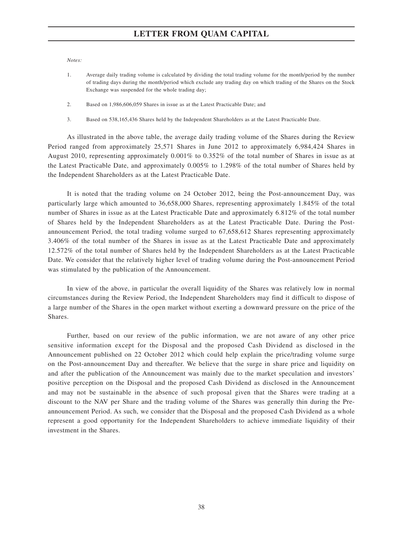*Notes:*

- 1. Average daily trading volume is calculated by dividing the total trading volume for the month/period by the number of trading days during the month/period which exclude any trading day on which trading of the Shares on the Stock Exchange was suspended for the whole trading day;
- 2. Based on 1,986,606,059 Shares in issue as at the Latest Practicable Date; and
- 3. Based on 538,165,436 Shares held by the Independent Shareholders as at the Latest Practicable Date.

As illustrated in the above table, the average daily trading volume of the Shares during the Review Period ranged from approximately 25,571 Shares in June 2012 to approximately 6,984,424 Shares in August 2010, representing approximately 0.001% to 0.352% of the total number of Shares in issue as at the Latest Practicable Date, and approximately 0.005% to 1.298% of the total number of Shares held by the Independent Shareholders as at the Latest Practicable Date.

It is noted that the trading volume on 24 October 2012, being the Post-announcement Day, was particularly large which amounted to 36,658,000 Shares, representing approximately 1.845% of the total number of Shares in issue as at the Latest Practicable Date and approximately 6.812% of the total number of Shares held by the Independent Shareholders as at the Latest Practicable Date. During the Postannouncement Period, the total trading volume surged to 67,658,612 Shares representing approximately 3.406% of the total number of the Shares in issue as at the Latest Practicable Date and approximately 12.572% of the total number of Shares held by the Independent Shareholders as at the Latest Practicable Date. We consider that the relatively higher level of trading volume during the Post-announcement Period was stimulated by the publication of the Announcement.

In view of the above, in particular the overall liquidity of the Shares was relatively low in normal circumstances during the Review Period, the Independent Shareholders may find it difficult to dispose of a large number of the Shares in the open market without exerting a downward pressure on the price of the Shares.

Further, based on our review of the public information, we are not aware of any other price sensitive information except for the Disposal and the proposed Cash Dividend as disclosed in the Announcement published on 22 October 2012 which could help explain the price/trading volume surge on the Post-announcement Day and thereafter. We believe that the surge in share price and liquidity on and after the publication of the Announcement was mainly due to the market speculation and investors' positive perception on the Disposal and the proposed Cash Dividend as disclosed in the Announcement and may not be sustainable in the absence of such proposal given that the Shares were trading at a discount to the NAV per Share and the trading volume of the Shares was generally thin during the Preannouncement Period. As such, we consider that the Disposal and the proposed Cash Dividend as a whole represent a good opportunity for the Independent Shareholders to achieve immediate liquidity of their investment in the Shares.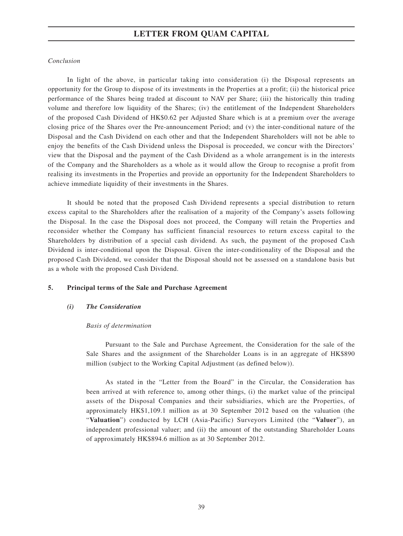## *Conclusion*

In light of the above, in particular taking into consideration (i) the Disposal represents an opportunity for the Group to dispose of its investments in the Properties at a profit; (ii) the historical price performance of the Shares being traded at discount to NAV per Share; (iii) the historically thin trading volume and therefore low liquidity of the Shares; (iv) the entitlement of the Independent Shareholders of the proposed Cash Dividend of HK\$0.62 per Adjusted Share which is at a premium over the average closing price of the Shares over the Pre-announcement Period; and (v) the inter-conditional nature of the Disposal and the Cash Dividend on each other and that the Independent Shareholders will not be able to enjoy the benefits of the Cash Dividend unless the Disposal is proceeded, we concur with the Directors' view that the Disposal and the payment of the Cash Dividend as a whole arrangement is in the interests of the Company and the Shareholders as a whole as it would allow the Group to recognise a profit from realising its investments in the Properties and provide an opportunity for the Independent Shareholders to achieve immediate liquidity of their investments in the Shares.

It should be noted that the proposed Cash Dividend represents a special distribution to return excess capital to the Shareholders after the realisation of a majority of the Company's assets following the Disposal. In the case the Disposal does not proceed, the Company will retain the Properties and reconsider whether the Company has sufficient financial resources to return excess capital to the Shareholders by distribution of a special cash dividend. As such, the payment of the proposed Cash Dividend is inter-conditional upon the Disposal. Given the inter-conditionality of the Disposal and the proposed Cash Dividend, we consider that the Disposal should not be assessed on a standalone basis but as a whole with the proposed Cash Dividend.

### **5. Principal terms of the Sale and Purchase Agreement**

### *(i) The Consideration*

### *Basis of determination*

Pursuant to the Sale and Purchase Agreement, the Consideration for the sale of the Sale Shares and the assignment of the Shareholder Loans is in an aggregate of HK\$890 million (subject to the Working Capital Adjustment (as defined below)).

As stated in the "Letter from the Board" in the Circular, the Consideration has been arrived at with reference to, among other things, (i) the market value of the principal assets of the Disposal Companies and their subsidiaries, which are the Properties, of approximately HK\$1,109.1 million as at 30 September 2012 based on the valuation (the "**Valuation**") conducted by LCH (Asia-Pacific) Surveyors Limited (the "**Valuer**"), an independent professional valuer; and (ii) the amount of the outstanding Shareholder Loans of approximately HK\$894.6 million as at 30 September 2012.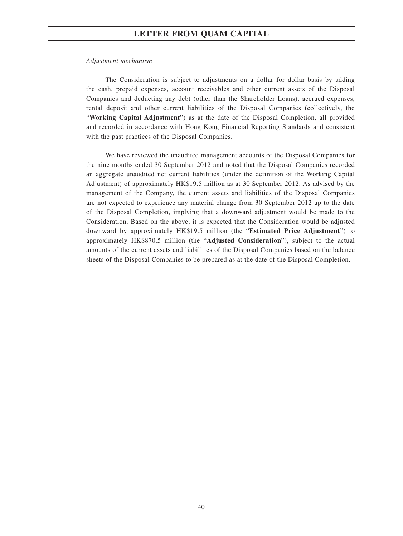### *Adjustment mechanism*

The Consideration is subject to adjustments on a dollar for dollar basis by adding the cash, prepaid expenses, account receivables and other current assets of the Disposal Companies and deducting any debt (other than the Shareholder Loans), accrued expenses, rental deposit and other current liabilities of the Disposal Companies (collectively, the "**Working Capital Adjustment**") as at the date of the Disposal Completion, all provided and recorded in accordance with Hong Kong Financial Reporting Standards and consistent with the past practices of the Disposal Companies.

We have reviewed the unaudited management accounts of the Disposal Companies for the nine months ended 30 September 2012 and noted that the Disposal Companies recorded an aggregate unaudited net current liabilities (under the definition of the Working Capital Adjustment) of approximately HK\$19.5 million as at 30 September 2012. As advised by the management of the Company, the current assets and liabilities of the Disposal Companies are not expected to experience any material change from 30 September 2012 up to the date of the Disposal Completion, implying that a downward adjustment would be made to the Consideration. Based on the above, it is expected that the Consideration would be adjusted downward by approximately HK\$19.5 million (the "**Estimated Price Adjustment**") to approximately HK\$870.5 million (the "**Adjusted Consideration**"), subject to the actual amounts of the current assets and liabilities of the Disposal Companies based on the balance sheets of the Disposal Companies to be prepared as at the date of the Disposal Completion.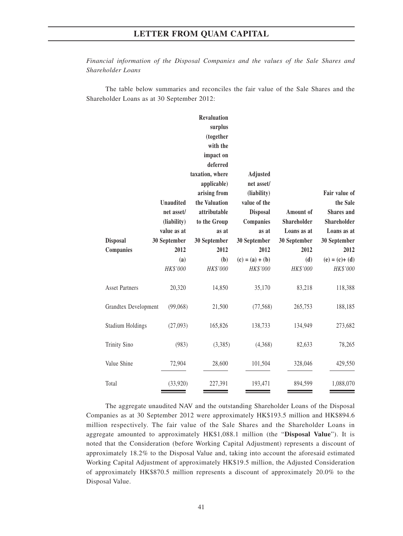*Financial information of the Disposal Companies and the values of the Sale Shares and Shareholder Loans*

The table below summaries and reconciles the fair value of the Sale Shares and the Shareholder Loans as at 30 September 2012:

|                         |                  | <b>Revaluation</b> |                   |              |                   |
|-------------------------|------------------|--------------------|-------------------|--------------|-------------------|
|                         |                  | surplus            |                   |              |                   |
|                         |                  | (together          |                   |              |                   |
|                         |                  | with the           |                   |              |                   |
|                         |                  | impact on          |                   |              |                   |
|                         |                  | deferred           |                   |              |                   |
|                         |                  | taxation, where    | Adjusted          |              |                   |
|                         |                  | applicable)        | net asset/        |              |                   |
|                         |                  | arising from       | (liability)       |              | Fair value of     |
|                         | <b>Unaudited</b> | the Valuation      | value of the      |              | the Sale          |
|                         | net asset/       | attributable       | <b>Disposal</b>   | Amount of    | <b>Shares</b> and |
|                         | (liability)      | to the Group       | Companies         | Shareholder  | Shareholder       |
|                         | value as at      | as at              | as at             | Loans as at  | Loans as at       |
| <b>Disposal</b>         | 30 September     | 30 September       | 30 September      | 30 September | 30 September      |
| Companies               | 2012             | 2012               | 2012              | 2012         | 2012              |
|                         | (a)              | (b)                | $(c) = (a) + (b)$ | (d)          | $(e) = (c) + (d)$ |
|                         | HK\$'000         | HK\$'000           | HK\$'000          | HK\$'000     | HK\$'000          |
|                         |                  |                    |                   |              |                   |
| <b>Asset Partners</b>   | 20,320           | 14,850             | 35,170            | 83,218       | 118,388           |
|                         |                  |                    |                   |              |                   |
| Grandtex Development    | (99,068)         | 21,500             | (77, 568)         | 265,753      | 188,185           |
|                         |                  |                    |                   |              |                   |
| <b>Stadium Holdings</b> | (27,093)         | 165,826            | 138,733           | 134,949      | 273,682           |
|                         |                  |                    |                   |              |                   |
| <b>Trinity Sino</b>     | (983)            | (3,385)            | (4,368)           | 82,633       | 78,265            |
|                         |                  |                    |                   |              |                   |
| Value Shine             | 72,904           | 28,600             | 101,504           | 328,046      | 429,550           |
|                         |                  |                    |                   |              |                   |
| Total                   | (33,920)         | 227,391            | 193,471           | 894,599      | 1,088,070         |

The aggregate unaudited NAV and the outstanding Shareholder Loans of the Disposal Companies as at 30 September 2012 were approximately HK\$193.5 million and HK\$894.6 million respectively. The fair value of the Sale Shares and the Shareholder Loans in aggregate amounted to approximately HK\$1,088.1 million (the "**Disposal Value**"). It is noted that the Consideration (before Working Capital Adjustment) represents a discount of approximately 18.2% to the Disposal Value and, taking into account the aforesaid estimated Working Capital Adjustment of approximately HK\$19.5 million, the Adjusted Consideration of approximately HK\$870.5 million represents a discount of approximately 20.0% to the Disposal Value.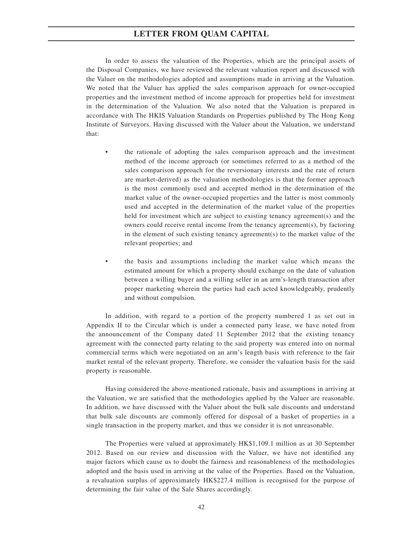In order to assess the valuation of the Properties, which are the principal assets of the Disposal Companies, we have reviewed the relevant valuation report and discussed with the Valuer on the methodologies adopted and assumptions made in arriving at the Valuation. We noted that the Valuer has applied the sales comparison approach for owner-occupied properties and the investment method of income approach for properties held for investment in the determination of the Valuation. We also noted that the Valuation is prepared in accordance with The HKIS Valuation Standards on Properties published by The Hong Kong Institute of Surveyors. Having discussed with the Valuer about the Valuation, we understand that:

- the rationale of adopting the sales comparison approach and the investment method of the income approach (or sometimes referred to as a method of the sales comparison approach for the reversionary interests and the rate of return are market-derived) as the valuation methodologies is that the former approach is the most commonly used and accepted method in the determination of the market value of the owner-occupied properties and the latter is most commonly used and accepted in the determination of the market value of the properties held for investment which are subject to existing tenancy agreement(s) and the owners could receive rental income from the tenancy agreement(s), by factoring in the element of such existing tenancy agreement(s) to the market value of the relevant properties; and
- the basis and assumptions including the market value which means the estimated amount for which a property should exchange on the date of valuation between a willing buyer and a willing seller in an arm's-length transaction after proper marketing wherein the parties had each acted knowledgeably, prudently and without compulsion.

In addition, with regard to a portion of the property numbered 1 as set out in Appendix II to the Circular which is under a connected party lease, we have noted from the announcement of the Company dated 11 September 2012 that the existing tenancy agreement with the connected party relating to the said property was entered into on normal commercial terms which were negotiated on an arm's length basis with reference to the fair market rental of the relevant property. Therefore, we consider the valuation basis for the said property is reasonable.

Having considered the above-mentioned rationale, basis and assumptions in arriving at the Valuation, we are satisfied that the methodologies applied by the Valuer are reasonable. In addition, we have discussed with the Valuer about the bulk sale discounts and understand that bulk sale discounts are commonly offered for disposal of a basket of properties in a single transaction in the property market, and thus we consider it is not unreasonable.

The Properties were valued at approximately HK\$1,109.1 million as at 30 September 2012. Based on our review and discussion with the Valuer, we have not identified any major factors which cause us to doubt the fairness and reasonableness of the methodologies adopted and the basis used in arriving at the value of the Properties. Based on the Valuation, a revaluation surplus of approximately HK\$227.4 million is recognised for the purpose of determining the fair value of the Sale Shares accordingly.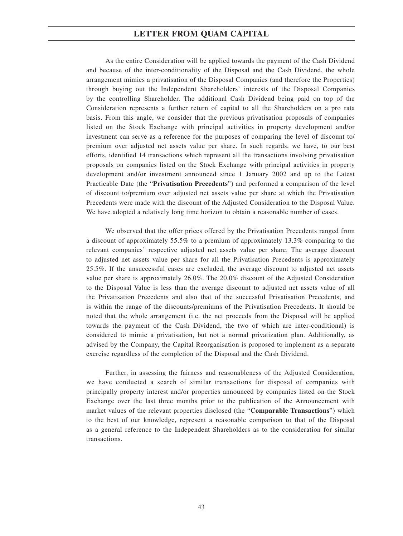As the entire Consideration will be applied towards the payment of the Cash Dividend and because of the inter-conditionality of the Disposal and the Cash Dividend, the whole arrangement mimics a privatisation of the Disposal Companies (and therefore the Properties) through buying out the Independent Shareholders' interests of the Disposal Companies by the controlling Shareholder. The additional Cash Dividend being paid on top of the Consideration represents a further return of capital to all the Shareholders on a pro rata basis. From this angle, we consider that the previous privatisation proposals of companies listed on the Stock Exchange with principal activities in property development and/or investment can serve as a reference for the purposes of comparing the level of discount to/ premium over adjusted net assets value per share. In such regards, we have, to our best efforts, identified 14 transactions which represent all the transactions involving privatisation proposals on companies listed on the Stock Exchange with principal activities in property development and/or investment announced since 1 January 2002 and up to the Latest Practicable Date (the "**Privatisation Precedents**") and performed a comparison of the level of discount to/premium over adjusted net assets value per share at which the Privatisation Precedents were made with the discount of the Adjusted Consideration to the Disposal Value. We have adopted a relatively long time horizon to obtain a reasonable number of cases.

We observed that the offer prices offered by the Privatisation Precedents ranged from a discount of approximately 55.5% to a premium of approximately 13.3% comparing to the relevant companies' respective adjusted net assets value per share. The average discount to adjusted net assets value per share for all the Privatisation Precedents is approximately 25.5%. If the unsuccessful cases are excluded, the average discount to adjusted net assets value per share is approximately 26.0%. The 20.0% discount of the Adjusted Consideration to the Disposal Value is less than the average discount to adjusted net assets value of all the Privatisation Precedents and also that of the successful Privatisation Precedents, and is within the range of the discounts/premiums of the Privatisation Precedents. It should be noted that the whole arrangement (i.e. the net proceeds from the Disposal will be applied towards the payment of the Cash Dividend, the two of which are inter-conditional) is considered to mimic a privatisation, but not a normal privatization plan. Additionally, as advised by the Company, the Capital Reorganisation is proposed to implement as a separate exercise regardless of the completion of the Disposal and the Cash Dividend.

Further, in assessing the fairness and reasonableness of the Adjusted Consideration, we have conducted a search of similar transactions for disposal of companies with principally property interest and/or properties announced by companies listed on the Stock Exchange over the last three months prior to the publication of the Announcement with market values of the relevant properties disclosed (the "**Comparable Transactions**") which to the best of our knowledge, represent a reasonable comparison to that of the Disposal as a general reference to the Independent Shareholders as to the consideration for similar transactions.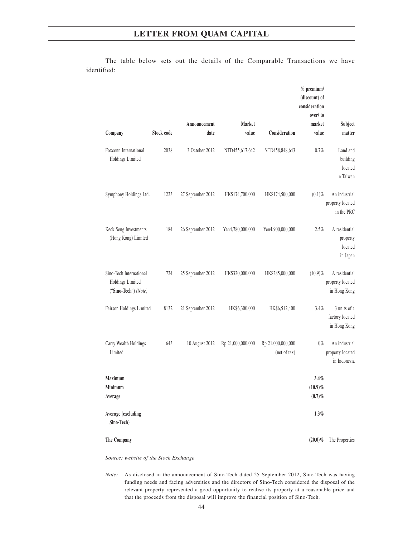|                                                                     |            |                      |                        |                                   | $%$ premium/<br>(discount) of<br>consideration<br>over/to |                                                   |
|---------------------------------------------------------------------|------------|----------------------|------------------------|-----------------------------------|-----------------------------------------------------------|---------------------------------------------------|
| Company                                                             | Stock code | Announcement<br>date | <b>Market</b><br>value | Consideration                     | market<br>value                                           | Subject<br>matter                                 |
| Foxconn International<br>Holdings Limited                           | 2038       | 3 October 2012       | NTD455,617,642         | NTD458,848,643                    | 0.7%                                                      | Land and<br>building<br>located<br>in Taiwan      |
| Symphony Holdings Ltd.                                              | 1223       | 27 September 2012    | HK\$174,700,000        | HK\$174,500,000                   | $(0.1)\%$                                                 | An industrial<br>property located<br>in the PRC   |
| Keck Seng Investments<br>(Hong Kong) Limited                        | 184        | 26 September 2012    | Yen4,780,000,000       | Yen4,900,000,000                  | 2.5%                                                      | A residential<br>property<br>located<br>in Japan  |
| Sino-Tech International<br>Holdings Limited<br>("Sino-Tech") (Note) | 724        | 25 September 2012    | HK\$320,000,000        | HK\$285,000,000                   | $(10.9)\%$                                                | A residential<br>property located<br>in Hong Kong |
| Fairson Holdings Limited                                            | 8132       | 21 September 2012    | HK\$6,300,000          | HK\$6,512,400                     | 3.4%                                                      | 3 units of a<br>factory located<br>in Hong Kong   |
| Carry Wealth Holdings<br>Limited                                    | 643        | 10 August 2012       | Rp 21,000,000,000      | Rp 21,000,000,000<br>(net of tax) | $0\%$                                                     | An industrial<br>property located<br>in Indonesia |
| <b>Maximum</b><br>Minimum<br>Average                                |            |                      |                        |                                   | 3.4%<br>$(10.9)\%$<br>$(0.7)\%$                           |                                                   |
| Average (excluding<br>Sino-Tech)                                    |            |                      |                        |                                   | $1.3\%$                                                   |                                                   |
| The Company                                                         |            |                      |                        |                                   | $(20.0)\%$                                                | The Properties                                    |

The table below sets out the details of the Comparable Transactions we have identified:

*Source: website of the Stock Exchange*

*Note:* As disclosed in the announcement of Sino-Tech dated 25 September 2012, Sino-Tech was having funding needs and facing adversities and the directors of Sino-Tech considered the disposal of the relevant property represented a good opportunity to realise its property at a reasonable price and that the proceeds from the disposal will improve the financial position of Sino-Tech.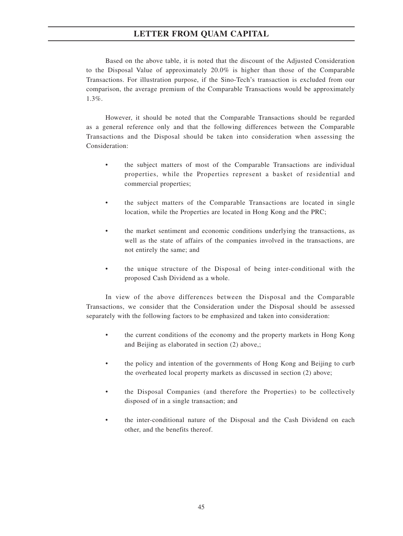Based on the above table, it is noted that the discount of the Adjusted Consideration to the Disposal Value of approximately 20.0% is higher than those of the Comparable Transactions. For illustration purpose, if the Sino-Tech's transaction is excluded from our comparison, the average premium of the Comparable Transactions would be approximately 1.3%.

However, it should be noted that the Comparable Transactions should be regarded as a general reference only and that the following differences between the Comparable Transactions and the Disposal should be taken into consideration when assessing the Consideration:

- the subject matters of most of the Comparable Transactions are individual properties, while the Properties represent a basket of residential and commercial properties;
- the subject matters of the Comparable Transactions are located in single location, while the Properties are located in Hong Kong and the PRC;
- the market sentiment and economic conditions underlying the transactions, as well as the state of affairs of the companies involved in the transactions, are not entirely the same; and
- the unique structure of the Disposal of being inter-conditional with the proposed Cash Dividend as a whole.

In view of the above differences between the Disposal and the Comparable Transactions, we consider that the Consideration under the Disposal should be assessed separately with the following factors to be emphasized and taken into consideration:

- the current conditions of the economy and the property markets in Hong Kong and Beijing as elaborated in section (2) above,;
- the policy and intention of the governments of Hong Kong and Beijing to curb the overheated local property markets as discussed in section (2) above;
- the Disposal Companies (and therefore the Properties) to be collectively disposed of in a single transaction; and
- the inter-conditional nature of the Disposal and the Cash Dividend on each other, and the benefits thereof.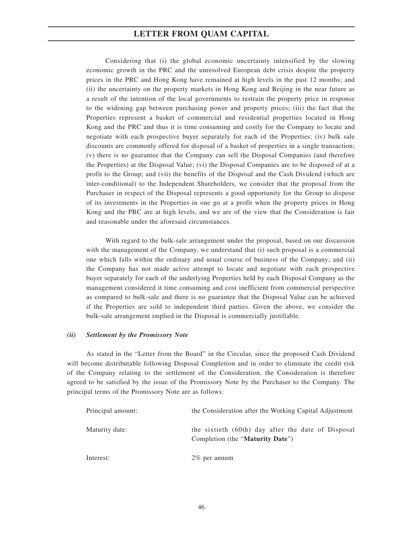Considering that (i) the global economic uncertainty intensified by the slowing economic growth in the PRC and the unresolved European debt crisis despite the property prices in the PRC and Hong Kong have remained at high levels in the past 12 months; and (ii) the uncertainty on the property markets in Hong Kong and Beijing in the near future as a result of the intention of the local governments to restrain the property price in response to the widening gap between purchasing power and property prices; (iii) the fact that the Properties represent a basket of commercial and residential properties located in Hong Kong and the PRC and thus it is time consuming and costly for the Company to locate and negotiate with each prospective buyer separately for each of the Properties; (iv) bulk sale discounts are commonly offered for disposal of a basket of properties in a single transaction; (v) there is no guarantee that the Company can sell the Disposal Companies (and therefore the Properties) at the Disposal Value; (vi) the Disposal Companies are to be disposed of at a profit to the Group; and (vii) the benefits of the Disposal and the Cash Dividend (which are inter-conditional) to the Independent Shareholders, we consider that the proposal from the Purchaser in respect of the Disposal represents a good opportunity for the Group to dispose of its investments in the Properties in one go at a profit when the property prices in Hong Kong and the PRC are at high levels, and we are of the view that the Consideration is fair and reasonable under the aforesaid circumstances.

With regard to the bulk-sale arrangement under the proposal, based on our discussion with the management of the Company, we understand that (i) such proposal is a commercial one which falls within the ordinary and usual course of business of the Company; and (ii) the Company has not made active attempt to locate and negotiate with each prospective buyer separately for each of the underlying Properties held by each Disposal Company as the management considered it time consuming and cost inefficient from commercial perspective as compared to bulk-sale and there is no guarantee that the Disposal Value can be achieved if the Properties are sold to independent third parties. Given the above, we consider the bulk-sale arrangement implied in the Disposal is commercially justifiable.

### *(ii) Settlement by the Promissory Note*

As stated in the "Letter from the Board" in the Circular, since the proposed Cash Dividend will become distributable following Disposal Completion and in order to eliminate the credit risk of the Company relating to the settlement of the Consideration, the Consideration is therefore agreed to be satisfied by the issue of the Promissory Note by the Purchaser to the Company. The principal terms of the Promissory Note are as follows:

| Principal amount: | the Consideration after the Working Capital Adjustment                                 |
|-------------------|----------------------------------------------------------------------------------------|
| Maturity date:    | the sixtieth (60th) day after the date of Disposal<br>Completion (the "Maturity Date") |
| Interest:         | $2\%$ per annum                                                                        |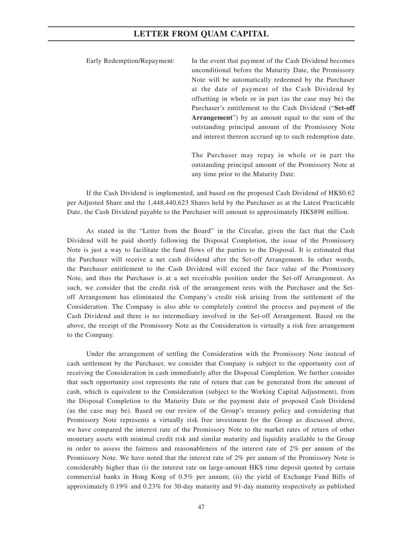Early Redemption/Repayment: In the event that payment of the Cash Dividend becomes unconditional before the Maturity Date, the Promissory Note will be automatically redeemed by the Purchaser at the date of payment of the Cash Dividend by offsetting in whole or in part (as the case may be) the Purchaser's entitlement to the Cash Dividend ("**Set-off Arrangement**") by an amount equal to the sum of the outstanding principal amount of the Promissory Note and interest thereon accrued up to such redemption date.

> The Purchaser may repay in whole or in part the outstanding principal amount of the Promissory Note at any time prior to the Maturity Date.

If the Cash Dividend is implemented, and based on the proposed Cash Dividend of HK\$0.62 per Adjusted Share and the 1,448,440,623 Shares held by the Purchaser as at the Latest Practicable Date, the Cash Dividend payable to the Purchaser will amount to approximately HK\$898 million.

As stated in the "Letter from the Board" in the Circular, given the fact that the Cash Dividend will be paid shortly following the Disposal Completion, the issue of the Promissory Note is just a way to facilitate the fund flows of the parties to the Disposal. It is estimated that the Purchaser will receive a net cash dividend after the Set-off Arrangement. In other words, the Purchaser entitlement to the Cash Dividend will exceed the face value of the Promissory Note, and thus the Purchaser is at a net receivable position under the Set-off Arrangement. As such, we consider that the credit risk of the arrangement rests with the Purchaser and the Setoff Arrangement has eliminated the Company's credit risk arising from the settlement of the Consideration. The Company is also able to completely control the process and payment of the Cash Dividend and there is no intermediary involved in the Set-off Arrangement. Based on the above, the receipt of the Promissory Note as the Consideration is virtually a risk free arrangement to the Company.

Under the arrangement of settling the Consideration with the Promissory Note instead of cash settlement by the Purchaser, we consider that Company is subject to the opportunity cost of receiving the Consideration in cash immediately after the Disposal Completion. We further consider that such opportunity cost represents the rate of return that can be generated from the amount of cash, which is equivalent to the Consideration (subject to the Working Capital Adjustment), from the Disposal Completion to the Maturity Date or the payment date of proposed Cash Dividend (as the case may be). Based on our review of the Group's treasury policy and considering that Promissory Note represents a virtually risk free investment for the Group as discussed above, we have compared the interest rate of the Promissory Note to the market rates of return of other monetary assets with minimal credit risk and similar maturity and liquidity available to the Group in order to assess the fairness and reasonableness of the interest rate of 2% per annum of the Promissory Note. We have noted that the interest rate of 2% per annum of the Promissory Note is considerably higher than (i) the interest rate on large-amount HK\$ time deposit quoted by certain commercial banks in Hong Kong of 0.5% per annum; (ii) the yield of Exchange Fund Bills of approximately 0.19% and 0.23% for 30-day maturity and 91-day maturity respectively as published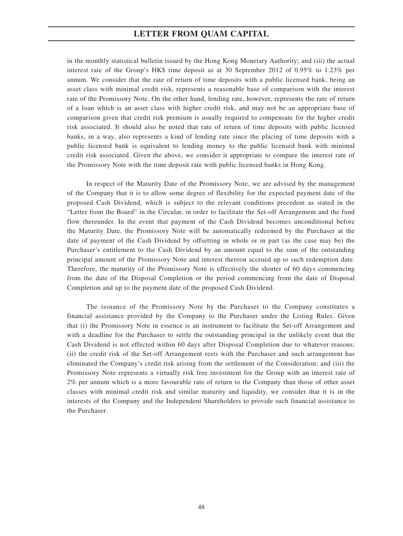in the monthly statistical bulletin issued by the Hong Kong Monetary Authority; and (iii) the actual interest rate of the Group's HK\$ time deposit as at 30 September 2012 of 0.95% to 1.23% per annum. We consider that the rate of return of time deposits with a public licensed bank, being an asset class with minimal credit risk, represents a reasonable base of comparison with the interest rate of the Promissory Note. On the other hand, lending rate, however, represents the rate of return of a loan which is an asset class with higher credit risk, and may not be an appropriate base of comparison given that credit risk premium is usually required to compensate for the higher credit risk associated. It should also be noted that rate of return of time deposits with public licensed banks, in a way, also represents a kind of lending rate since the placing of time deposits with a public licensed bank is equivalent to lending money to the public licensed bank with minimal credit risk associated. Given the above, we consider it appropriate to compare the interest rate of the Promissory Note with the time deposit rate with public licensed banks in Hong Kong.

In respect of the Maturity Date of the Promissory Note, we are advised by the management of the Company that it is to allow some degree of flexibility for the expected payment date of the proposed Cash Dividend, which is subject to the relevant conditions precedent as stated in the "Letter from the Board" in the Circular, in order to facilitate the Set-off Arrangement and the fund flow thereunder. In the event that payment of the Cash Dividend becomes unconditional before the Maturity Date, the Promissory Note will be automatically redeemed by the Purchaser at the date of payment of the Cash Dividend by offsetting in whole or in part (as the case may be) the Purchaser's entitlement to the Cash Dividend by an amount equal to the sum of the outstanding principal amount of the Promissory Note and interest thereon accrued up to such redemption date. Therefore, the maturity of the Promissory Note is effectively the shorter of 60 days commencing from the date of the Disposal Completion or the period commencing from the date of Disposal Completion and up to the payment date of the proposed Cash Dividend.

The issuance of the Promissory Note by the Purchaser to the Company constitutes a financial assistance provided by the Company to the Purchaser under the Listing Rules. Given that (i) the Promissory Note in essence is an instrument to facilitate the Set-off Arrangement and with a deadline for the Purchaser to settle the outstanding principal in the unlikely event that the Cash Dividend is not effected within 60 days after Disposal Completion due to whatever reasons; (ii) the credit risk of the Set-off Arrangement rests with the Purchaser and such arrangement has eliminated the Company's credit risk arising from the settlement of the Consideration; and (iii) the Promissory Note represents a virtually risk free investment for the Group with an interest rate of 2% per annum which is a more favourable rate of return to the Company than those of other asset classes with minimal credit risk and similar maturity and liquidity, we consider that it is in the interests of the Company and the Independent Shareholders to provide such financial assistance to the Purchaser.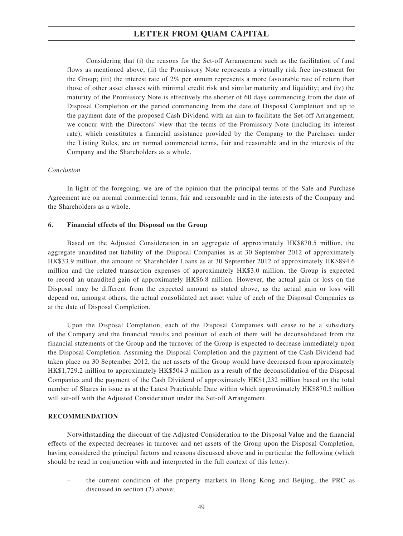Considering that (i) the reasons for the Set-off Arrangement such as the facilitation of fund flows as mentioned above; (ii) the Promissory Note represents a virtually risk free investment for the Group; (iii) the interest rate of 2% per annum represents a more favourable rate of return than those of other asset classes with minimal credit risk and similar maturity and liquidity; and (iv) the maturity of the Promissory Note is effectively the shorter of 60 days commencing from the date of Disposal Completion or the period commencing from the date of Disposal Completion and up to the payment date of the proposed Cash Dividend with an aim to facilitate the Set-off Arrangement, we concur with the Directors' view that the terms of the Promissory Note (including its interest rate), which constitutes a financial assistance provided by the Company to the Purchaser under the Listing Rules, are on normal commercial terms, fair and reasonable and in the interests of the Company and the Shareholders as a whole.

### *Conclusion*

In light of the foregoing, we are of the opinion that the principal terms of the Sale and Purchase Agreement are on normal commercial terms, fair and reasonable and in the interests of the Company and the Shareholders as a whole.

### **6. Financial effects of the Disposal on the Group**

Based on the Adjusted Consideration in an aggregate of approximately HK\$870.5 million, the aggregate unaudited net liability of the Disposal Companies as at 30 September 2012 of approximately HK\$33.9 million, the amount of Shareholder Loans as at 30 September 2012 of approximately HK\$894.6 million and the related transaction expenses of approximately HK\$3.0 million, the Group is expected to record an unaudited gain of approximately HK\$6.8 million. However, the actual gain or loss on the Disposal may be different from the expected amount as stated above, as the actual gain or loss will depend on, amongst others, the actual consolidated net asset value of each of the Disposal Companies as at the date of Disposal Completion.

Upon the Disposal Completion, each of the Disposal Companies will cease to be a subsidiary of the Company and the financial results and position of each of them will be deconsolidated from the financial statements of the Group and the turnover of the Group is expected to decrease immediately upon the Disposal Completion. Assuming the Disposal Completion and the payment of the Cash Dividend had taken place on 30 September 2012, the net assets of the Group would have decreased from approximately HK\$1,729.2 million to approximately HK\$504.3 million as a result of the deconsolidation of the Disposal Companies and the payment of the Cash Dividend of approximately HK\$1,232 million based on the total number of Shares in issue as at the Latest Practicable Date within which approximately HK\$870.5 million will set-off with the Adjusted Consideration under the Set-off Arrangement.

### **RECOMMENDATION**

Notwithstanding the discount of the Adjusted Consideration to the Disposal Value and the financial effects of the expected decreases in turnover and net assets of the Group upon the Disposal Completion, having considered the principal factors and reasons discussed above and in particular the following (which should be read in conjunction with and interpreted in the full context of this letter):

– the current condition of the property markets in Hong Kong and Beijing, the PRC as discussed in section (2) above;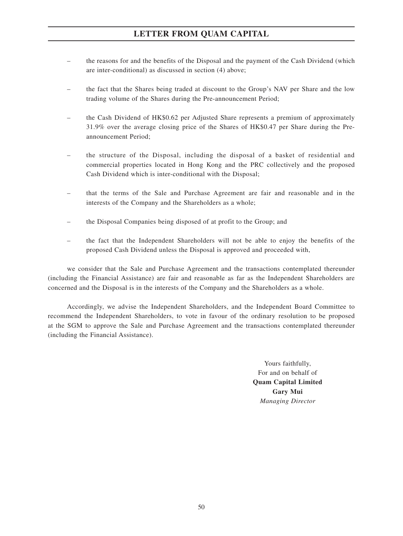- the reasons for and the benefits of the Disposal and the payment of the Cash Dividend (which are inter-conditional) as discussed in section (4) above;
- the fact that the Shares being traded at discount to the Group's NAV per Share and the low trading volume of the Shares during the Pre-announcement Period;
- the Cash Dividend of HK\$0.62 per Adjusted Share represents a premium of approximately 31.9% over the average closing price of the Shares of HK\$0.47 per Share during the Preannouncement Period;
- the structure of the Disposal, including the disposal of a basket of residential and commercial properties located in Hong Kong and the PRC collectively and the proposed Cash Dividend which is inter-conditional with the Disposal;
- that the terms of the Sale and Purchase Agreement are fair and reasonable and in the interests of the Company and the Shareholders as a whole;
- the Disposal Companies being disposed of at profit to the Group; and
- the fact that the Independent Shareholders will not be able to enjoy the benefits of the proposed Cash Dividend unless the Disposal is approved and proceeded with,

we consider that the Sale and Purchase Agreement and the transactions contemplated thereunder (including the Financial Assistance) are fair and reasonable as far as the Independent Shareholders are concerned and the Disposal is in the interests of the Company and the Shareholders as a whole.

Accordingly, we advise the Independent Shareholders, and the Independent Board Committee to recommend the Independent Shareholders, to vote in favour of the ordinary resolution to be proposed at the SGM to approve the Sale and Purchase Agreement and the transactions contemplated thereunder (including the Financial Assistance).

> Yours faithfully, For and on behalf of **Quam Capital Limited Gary Mui** *Managing Director*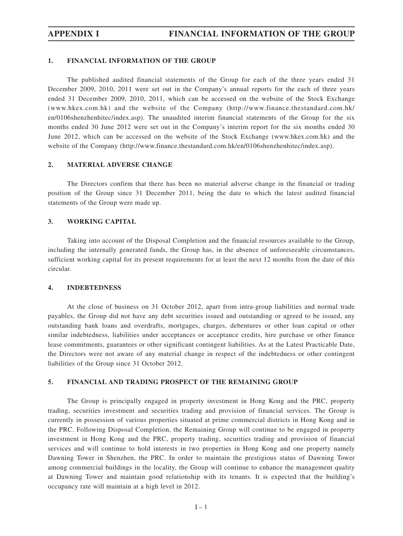## **1. FINANCIAL INFORMATION OF THE GROUP**

The published audited financial statements of the Group for each of the three years ended 31 December 2009, 2010, 2011 were set out in the Company's annual reports for the each of three years ended 31 December 2009, 2010, 2011, which can be accessed on the website of the Stock Exchange (www.hkex.com.hk) and the website of the Company (http://www.finance.thestandard.com.hk/ en/0106shenzhenhitec/index.asp). The unaudited interim financial statements of the Group for the six months ended 30 June 2012 were set out in the Company's interim report for the six months ended 30 June 2012, which can be accessed on the website of the Stock Exchange (www.hkex.com.hk) and the website of the Company (http://www.finance.thestandard.com.hk/en/0106shenzhenhitec/index.asp).

### **2. MATERIAL ADVERSE CHANGE**

The Directors confirm that there has been no material adverse change in the financial or trading position of the Group since 31 December 2011, being the date to which the latest audited financial statements of the Group were made up.

### **3. WORKING CAPITAL**

Taking into account of the Disposal Completion and the financial resources available to the Group, including the internally generated funds, the Group has, in the absence of unforeseeable circumstances, sufficient working capital for its present requirements for at least the next 12 months from the date of this circular.

### **4. INDEBTEDNESS**

At the close of business on 31 October 2012, apart from intra-group liabilities and normal trade payables, the Group did not have any debt securities issued and outstanding or agreed to be issued, any outstanding bank loans and overdrafts, mortgages, charges, debentures or other loan capital or other similar indebtedness, liabilities under acceptances or acceptance credits, hire purchase or other finance lease commitments, guarantees or other significant contingent liabilities. As at the Latest Practicable Date, the Directors were not aware of any material change in respect of the indebtedness or other contingent liabilities of the Group since 31 October 2012.

### **5. FINANCIAL AND TRADING PROSPECT OF THE REMAINING GROUP**

The Group is principally engaged in property investment in Hong Kong and the PRC, property trading, securities investment and securities trading and provision of financial services. The Group is currently in possession of various properties situated at prime commercial districts in Hong Kong and in the PRC. Following Disposal Completion, the Remaining Group will continue to be engaged in property investment in Hong Kong and the PRC, property trading, securities trading and provision of financial services and will continue to hold interests in two properties in Hong Kong and one property namely Dawning Tower in Shenzhen, the PRC. In order to maintain the prestigious status of Dawning Tower among commercial buildings in the locality, the Group will continue to enhance the management quality at Dawning Tower and maintain good relationship with its tenants. It is expected that the building's occupancy rate will maintain at a high level in 2012.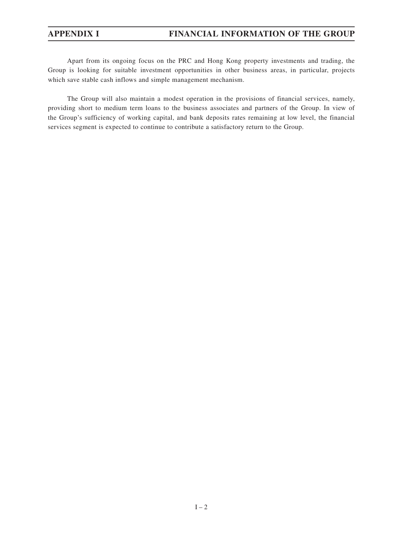Apart from its ongoing focus on the PRC and Hong Kong property investments and trading, the Group is looking for suitable investment opportunities in other business areas, in particular, projects which save stable cash inflows and simple management mechanism.

The Group will also maintain a modest operation in the provisions of financial services, namely, providing short to medium term loans to the business associates and partners of the Group. In view of the Group's sufficiency of working capital, and bank deposits rates remaining at low level, the financial services segment is expected to continue to contribute a satisfactory return to the Group.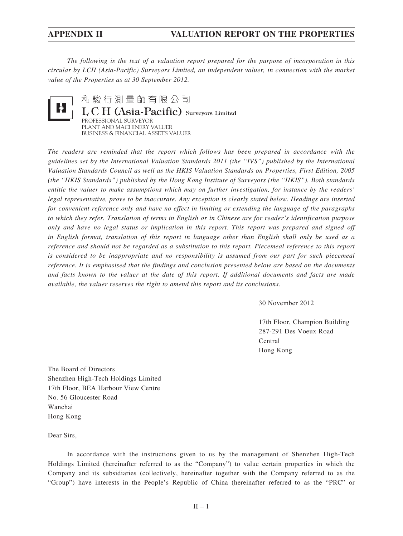*The following is the text of a valuation report prepared for the purpose of incorporation in this circular by LCH (Asia-Pacific) Surveyors Limited, an independent valuer, in connection with the market value of the Properties as at 30 September 2012.*



利駿行測量師有限公司 L C H (Asia-Pacific) Surveyors Limited PROFESSIONAL SURVEYOR PLANT AND MACHINERY VALUER BUSINESS & FINANCIAL ASSETS VALUER

*The readers are reminded that the report which follows has been prepared in accordance with the guidelines set by the International Valuation Standards 2011 (the "IVS") published by the International Valuation Standards Council as well as the HKIS Valuation Standards on Properties, First Edition, 2005 (the "HKIS Standards") published by the Hong Kong Institute of Surveyors (the "HKIS"). Both standards entitle the valuer to make assumptions which may on further investigation, for instance by the readers' legal representative, prove to be inaccurate. Any exception is clearly stated below. Headings are inserted for convenient reference only and have no effect in limiting or extending the language of the paragraphs to which they refer. Translation of terms in English or in Chinese are for reader's identification purpose only and have no legal status or implication in this report. This report was prepared and signed off in English format, translation of this report in language other than English shall only be used as a reference and should not be regarded as a substitution to this report. Piecemeal reference to this report is considered to be inappropriate and no responsibility is assumed from our part for such piecemeal reference. It is emphasised that the findings and conclusion presented below are based on the documents and facts known to the valuer at the date of this report. If additional documents and facts are made available, the valuer reserves the right to amend this report and its conclusions.*

30 November 2012

17th Floor, Champion Building 287-291 Des Voeux Road Central Hong Kong

The Board of Directors Shenzhen High-Tech Holdings Limited 17th Floor, BEA Harbour View Centre No. 56 Gloucester Road Wanchai Hong Kong

Dear Sirs,

In accordance with the instructions given to us by the management of Shenzhen High-Tech Holdings Limited (hereinafter referred to as the "Company") to value certain properties in which the Company and its subsidiaries (collectively, hereinafter together with the Company referred to as the "Group") have interests in the People's Republic of China (hereinafter referred to as the "PRC" or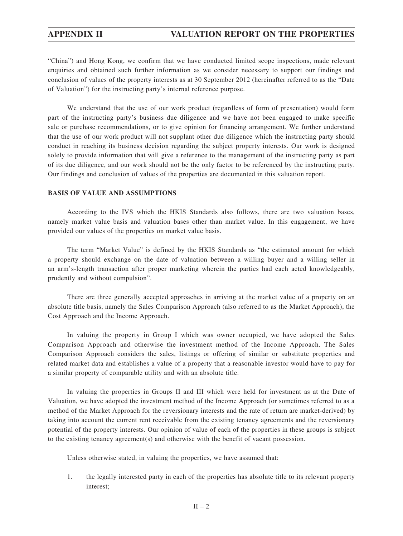"China") and Hong Kong, we confirm that we have conducted limited scope inspections, made relevant enquiries and obtained such further information as we consider necessary to support our findings and conclusion of values of the property interests as at 30 September 2012 (hereinafter referred to as the "Date of Valuation") for the instructing party's internal reference purpose.

We understand that the use of our work product (regardless of form of presentation) would form part of the instructing party's business due diligence and we have not been engaged to make specific sale or purchase recommendations, or to give opinion for financing arrangement. We further understand that the use of our work product will not supplant other due diligence which the instructing party should conduct in reaching its business decision regarding the subject property interests. Our work is designed solely to provide information that will give a reference to the management of the instructing party as part of its due diligence, and our work should not be the only factor to be referenced by the instructing party. Our findings and conclusion of values of the properties are documented in this valuation report.

### **BASIS OF VALUE AND ASSUMPTIONS**

According to the IVS which the HKIS Standards also follows, there are two valuation bases, namely market value basis and valuation bases other than market value. In this engagement, we have provided our values of the properties on market value basis.

The term "Market Value" is defined by the HKIS Standards as "the estimated amount for which a property should exchange on the date of valuation between a willing buyer and a willing seller in an arm's-length transaction after proper marketing wherein the parties had each acted knowledgeably, prudently and without compulsion".

There are three generally accepted approaches in arriving at the market value of a property on an absolute title basis, namely the Sales Comparison Approach (also referred to as the Market Approach), the Cost Approach and the Income Approach.

In valuing the property in Group I which was owner occupied, we have adopted the Sales Comparison Approach and otherwise the investment method of the Income Approach. The Sales Comparison Approach considers the sales, listings or offering of similar or substitute properties and related market data and establishes a value of a property that a reasonable investor would have to pay for a similar property of comparable utility and with an absolute title.

In valuing the properties in Groups II and III which were held for investment as at the Date of Valuation, we have adopted the investment method of the Income Approach (or sometimes referred to as a method of the Market Approach for the reversionary interests and the rate of return are market-derived) by taking into account the current rent receivable from the existing tenancy agreements and the reversionary potential of the property interests. Our opinion of value of each of the properties in these groups is subject to the existing tenancy agreement(s) and otherwise with the benefit of vacant possession.

Unless otherwise stated, in valuing the properties, we have assumed that:

1. the legally interested party in each of the properties has absolute title to its relevant property interest;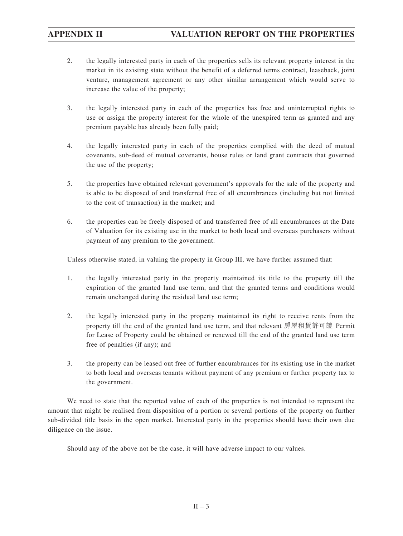- 2. the legally interested party in each of the properties sells its relevant property interest in the market in its existing state without the benefit of a deferred terms contract, leaseback, joint venture, management agreement or any other similar arrangement which would serve to increase the value of the property;
- 3. the legally interested party in each of the properties has free and uninterrupted rights to use or assign the property interest for the whole of the unexpired term as granted and any premium payable has already been fully paid;
- 4. the legally interested party in each of the properties complied with the deed of mutual covenants, sub-deed of mutual covenants, house rules or land grant contracts that governed the use of the property;
- 5. the properties have obtained relevant government's approvals for the sale of the property and is able to be disposed of and transferred free of all encumbrances (including but not limited to the cost of transaction) in the market; and
- 6. the properties can be freely disposed of and transferred free of all encumbrances at the Date of Valuation for its existing use in the market to both local and overseas purchasers without payment of any premium to the government.

Unless otherwise stated, in valuing the property in Group III, we have further assumed that:

- 1. the legally interested party in the property maintained its title to the property till the expiration of the granted land use term, and that the granted terms and conditions would remain unchanged during the residual land use term;
- 2. the legally interested party in the property maintained its right to receive rents from the property till the end of the granted land use term, and that relevant 房屋租賃許可證 Permit for Lease of Property could be obtained or renewed till the end of the granted land use term free of penalties (if any); and
- 3. the property can be leased out free of further encumbrances for its existing use in the market to both local and overseas tenants without payment of any premium or further property tax to the government.

We need to state that the reported value of each of the properties is not intended to represent the amount that might be realised from disposition of a portion or several portions of the property on further sub-divided title basis in the open market. Interested party in the properties should have their own due diligence on the issue.

Should any of the above not be the case, it will have adverse impact to our values.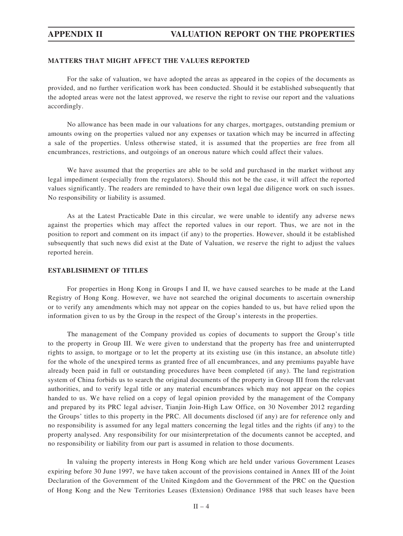## **MATTERS THAT MIGHT AFFECT THE VALUES REPORTED**

For the sake of valuation, we have adopted the areas as appeared in the copies of the documents as provided, and no further verification work has been conducted. Should it be established subsequently that the adopted areas were not the latest approved, we reserve the right to revise our report and the valuations accordingly.

No allowance has been made in our valuations for any charges, mortgages, outstanding premium or amounts owing on the properties valued nor any expenses or taxation which may be incurred in affecting a sale of the properties. Unless otherwise stated, it is assumed that the properties are free from all encumbrances, restrictions, and outgoings of an onerous nature which could affect their values.

We have assumed that the properties are able to be sold and purchased in the market without any legal impediment (especially from the regulators). Should this not be the case, it will affect the reported values significantly. The readers are reminded to have their own legal due diligence work on such issues. No responsibility or liability is assumed.

As at the Latest Practicable Date in this circular, we were unable to identify any adverse news against the properties which may affect the reported values in our report. Thus, we are not in the position to report and comment on its impact (if any) to the properties. However, should it be established subsequently that such news did exist at the Date of Valuation, we reserve the right to adjust the values reported herein.

## **ESTABLISHMENT OF TITLES**

For properties in Hong Kong in Groups I and II, we have caused searches to be made at the Land Registry of Hong Kong. However, we have not searched the original documents to ascertain ownership or to verify any amendments which may not appear on the copies handed to us, but have relied upon the information given to us by the Group in the respect of the Group's interests in the properties.

The management of the Company provided us copies of documents to support the Group's title to the property in Group III. We were given to understand that the property has free and uninterrupted rights to assign, to mortgage or to let the property at its existing use (in this instance, an absolute title) for the whole of the unexpired terms as granted free of all encumbrances, and any premiums payable have already been paid in full or outstanding procedures have been completed (if any). The land registration system of China forbids us to search the original documents of the property in Group III from the relevant authorities, and to verify legal title or any material encumbrances which may not appear on the copies handed to us. We have relied on a copy of legal opinion provided by the management of the Company and prepared by its PRC legal adviser, Tianjin Join-High Law Office, on 30 November 2012 regarding the Groups' titles to this property in the PRC. All documents disclosed (if any) are for reference only and no responsibility is assumed for any legal matters concerning the legal titles and the rights (if any) to the property analysed. Any responsibility for our misinterpretation of the documents cannot be accepted, and no responsibility or liability from our part is assumed in relation to those documents.

In valuing the property interests in Hong Kong which are held under various Government Leases expiring before 30 June 1997, we have taken account of the provisions contained in Annex III of the Joint Declaration of the Government of the United Kingdom and the Government of the PRC on the Question of Hong Kong and the New Territories Leases (Extension) Ordinance 1988 that such leases have been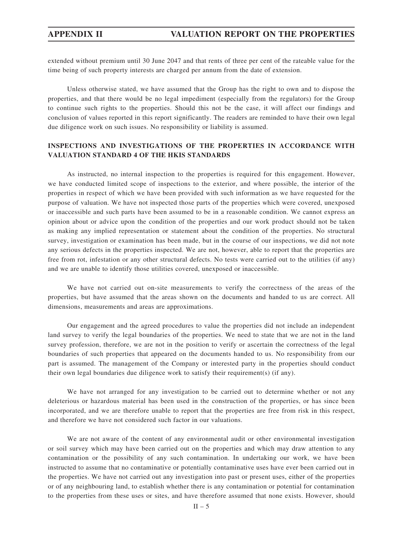extended without premium until 30 June 2047 and that rents of three per cent of the rateable value for the time being of such property interests are charged per annum from the date of extension.

Unless otherwise stated, we have assumed that the Group has the right to own and to dispose the properties, and that there would be no legal impediment (especially from the regulators) for the Group to continue such rights to the properties. Should this not be the case, it will affect our findings and conclusion of values reported in this report significantly. The readers are reminded to have their own legal due diligence work on such issues. No responsibility or liability is assumed.

## **INSPECTIONS AND INVESTIGATIONS OF THE PROPERTIES IN ACCORDANCE WITH VALUATION STANDARD 4 OF THE HKIS STANDARDS**

As instructed, no internal inspection to the properties is required for this engagement. However, we have conducted limited scope of inspections to the exterior, and where possible, the interior of the properties in respect of which we have been provided with such information as we have requested for the purpose of valuation. We have not inspected those parts of the properties which were covered, unexposed or inaccessible and such parts have been assumed to be in a reasonable condition. We cannot express an opinion about or advice upon the condition of the properties and our work product should not be taken as making any implied representation or statement about the condition of the properties. No structural survey, investigation or examination has been made, but in the course of our inspections, we did not note any serious defects in the properties inspected. We are not, however, able to report that the properties are free from rot, infestation or any other structural defects. No tests were carried out to the utilities (if any) and we are unable to identify those utilities covered, unexposed or inaccessible.

We have not carried out on-site measurements to verify the correctness of the areas of the properties, but have assumed that the areas shown on the documents and handed to us are correct. All dimensions, measurements and areas are approximations.

Our engagement and the agreed procedures to value the properties did not include an independent land survey to verify the legal boundaries of the properties. We need to state that we are not in the land survey profession, therefore, we are not in the position to verify or ascertain the correctness of the legal boundaries of such properties that appeared on the documents handed to us. No responsibility from our part is assumed. The management of the Company or interested party in the properties should conduct their own legal boundaries due diligence work to satisfy their requirement(s) (if any).

We have not arranged for any investigation to be carried out to determine whether or not any deleterious or hazardous material has been used in the construction of the properties, or has since been incorporated, and we are therefore unable to report that the properties are free from risk in this respect, and therefore we have not considered such factor in our valuations.

We are not aware of the content of any environmental audit or other environmental investigation or soil survey which may have been carried out on the properties and which may draw attention to any contamination or the possibility of any such contamination. In undertaking our work, we have been instructed to assume that no contaminative or potentially contaminative uses have ever been carried out in the properties. We have not carried out any investigation into past or present uses, either of the properties or of any neighbouring land, to establish whether there is any contamination or potential for contamination to the properties from these uses or sites, and have therefore assumed that none exists. However, should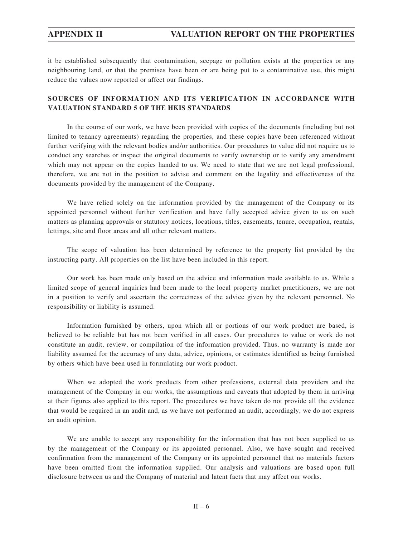it be established subsequently that contamination, seepage or pollution exists at the properties or any neighbouring land, or that the premises have been or are being put to a contaminative use, this might reduce the values now reported or affect our findings.

## **SOURCES OF INFORMATION AND ITS VERIFICATION IN ACCORDANCE WITH VALUATION STANDARD 5 OF THE HKIS STANDARDS**

In the course of our work, we have been provided with copies of the documents (including but not limited to tenancy agreements) regarding the properties, and these copies have been referenced without further verifying with the relevant bodies and/or authorities. Our procedures to value did not require us to conduct any searches or inspect the original documents to verify ownership or to verify any amendment which may not appear on the copies handed to us. We need to state that we are not legal professional, therefore, we are not in the position to advise and comment on the legality and effectiveness of the documents provided by the management of the Company.

We have relied solely on the information provided by the management of the Company or its appointed personnel without further verification and have fully accepted advice given to us on such matters as planning approvals or statutory notices, locations, titles, easements, tenure, occupation, rentals, lettings, site and floor areas and all other relevant matters.

The scope of valuation has been determined by reference to the property list provided by the instructing party. All properties on the list have been included in this report.

Our work has been made only based on the advice and information made available to us. While a limited scope of general inquiries had been made to the local property market practitioners, we are not in a position to verify and ascertain the correctness of the advice given by the relevant personnel. No responsibility or liability is assumed.

Information furnished by others, upon which all or portions of our work product are based, is believed to be reliable but has not been verified in all cases. Our procedures to value or work do not constitute an audit, review, or compilation of the information provided. Thus, no warranty is made nor liability assumed for the accuracy of any data, advice, opinions, or estimates identified as being furnished by others which have been used in formulating our work product.

When we adopted the work products from other professions, external data providers and the management of the Company in our works, the assumptions and caveats that adopted by them in arriving at their figures also applied to this report. The procedures we have taken do not provide all the evidence that would be required in an audit and, as we have not performed an audit, accordingly, we do not express an audit opinion.

We are unable to accept any responsibility for the information that has not been supplied to us by the management of the Company or its appointed personnel. Also, we have sought and received confirmation from the management of the Company or its appointed personnel that no materials factors have been omitted from the information supplied. Our analysis and valuations are based upon full disclosure between us and the Company of material and latent facts that may affect our works.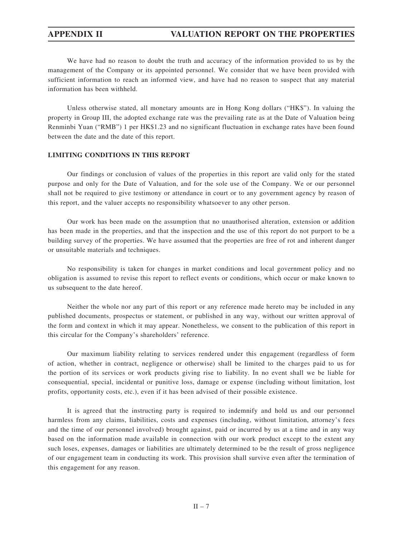We have had no reason to doubt the truth and accuracy of the information provided to us by the management of the Company or its appointed personnel. We consider that we have been provided with sufficient information to reach an informed view, and have had no reason to suspect that any material information has been withheld.

Unless otherwise stated, all monetary amounts are in Hong Kong dollars ("HK\$"). In valuing the property in Group III, the adopted exchange rate was the prevailing rate as at the Date of Valuation being Renminbi Yuan ("RMB") 1 per HK\$1.23 and no significant fluctuation in exchange rates have been found between the date and the date of this report.

## **LIMITING CONDITIONS IN THIS REPORT**

Our findings or conclusion of values of the properties in this report are valid only for the stated purpose and only for the Date of Valuation, and for the sole use of the Company. We or our personnel shall not be required to give testimony or attendance in court or to any government agency by reason of this report, and the valuer accepts no responsibility whatsoever to any other person.

Our work has been made on the assumption that no unauthorised alteration, extension or addition has been made in the properties, and that the inspection and the use of this report do not purport to be a building survey of the properties. We have assumed that the properties are free of rot and inherent danger or unsuitable materials and techniques.

No responsibility is taken for changes in market conditions and local government policy and no obligation is assumed to revise this report to reflect events or conditions, which occur or make known to us subsequent to the date hereof.

Neither the whole nor any part of this report or any reference made hereto may be included in any published documents, prospectus or statement, or published in any way, without our written approval of the form and context in which it may appear. Nonetheless, we consent to the publication of this report in this circular for the Company's shareholders' reference.

Our maximum liability relating to services rendered under this engagement (regardless of form of action, whether in contract, negligence or otherwise) shall be limited to the charges paid to us for the portion of its services or work products giving rise to liability. In no event shall we be liable for consequential, special, incidental or punitive loss, damage or expense (including without limitation, lost profits, opportunity costs, etc.), even if it has been advised of their possible existence.

It is agreed that the instructing party is required to indemnify and hold us and our personnel harmless from any claims, liabilities, costs and expenses (including, without limitation, attorney's fees and the time of our personnel involved) brought against, paid or incurred by us at a time and in any way based on the information made available in connection with our work product except to the extent any such loses, expenses, damages or liabilities are ultimately determined to be the result of gross negligence of our engagement team in conducting its work. This provision shall survive even after the termination of this engagement for any reason.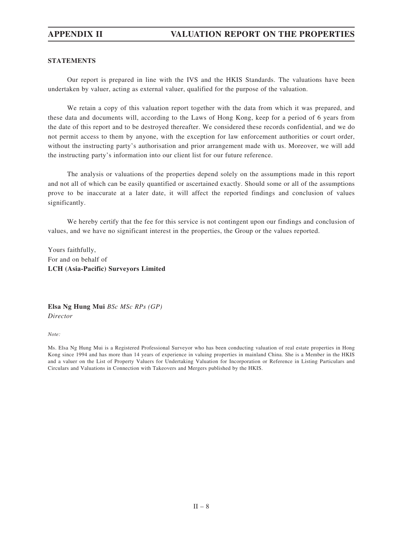## **STATEMENTS**

Our report is prepared in line with the IVS and the HKIS Standards. The valuations have been undertaken by valuer, acting as external valuer, qualified for the purpose of the valuation.

We retain a copy of this valuation report together with the data from which it was prepared, and these data and documents will, according to the Laws of Hong Kong, keep for a period of 6 years from the date of this report and to be destroyed thereafter. We considered these records confidential, and we do not permit access to them by anyone, with the exception for law enforcement authorities or court order, without the instructing party's authorisation and prior arrangement made with us. Moreover, we will add the instructing party's information into our client list for our future reference.

The analysis or valuations of the properties depend solely on the assumptions made in this report and not all of which can be easily quantified or ascertained exactly. Should some or all of the assumptions prove to be inaccurate at a later date, it will affect the reported findings and conclusion of values significantly.

We hereby certify that the fee for this service is not contingent upon our findings and conclusion of values, and we have no significant interest in the properties, the Group or the values reported.

Yours faithfully, For and on behalf of **LCH (Asia-Pacific) Surveyors Limited**

**Elsa Ng Hung Mui** *BSc MSc RPs (GP) Director*

*Note:*

Ms. Elsa Ng Hung Mui is a Registered Professional Surveyor who has been conducting valuation of real estate properties in Hong Kong since 1994 and has more than 14 years of experience in valuing properties in mainland China. She is a Member in the HKIS and a valuer on the List of Property Valuers for Undertaking Valuation for Incorporation or Reference in Listing Particulars and Circulars and Valuations in Connection with Takeovers and Mergers published by the HKIS.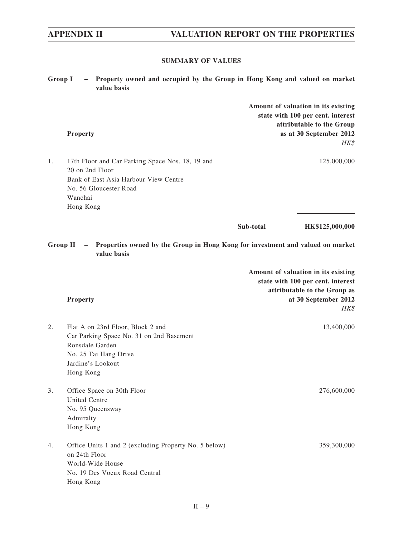# **SUMMARY OF VALUES**

| <b>Group I</b>  | Property owned and occupied by the Group in Hong Kong and valued on market<br>$-$<br>value basis                                                               |           |                                                                                                                                          |
|-----------------|----------------------------------------------------------------------------------------------------------------------------------------------------------------|-----------|------------------------------------------------------------------------------------------------------------------------------------------|
|                 | <b>Property</b>                                                                                                                                                |           | Amount of valuation in its existing<br>state with 100 per cent. interest<br>attributable to the Group<br>as at 30 September 2012<br>HK\$ |
| 1.              | 17th Floor and Car Parking Space Nos. 18, 19 and<br>20 on 2nd Floor<br>Bank of East Asia Harbour View Centre<br>No. 56 Gloucester Road<br>Wanchai<br>Hong Kong |           | 125,000,000                                                                                                                              |
|                 |                                                                                                                                                                | Sub-total | HK\$125,000,000                                                                                                                          |
| <b>Group II</b> | - Properties owned by the Group in Hong Kong for investment and valued on market<br>value basis                                                                |           |                                                                                                                                          |
|                 | <b>Property</b>                                                                                                                                                |           | Amount of valuation in its existing<br>state with 100 per cent. interest<br>attributable to the Group as<br>at 30 September 2012<br>HK\$ |
| 2.              | Flat A on 23rd Floor, Block 2 and<br>Car Parking Space No. 31 on 2nd Basement<br>Ronsdale Garden<br>No. 25 Tai Hang Drive<br>Jardine's Lookout<br>Hong Kong    |           | 13,400,000                                                                                                                               |
| 3.              | Office Space on 30th Floor<br><b>United Centre</b><br>No. 95 Queensway<br>Admiralty<br>Hong Kong                                                               |           | 276,600,000                                                                                                                              |
| 4.              | Office Units 1 and 2 (excluding Property No. 5 below)<br>on 24th Floor<br>World-Wide House<br>No. 19 Des Voeux Road Central<br>Hong Kong                       |           | 359,300,000                                                                                                                              |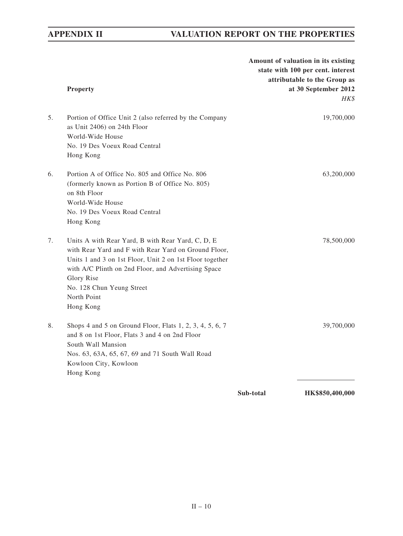|    | <b>Property</b>                                                                                                                                                                                                                                                                                     |           | Amount of valuation in its existing<br>state with 100 per cent. interest<br>attributable to the Group as<br>at 30 September 2012<br>HK\$ |
|----|-----------------------------------------------------------------------------------------------------------------------------------------------------------------------------------------------------------------------------------------------------------------------------------------------------|-----------|------------------------------------------------------------------------------------------------------------------------------------------|
| 5. | Portion of Office Unit 2 (also referred by the Company<br>as Unit 2406) on 24th Floor<br>World-Wide House<br>No. 19 Des Voeux Road Central<br>Hong Kong                                                                                                                                             |           | 19,700,000                                                                                                                               |
| 6. | Portion A of Office No. 805 and Office No. 806<br>(formerly known as Portion B of Office No. 805)<br>on 8th Floor<br>World-Wide House<br>No. 19 Des Voeux Road Central<br>Hong Kong                                                                                                                 |           | 63,200,000                                                                                                                               |
| 7. | Units A with Rear Yard, B with Rear Yard, C, D, E<br>with Rear Yard and F with Rear Yard on Ground Floor,<br>Units 1 and 3 on 1st Floor, Unit 2 on 1st Floor together<br>with A/C Plinth on 2nd Floor, and Advertising Space<br>Glory Rise<br>No. 128 Chun Yeung Street<br>North Point<br>Hong Kong |           | 78,500,000                                                                                                                               |
| 8. | Shops 4 and 5 on Ground Floor, Flats 1, 2, 3, 4, 5, 6, 7<br>and 8 on 1st Floor, Flats 3 and 4 on 2nd Floor<br>South Wall Mansion<br>Nos. 63, 63A, 65, 67, 69 and 71 South Wall Road<br>Kowloon City, Kowloon<br>Hong Kong                                                                           |           | 39,700,000                                                                                                                               |
|    |                                                                                                                                                                                                                                                                                                     | Sub-total | HK\$850,400,000                                                                                                                          |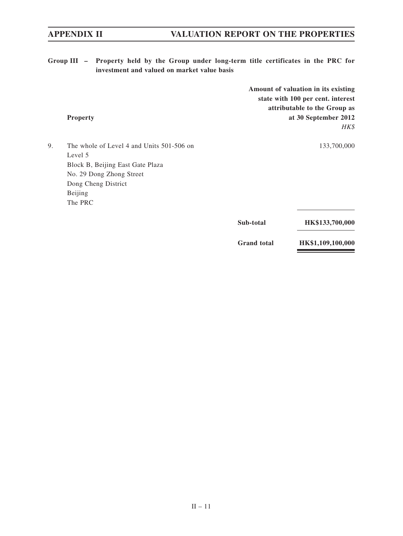**Group III – Property held by the Group under long-term title certificates in the PRC for investment and valued on market value basis**

| 9.<br>The whole of Level 4 and Units 501-506 on<br>Level 5<br>Block B, Beijing East Gate Plaza<br>No. 29 Dong Zhong Street<br>Dong Cheng District<br>Beijing<br>The PRC<br>Sub-total | <b>Property</b> | Amount of valuation in its existing<br>state with 100 per cent. interest<br>attributable to the Group as<br>at 30 September 2012<br>HK\$ |
|--------------------------------------------------------------------------------------------------------------------------------------------------------------------------------------|-----------------|------------------------------------------------------------------------------------------------------------------------------------------|
|                                                                                                                                                                                      |                 | 133,700,000                                                                                                                              |
|                                                                                                                                                                                      |                 |                                                                                                                                          |
|                                                                                                                                                                                      |                 |                                                                                                                                          |
|                                                                                                                                                                                      |                 |                                                                                                                                          |
|                                                                                                                                                                                      |                 |                                                                                                                                          |
|                                                                                                                                                                                      |                 |                                                                                                                                          |
|                                                                                                                                                                                      |                 |                                                                                                                                          |
|                                                                                                                                                                                      |                 | HK\$133,700,000                                                                                                                          |

 **Grand total HK\$1,109,100,000**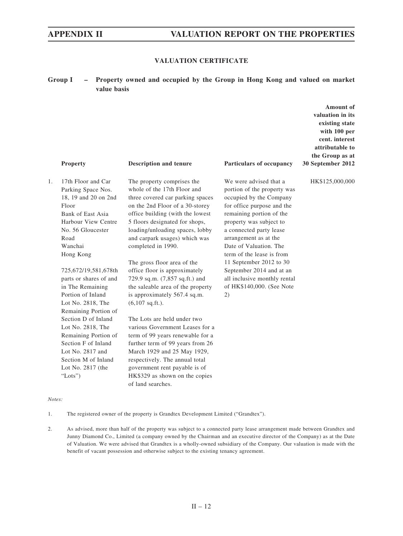**Amount of valuation in its** 

## **VALUATION CERTIFICATE**

## **Group I – Property owned and occupied by the Group in Hong Kong and valued on market value basis**

|    | <b>Property</b>                                                                                                                                                                                                                                                                            | <b>Description and tenure</b>                                                                                                                                                                                                                                                                                                                                                                                                                                                                        | Particulars of occupancy                                                                                                                                                                                                                                                                                                                                                                                    | existing state<br>with 100 per<br>cent. interest<br>attributable to<br>the Group as at<br>30 September 2012 |
|----|--------------------------------------------------------------------------------------------------------------------------------------------------------------------------------------------------------------------------------------------------------------------------------------------|------------------------------------------------------------------------------------------------------------------------------------------------------------------------------------------------------------------------------------------------------------------------------------------------------------------------------------------------------------------------------------------------------------------------------------------------------------------------------------------------------|-------------------------------------------------------------------------------------------------------------------------------------------------------------------------------------------------------------------------------------------------------------------------------------------------------------------------------------------------------------------------------------------------------------|-------------------------------------------------------------------------------------------------------------|
| 1. | 17th Floor and Car<br>Parking Space Nos.<br>18, 19 and 20 on 2nd<br>Floor<br>Bank of East Asia<br>Harbour View Centre<br>No. 56 Gloucester<br>Road<br>Wanchai<br>Hong Kong<br>725,672/19,581,678th<br>parts or shares of and<br>in The Remaining<br>Portion of Inland<br>Lot No. 2818, The | The property comprises the<br>whole of the 17th Floor and<br>three covered car parking spaces<br>on the 2nd Floor of a 30-storey<br>office building (with the lowest<br>5 floors designated for shops,<br>loading/unloading spaces, lobby<br>and carpark usages) which was<br>completed in 1990.<br>The gross floor area of the<br>office floor is approximately<br>729.9 sq.m. (7,857 sq.ft.) and<br>the saleable area of the property<br>is approximately 567.4 sq.m.<br>$(6,107 \text{ sq.ft.}).$ | We were advised that a<br>portion of the property was<br>occupied by the Company<br>for office purpose and the<br>remaining portion of the<br>property was subject to<br>a connected party lease<br>arrangement as at the<br>Date of Valuation. The<br>term of the lease is from<br>11 September 2012 to 30<br>September 2014 and at an<br>all inclusive monthly rental<br>of HK\$140,000. (See Note<br>(2) | HK\$125,000,000                                                                                             |
|    | Remaining Portion of<br>Section D of Inland<br>Lot No. 2818, The<br>Remaining Portion of<br>Section F of Inland<br>Lot No. 2817 and<br>Section M of Inland<br>Lot No. 2817 (the<br>"Lots")                                                                                                 | The Lots are held under two<br>various Government Leases for a<br>term of 99 years renewable for a<br>further term of 99 years from 26<br>March 1929 and 25 May 1929,<br>respectively. The annual total<br>government rent payable is of<br>HK\$329 as shown on the copies<br>of land searches.                                                                                                                                                                                                      |                                                                                                                                                                                                                                                                                                                                                                                                             |                                                                                                             |

### *Notes:*

1. The registered owner of the property is Grandtex Development Limited ("Grandtex").

2. As advised, more than half of the property was subject to a connected party lease arrangement made between Grandtex and Junny Diamond Co., Limited (a company owned by the Chairman and an executive director of the Company) as at the Date of Valuation. We were advised that Grandtex is a wholly-owned subsidiary of the Company. Our valuation is made with the benefit of vacant possession and otherwise subject to the existing tenancy agreement.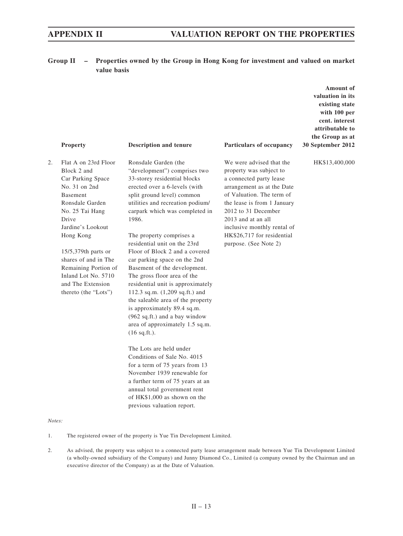**Group II – Properties owned by the Group in Hong Kong for investment and valued on market value basis**

|        | Property                                                                                                                                                                                                                                                                                                                    | <b>Description and tenure</b>                                                                                                                                                                                                                                                                                                                                                                                                                                                                                                                                                                                                                                                                                                                                                                                                                                                                                                 | Particulars of occupancy                                                                                                                                                                                                                                                                                    | Amount of<br>valuation in its<br>existing state<br>with 100 per<br>cent. interest<br>attributable to<br>the Group as at<br>30 September 2012 |
|--------|-----------------------------------------------------------------------------------------------------------------------------------------------------------------------------------------------------------------------------------------------------------------------------------------------------------------------------|-------------------------------------------------------------------------------------------------------------------------------------------------------------------------------------------------------------------------------------------------------------------------------------------------------------------------------------------------------------------------------------------------------------------------------------------------------------------------------------------------------------------------------------------------------------------------------------------------------------------------------------------------------------------------------------------------------------------------------------------------------------------------------------------------------------------------------------------------------------------------------------------------------------------------------|-------------------------------------------------------------------------------------------------------------------------------------------------------------------------------------------------------------------------------------------------------------------------------------------------------------|----------------------------------------------------------------------------------------------------------------------------------------------|
| 2.     | Flat A on 23rd Floor<br>Block 2 and<br>Car Parking Space<br>No. 31 on 2nd<br><b>Basement</b><br>Ronsdale Garden<br>No. 25 Tai Hang<br>Drive<br>Jardine's Lookout<br>Hong Kong<br>$15/5,379$ th parts or<br>shares of and in The<br>Remaining Portion of<br>Inland Lot No. 5710<br>and The Extension<br>thereto (the "Lots") | Ronsdale Garden (the<br>"development") comprises two<br>33-storey residential blocks<br>erected over a 6-levels (with<br>split ground level) common<br>utilities and recreation podium/<br>carpark which was completed in<br>1986.<br>The property comprises a<br>residential unit on the 23rd<br>Floor of Block 2 and a covered<br>car parking space on the 2nd<br>Basement of the development.<br>The gross floor area of the<br>residential unit is approximately<br>112.3 sq.m. (1,209 sq.ft.) and<br>the saleable area of the property<br>is approximately 89.4 sq.m.<br>(962 sq.ft.) and a bay window<br>area of approximately 1.5 sq.m.<br>$(16$ sq.ft.).<br>The Lots are held under<br>Conditions of Sale No. 4015<br>for a term of 75 years from 13<br>November 1939 renewable for<br>a further term of 75 years at an<br>annual total government rent<br>of HK\$1,000 as shown on the<br>previous valuation report. | We were advised that the<br>property was subject to<br>a connected party lease<br>arrangement as at the Date<br>of Valuation. The term of<br>the lease is from 1 January<br>2012 to 31 December<br>2013 and at an all<br>inclusive monthly rental of<br>HK\$26,717 for residential<br>purpose. (See Note 2) | HK\$13,400,000                                                                                                                               |
| Notes: |                                                                                                                                                                                                                                                                                                                             |                                                                                                                                                                                                                                                                                                                                                                                                                                                                                                                                                                                                                                                                                                                                                                                                                                                                                                                               |                                                                                                                                                                                                                                                                                                             |                                                                                                                                              |

1. The registered owner of the property is Yue Tin Development Limited.

2. As advised, the property was subject to a connected party lease arrangement made between Yue Tin Development Limited (a wholly-owned subsidiary of the Company) and Junny Diamond Co., Limited (a company owned by the Chairman and an executive director of the Company) as at the Date of Valuation.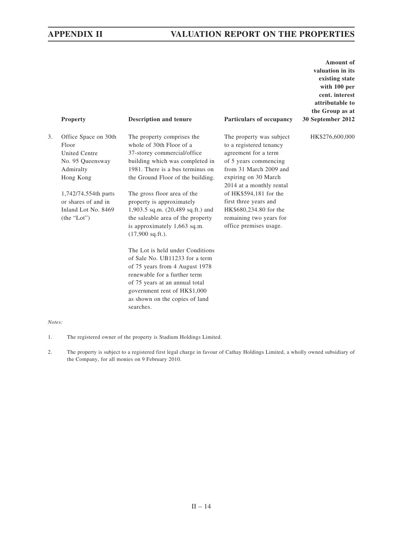|    | Property                                                                                            | <b>Description and tenure</b>                                                                                                                                                                                                                         | Particulars of occupancy                                                                                                                                                           | <b>Amount</b> of<br>valuation in its<br>existing state<br>with 100 per<br>cent. interest<br>attributable to<br>the Group as at<br>30 September 2012 |
|----|-----------------------------------------------------------------------------------------------------|-------------------------------------------------------------------------------------------------------------------------------------------------------------------------------------------------------------------------------------------------------|------------------------------------------------------------------------------------------------------------------------------------------------------------------------------------|-----------------------------------------------------------------------------------------------------------------------------------------------------|
| 3. | Office Space on 30th<br>Floor<br><b>United Centre</b><br>No. 95 Queensway<br>Admiralty<br>Hong Kong | The property comprises the<br>whole of 30th Floor of a<br>37-storey commercial/office<br>building which was completed in<br>1981. There is a bus terminus on<br>the Ground Floor of the building.                                                     | The property was subject<br>to a registered tenancy<br>agreement for a term<br>of 5 years commencing<br>from 31 March 2009 and<br>expiring on 30 March<br>2014 at a monthly rental | HK\$276,600,000                                                                                                                                     |
|    | 1,742/74,554th parts<br>or shares of and in<br>Inland Lot No. 8469<br>(the "Lot")                   | The gross floor area of the<br>property is approximately<br>1,903.5 sq.m. (20,489 sq.ft.) and<br>the saleable area of the property<br>is approximately 1,663 sq.m.<br>$(17,900$ sq.ft.).                                                              | of HK\$594,181 for the<br>first three years and<br>HK\$680,234.80 for the<br>remaining two years for<br>office premises usage.                                                     |                                                                                                                                                     |
|    |                                                                                                     | The Lot is held under Conditions<br>of Sale No. UB11233 for a term<br>of 75 years from 4 August 1978<br>renewable for a further term<br>of 75 years at an annual total<br>government rent of HK\$1,000<br>as shown on the copies of land<br>searches. |                                                                                                                                                                                    |                                                                                                                                                     |

### *Notes:*

- 1. The registered owner of the property is Stadium Holdings Limited.
- 2. The property is subject to a registered first legal charge in favour of Cathay Holdings Limited, a wholly owned subsidiary of the Company, for all monies on 9 February 2010.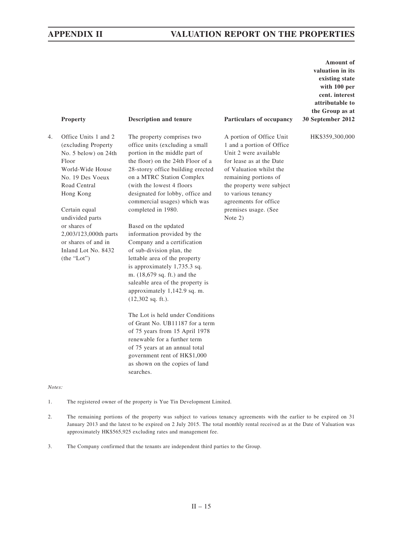A portion of Office Unit 1 and a portion of Office Unit 2 were available for lease as at the Date of Valuation whilst the remaining portions of the property were subject to various tenancy agreements for office premises usage. (See

Note 2)

**Amount of valuation in its existing state with 100 per cent. interest attributable to the Group as at 30 September 2012**

HK\$359,300,000

### **Property Description and tenure Particulars of occupancy**

4. Office Units 1 and 2 (excluding Property No. 5 below) on 24th Floor World-Wide House No. 19 Des Voeux Road Central Hong Kong

> Certain equal undivided parts or shares of 2,003/123,000th parts or shares of and in Inland Lot No. 8432 (the "Lot")

The property comprises two office units (excluding a small portion in the middle part of the floor) on the 24th Floor of a 28-storey office building erected on a MTRC Station Complex (with the lowest 4 floors designated for lobby, office and commercial usages) which was

Based on the updated information provided by the Company and a certification of sub-division plan, the lettable area of the property is approximately 1,735.3 sq. m. (18,679 sq. ft.) and the saleable area of the property is approximately 1,142.9 sq. m. (12,302 sq. ft.).

completed in 1980.

The Lot is held under Conditions of Grant No. UB11187 for a term of 75 years from 15 April 1978 renewable for a further term of 75 years at an annual total government rent of HK\$1,000 as shown on the copies of land searches.

*Notes:*

- 1. The registered owner of the property is Yue Tin Development Limited.
- 2. The remaining portions of the property was subject to various tenancy agreements with the earlier to be expired on 31 January 2013 and the latest to be expired on 2 July 2015. The total monthly rental received as at the Date of Valuation was approximately HK\$565,925 excluding rates and management fee.
- 3. The Company confirmed that the tenants are independent third parties to the Group.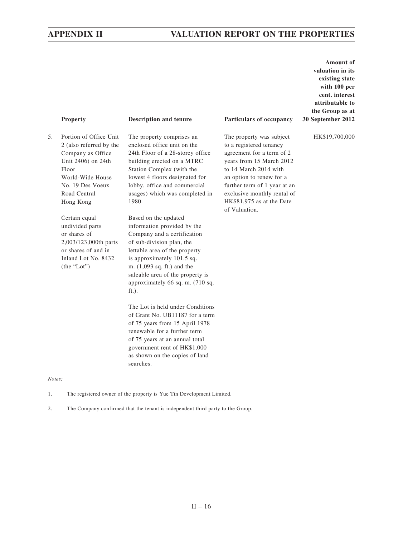**Amount of valuation in its existing state with 100 per cent. interest attributable to the Group as at 30 September 2012**

HK\$19,700,000

| ог<br>æг |  |
|----------|--|
|----------|--|

### **Particulars of occupancy Particulars of occupancy**

5. Portion of Office Unit 2 (also referred by the Company as Office Unit 2406) on 24th Floor World-Wide House No. 19 Des Voeux Road Central Hong Kong

> Certain equal undivided parts or shares of 2,003/123,000th parts or shares of and in Inland Lot No. 8432 (the "Lot")

*Notes:*

The property comprises an enclosed office unit on the 24th Floor of a 28-storey office building erected on a MTRC Station Complex (with the lowest 4 floors designated for lobby, office and commercial usages) which was completed in 1980.

Based on the updated information provided by the Company and a certification of sub-division plan, the lettable area of the property is approximately 101.5 sq. m. (1,093 sq. ft.) and the saleable area of the property is approximately 66 sq. m. (710 sq. ft.).

The Lot is held under Conditions of Grant No. UB11187 for a term of 75 years from 15 April 1978 renewable for a further term of 75 years at an annual total government rent of HK\$1,000 as shown on the copies of land searches.

1. The registered owner of the property is Yue Tin Development Limited.

2. The Company confirmed that the tenant is independent third party to the Group.

The property was subject to a registered tenancy agreement for a term of 2 years from 15 March 2012 to 14 March 2014 with an option to renew for a further term of 1 year at an exclusive monthly rental of HK\$81,975 as at the Date of Valuation.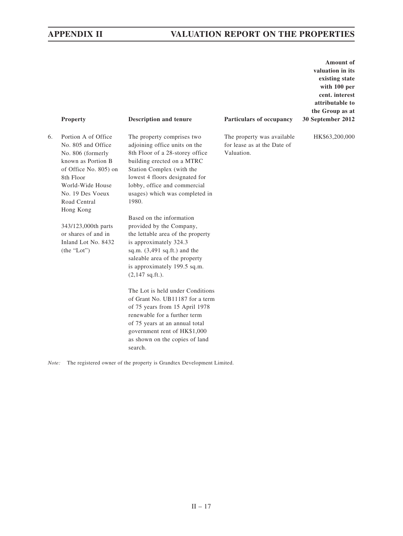**Amount of valuation in its existing state with 100 per cent. interest attributable to the Group as at 30 September 2012**

HK\$63,200,000

|    | <b>Property</b>                                                                                                                                                                                 | <b>Description and tenure</b>                                                                                                                                                                                                                                          | Particulars of occupancy                                                 | 30 |
|----|-------------------------------------------------------------------------------------------------------------------------------------------------------------------------------------------------|------------------------------------------------------------------------------------------------------------------------------------------------------------------------------------------------------------------------------------------------------------------------|--------------------------------------------------------------------------|----|
| 6. | Portion A of Office<br>No. 805 and Office<br>No. 806 (formerly<br>known as Portion B<br>of Office No. 805) on<br>8th Floor<br>World-Wide House<br>No. 19 Des Voeux<br>Road Central<br>Hong Kong | The property comprises two<br>adjoining office units on the<br>8th Floor of a 28-storey office<br>building erected on a MTRC<br>Station Complex (with the<br>lowest 4 floors designated for<br>lobby, office and commercial<br>usages) which was completed in<br>1980. | The property was available.<br>for lease as at the Date of<br>Valuation. |    |
|    | 343/123,000th parts<br>or shares of and in<br>Inland Lot No. 8432<br>(the "Lot")                                                                                                                | Based on the information<br>provided by the Company,<br>the lettable area of the property<br>is approximately 324.3<br>sq.m. $(3,491 \text{ sq.fit.})$ and the<br>saleable area of the property<br>is approximately 199.5 sq.m.<br>$(2,147 \text{ sq.ft.}).$           |                                                                          |    |
|    |                                                                                                                                                                                                 | The Lot is held under Conditions<br>of Grant No. UB11187 for a term<br>of 75 years from 15 April 1978<br>renewable for a further term<br>of 75 years at an annual total                                                                                                |                                                                          |    |

*Note:* The registered owner of the property is Grandtex Development Limited.

search.

government rent of HK\$1,000 as shown on the copies of land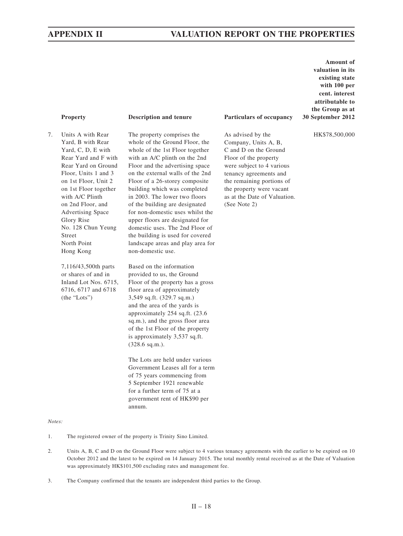7. Units A with Rear Yard, B with Rear Yard, C, D, E with Rear Yard and F with Rear Yard on Ground Floor, Units 1 and 3 on 1st Floor, Unit 2 on 1st Floor together with A/C Plinth on 2nd Floor, and Advertising Space Glory Rise No. 128 Chun Yeung Street North Point Hong Kong

> 7,116/43,500th parts or shares of and in Inland Lot Nos. 6715, 6716, 6717 and 6718 (the "Lots")

The property comprises the whole of the Ground Floor, the whole of the 1st Floor together with an A/C plinth on the 2nd Floor and the advertising space on the external walls of the 2nd Floor of a 26-storey composite building which was completed in 2003. The lower two floors of the building are designated for non-domestic uses whilst the upper floors are designated for domestic uses. The 2nd Floor of the building is used for covered landscape areas and play area for non-domestic use.

Based on the information provided to us, the Ground Floor of the property has a gross floor area of approximately 3,549 sq.ft. (329.7 sq.m.) and the area of the yards is approximately 254 sq.ft. (23.6 sq.m.), and the gross floor area of the 1st Floor of the property is approximately 3,537 sq.ft. (328.6 sq.m.).

The Lots are held under various Government Leases all for a term of 75 years commencing from 5 September 1921 renewable for a further term of 75 at a government rent of HK\$90 per annum.

### **Property Description and tenure Particulars of occupancy**

As advised by the Company, Units A, B, C and D on the Ground Floor of the property were subject to 4 various tenancy agreements and the remaining portions of the property were vacant as at the Date of Valuation. (See Note 2)

**Amount of valuation in its existing state with 100 per cent. interest attributable to the Group as at 30 September 2012**

HK\$78,500,000

*Notes:*

1. The registered owner of the property is Trinity Sino Limited.

- 2. Units A, B, C and D on the Ground Floor were subject to 4 various tenancy agreements with the earlier to be expired on 10 October 2012 and the latest to be expired on 14 January 2015. The total monthly rental received as at the Date of Valuation was approximately HK\$101,500 excluding rates and management fee.
- 3. The Company confirmed that the tenants are independent third parties to the Group.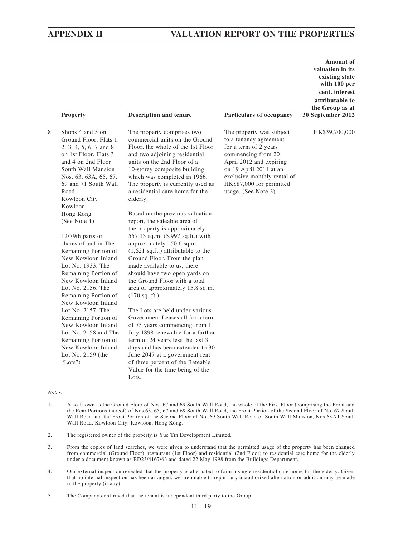# **APPENDIX II VALUATION REPORT ON THE PROPERTIES**

8. Shops 4 and 5 on Ground Floor, Flats 1, 2, 3, 4, 5, 6, 7 and 8 on 1st Floor, Flats 3 and 4 on 2nd Floor South Wall Mansion Nos. 63, 63A, 65, 67, 69 and 71 South Wall Road Kowloon City Kowloon Hong Kong (See Note 1)

> 12/79th parts or shares of and in The Remaining Portion of New Kowloon Inland Lot No. 1933, The Remaining Portion of New Kowloon Inland Lot No. 2156, The Remaining Portion of New Kowloon Inland Lot No. 2157, The Remaining Portion of New Kowloon Inland Lot No. 2158 and The Remaining Portion of New Kowloon Inland Lot No. 2159 (the "Lots")

The property comprises two commercial units on the Ground Floor, the whole of the 1st Floor and two adjoining residential units on the 2nd Floor of a 10-storey composite building which was completed in 1966. The property is currently used as a residential care home for the elderly.

Based on the previous valuation report, the saleable area of the property is approximately 557.13 sq.m. (5,997 sq.ft.) with approximately 150.6 sq.m. (1,621 sq.ft.) attributable to the Ground Floor. From the plan made available to us, there should have two open yards on the Ground Floor with a total area of approximately 15.8 sq.m. (170 sq. ft.).

The Lots are held under various Government Leases all for a term of 75 years commencing from 1 July 1898 renewable for a further term of 24 years less the last 3 days and has been extended to 30 June 2047 at a government rent of three percent of the Rateable Value for the time being of the Lots.

#### **Property Description and tenure Particulars of occupancy**

The property was subject to a tenancy agreement for a term of 2 years commencing from 20 April 2012 and expiring on 19 April 2014 at an exclusive monthly rental of HK\$87,000 for permitted usage. (See Note 3)

**Amount of valuation in its existing state with 100 per cent. interest attributable to the Group as at 30 September 2012**

HK\$39,700,000

#### *Notes:*

- 1. Also known as the Ground Floor of Nos. 67 and 69 South Wall Road, the whole of the First Floor (comprising the Front and the Rear Portions thereof) of Nos.63, 65, 67 and 69 South Wall Road, the Front Portion of the Second Floor of No. 67 South Wall Road and the Front Portion of the Second Floor of No. 69 South Wall Road of South Wall Mansion, Nos.63-71 South Wall Road, Kowloon City, Kowloon, Hong Kong.
- 2. The registered owner of the property is Yue Tin Development Limited.
- 3. From the copies of land searches, we were given to understand that the permitted usage of the property has been changed from commercial (Ground Floor), restaurant (1st Floor) and residential (2nd Floor) to residential care home for the elderly under a document known as BD23/4167/63 and dated 22 May 1998 from the Buildings Department.
- 4. Our external inspection revealed that the property is alternated to form a single residential care home for the elderly. Given that no internal inspection has been arranged, we are unable to report any unauthorized alternation or addition may be made in the property (if any).
- 5. The Company confirmed that the tenant is independent third party to the Group.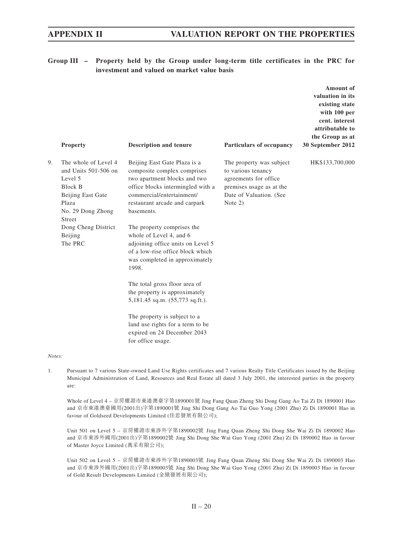# **Group III – Property held by the Group under long-term title certificates in the PRC for investment and valued on market value basis**

|       | <b>Property</b>                                                                                                                        | <b>Description and tenure</b>                                                                                                                                                                                | Particulars of occupancy                                                                                                                  | Amount of<br>valuation in its<br>existing state<br>with 100 per<br>cent. interest<br>attributable to<br>the Group as at<br>30 September 2012 |
|-------|----------------------------------------------------------------------------------------------------------------------------------------|--------------------------------------------------------------------------------------------------------------------------------------------------------------------------------------------------------------|-------------------------------------------------------------------------------------------------------------------------------------------|----------------------------------------------------------------------------------------------------------------------------------------------|
| 9.    | The whole of Level 4<br>and Units 501-506 on<br>Level 5<br><b>Block B</b><br>Beijing East Gate<br>Plaza<br>No. 29 Dong Zhong<br>Street | Beijing East Gate Plaza is a<br>composite complex comprises<br>two apartment blocks and two<br>office blocks intermingled with a<br>commercial/entertainment/<br>restaurant arcade and carpark<br>basements. | The property was subject<br>to various tenancy<br>agreements for office<br>premises usage as at the<br>Date of Valuation. (See<br>Note 2) | HK\$133,700,000                                                                                                                              |
|       | Dong Cheng District<br>Beijing<br>The PRC                                                                                              | The property comprises the<br>whole of Level 4, and 6<br>adjoining office units on Level 5<br>of a low-rise office block which<br>was completed in approximately<br>1998.                                    |                                                                                                                                           |                                                                                                                                              |
|       |                                                                                                                                        | The total gross floor area of<br>the property is approximately<br>5,181.45 sq.m. (55,773 sq.ft.).                                                                                                            |                                                                                                                                           |                                                                                                                                              |
|       |                                                                                                                                        | The property is subject to a<br>land use rights for a term to be<br>expired on 24 December 2043<br>for office usage.                                                                                         |                                                                                                                                           |                                                                                                                                              |
| Note: |                                                                                                                                        |                                                                                                                                                                                                              |                                                                                                                                           |                                                                                                                                              |

1. Pursuant to 7 various State-owned Land Use Rights certificates and 7 various Realty Title Certificates issued by the Beijing Municipal Administration of Land, Resources and Real Estate all dated 3 July 2001, the interested parties in the property are:

Whole of Level 4 – 京房權證市東港澳臺字第1890001號 Jing Fang Quan Zheng Shi Dong Gang Ao Tai Zi Di 1890001 Hao and 京市東港澳臺國用(2001出)字第1890001號 Jing Shi Dong Gang Ao Tai Guo Yong (2001 Zhu) Zi Di 1890001 Hao in favour of Goldseed Developments Limited (佳思發展有限公司);

Unit 501 on Level 5 – 京房權證市東涉外字第1890002號 Jing Fang Quan Zheng Shi Dong She Wai Zi Di 1890002 Hao and 京市東涉外國用(2001出)字第1890002號 Jing Shi Dong She Wai Guo Yong (2001 Zhu) Zi Di 1890002 Hao in favour of Master Joyce Limited (萬采有限公司);

Unit 502 on Level 5 – 京房權證市東涉外字第1890003號 Jing Fang Quan Zheng Shi Dong She Wai Zi Di 1890003 Hao and 京市東涉外國用(2001出)字第1890003號 Jing Shi Dong She Wai Guo Yong (2001 Zhu) Zi Di 1890003 Hao in favour of Gold Result Developments Limited (金績發展有限公司);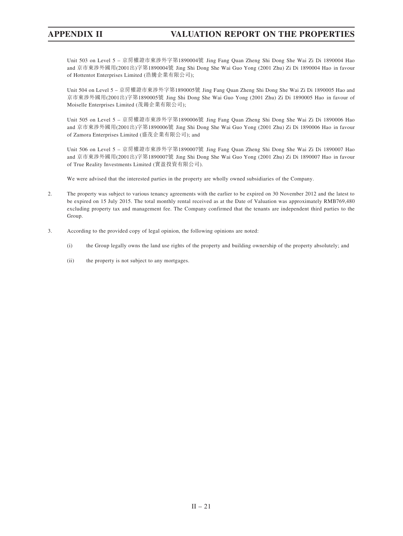# **APPENDIX II VALUATION REPORT ON THE PROPERTIES**

Unit 503 on Level 5 – 京房權證市東涉外字第1890004號 Jing Fang Quan Zheng Shi Dong She Wai Zi Di 1890004 Hao and 京市東涉外國用(2001出)字第1890004號 Jing Shi Dong She Wai Guo Yong (2001 Zhu) Zi Di 1890004 Hao in favour of Hottentot Enterprises Limited (浩騰企業有限公司);

Unit 504 on Level 5 – 京房權證市東涉外字第1890005號 Jing Fang Quan Zheng Shi Dong She Wai Zi Di 1890005 Hao and 京市東涉外國用(2001出)字第1890005號 Jing Shi Dong She Wai Guo Yong (2001 Zhu) Zi Di 1890005 Hao in favour of Moiselle Enterprises Limited (茂鍚企業有限公司);

Unit 505 on Level 5 – 京房權證市東涉外字第1890006號 Jing Fang Quan Zheng Shi Dong She Wai Zi Di 1890006 Hao and 京市東涉外國用(2001出)字第1890006號 Jing Shi Dong She Wai Guo Yong (2001 Zhu) Zi Di 1890006 Hao in favour of Zamora Enterprises Limited (盛茂企業有限公司); and

Unit 506 on Level 5 – 京房權證市東涉外字第1890007號 Jing Fang Quan Zheng Shi Dong She Wai Zi Di 1890007 Hao and 京市東涉外國用(2001出)字第1890007號 Jing Shi Dong She Wai Guo Yong (2001 Zhu) Zi Di 1890007 Hao in favour of True Reality Investments Limited (實盈投資有限公司).

We were advised that the interested parties in the property are wholly owned subsidiaries of the Company.

- 2. The property was subject to various tenancy agreements with the earlier to be expired on 30 November 2012 and the latest to be expired on 15 July 2015. The total monthly rental received as at the Date of Valuation was approximately RMB769,480 excluding property tax and management fee. The Company confirmed that the tenants are independent third parties to the Group.
- 3. According to the provided copy of legal opinion, the following opinions are noted:
	- (i) the Group legally owns the land use rights of the property and building ownership of the property absolutely; and
	- (ii) the property is not subject to any mortgages.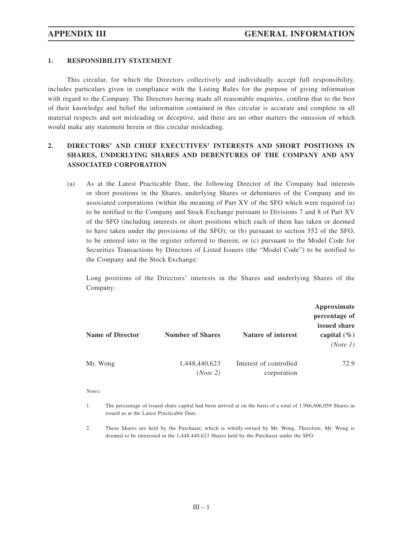## **1. RESPONSIBILITY STATEMENT**

This circular, for which the Directors collectively and individually accept full responsibility, includes particulars given in compliance with the Listing Rules for the purpose of giving information with regard to the Company. The Directors having made all reasonable enquiries, confirm that to the best of their knowledge and belief the information contained in this circular is accurate and complete in all material respects and not misleading or deceptive, and there are no other matters the omission of which would make any statement herein or this circular misleading.

# **2. DIRECTORS' AND CHIEF EXECUTIVES' INTERESTS AND SHORT POSITIONS IN SHARES, UNDERLYING SHARES AND DEBENTURES OF THE COMPANY AND ANY ASSOCIATED CORPORATION**

(a) As at the Latest Practicable Date, the following Director of the Company had interests or short positions in the Shares, underlying Shares or debentures of the Company and its associated corporations (within the meaning of Part XV of the SFO which were required (a) to be notified to the Company and Stock Exchange pursuant to Divisions 7 and 8 of Part XV of the SFO (including interests or short positions which each of them has taken or deemed to have taken under the provisions of the SFO); or (b) pursuant to section 352 of the SFO, to be entered into in the register referred to therein; or (c) pursuant to the Model Code for Securities Transactions by Directors of Listed Issuers (the "Model Code") to be notified to the Company and the Stock Exchange:

Long positions of the Directors' interests in the Shares and underlying Shares of the Company:

| <b>Name of Director</b> | <b>Number of Shares</b>   | <b>Nature of interest</b>             | Approximate<br>percentage of<br>issued share<br>capital $(\% )$<br>(Note 1) |
|-------------------------|---------------------------|---------------------------------------|-----------------------------------------------------------------------------|
| Mr. Wong                | 1,448,440,623<br>(Note 2) | Interest of controlled<br>corporation | 72.9                                                                        |

*Notes:*

<sup>1.</sup> The percentage of issued share capital had been arrived at on the basis of a total of 1,986,606,059 Shares in issued as at the Latest Practicable Date.

<sup>2.</sup> These Shares are held by the Purchaser, which is wholly-owned by Mr. Wong. Therefore, Mr. Wong is deemed to be interested in the 1,448,440,623 Shares held by the Purchaser under the SFO.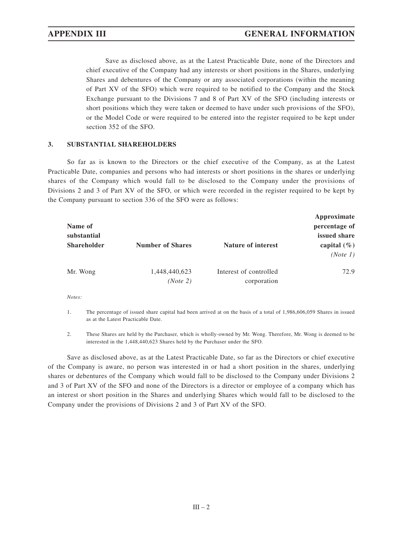Save as disclosed above, as at the Latest Practicable Date, none of the Directors and chief executive of the Company had any interests or short positions in the Shares, underlying Shares and debentures of the Company or any associated corporations (within the meaning of Part XV of the SFO) which were required to be notified to the Company and the Stock Exchange pursuant to the Divisions 7 and 8 of Part XV of the SFO (including interests or short positions which they were taken or deemed to have under such provisions of the SFO), or the Model Code or were required to be entered into the register required to be kept under section 352 of the SFO.

## **3. SUBSTANTIAL SHAREHOLDERS**

So far as is known to the Directors or the chief executive of the Company, as at the Latest Practicable Date, companies and persons who had interests or short positions in the shares or underlying shares of the Company which would fall to be disclosed to the Company under the provisions of Divisions 2 and 3 of Part XV of the SFO, or which were recorded in the register required to be kept by the Company pursuant to section 336 of the SFO were as follows:

| Name of<br>substantial<br><b>Shareholder</b> | <b>Number of Shares</b>   | <b>Nature of interest</b>             | Approximate<br>percentage of<br>issued share<br>capital $(\% )$<br>(Note 1) |
|----------------------------------------------|---------------------------|---------------------------------------|-----------------------------------------------------------------------------|
| Mr. Wong                                     | 1,448,440,623<br>(Note 2) | Interest of controlled<br>corporation | 72.9                                                                        |

*Notes:*

1. The percentage of issued share capital had been arrived at on the basis of a total of 1,986,606,059 Shares in issued as at the Latest Practicable Date.

2. These Shares are held by the Purchaser, which is wholly-owned by Mr. Wong. Therefore, Mr. Wong is deemed to be interested in the 1,448,440,623 Shares held by the Purchaser under the SFO.

Save as disclosed above, as at the Latest Practicable Date, so far as the Directors or chief executive of the Company is aware, no person was interested in or had a short position in the shares, underlying shares or debentures of the Company which would fall to be disclosed to the Company under Divisions 2 and 3 of Part XV of the SFO and none of the Directors is a director or employee of a company which has an interest or short position in the Shares and underlying Shares which would fall to be disclosed to the Company under the provisions of Divisions 2 and 3 of Part XV of the SFO.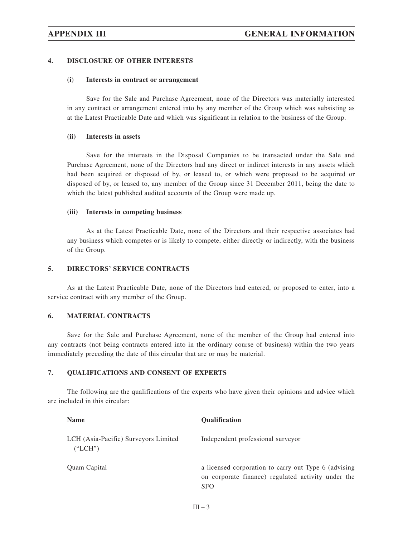### **4. DISCLOSURE OF OTHER INTERESTS**

### **(i) Interests in contract or arrangement**

Save for the Sale and Purchase Agreement, none of the Directors was materially interested in any contract or arrangement entered into by any member of the Group which was subsisting as at the Latest Practicable Date and which was significant in relation to the business of the Group.

## **(ii) Interests in assets**

Save for the interests in the Disposal Companies to be transacted under the Sale and Purchase Agreement, none of the Directors had any direct or indirect interests in any assets which had been acquired or disposed of by, or leased to, or which were proposed to be acquired or disposed of by, or leased to, any member of the Group since 31 December 2011, being the date to which the latest published audited accounts of the Group were made up.

#### **(iii) Interests in competing business**

As at the Latest Practicable Date, none of the Directors and their respective associates had any business which competes or is likely to compete, either directly or indirectly, with the business of the Group.

### **5. DIRECTORS' SERVICE CONTRACTS**

As at the Latest Practicable Date, none of the Directors had entered, or proposed to enter, into a service contract with any member of the Group.

### **6. MATERIAL CONTRACTS**

Save for the Sale and Purchase Agreement, none of the member of the Group had entered into any contracts (not being contracts entered into in the ordinary course of business) within the two years immediately preceding the date of this circular that are or may be material.

# **7. QUALIFICATIONS AND CONSENT OF EXPERTS**

The following are the qualifications of the experts who have given their opinions and advice which are included in this circular:

| <b>Name</b>                                     | <b>Oualification</b>                                                                                                     |
|-------------------------------------------------|--------------------------------------------------------------------------------------------------------------------------|
| LCH (Asia-Pacific) Surveyors Limited<br>("LCH") | Independent professional surveyor                                                                                        |
| Quam Capital                                    | a licensed corporation to carry out Type 6 (advising<br>on corporate finance) regulated activity under the<br><b>SFO</b> |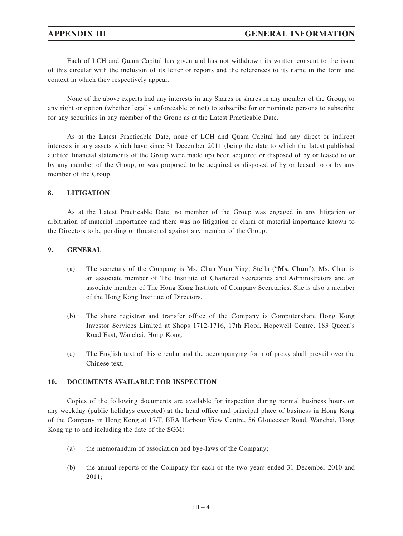Each of LCH and Quam Capital has given and has not withdrawn its written consent to the issue of this circular with the inclusion of its letter or reports and the references to its name in the form and context in which they respectively appear.

None of the above experts had any interests in any Shares or shares in any member of the Group, or any right or option (whether legally enforceable or not) to subscribe for or nominate persons to subscribe for any securities in any member of the Group as at the Latest Practicable Date.

As at the Latest Practicable Date, none of LCH and Quam Capital had any direct or indirect interests in any assets which have since 31 December 2011 (being the date to which the latest published audited financial statements of the Group were made up) been acquired or disposed of by or leased to or by any member of the Group, or was proposed to be acquired or disposed of by or leased to or by any member of the Group.

### **8. LITIGATION**

As at the Latest Practicable Date, no member of the Group was engaged in any litigation or arbitration of material importance and there was no litigation or claim of material importance known to the Directors to be pending or threatened against any member of the Group.

## **9. GENERAL**

- (a) The secretary of the Company is Ms. Chan Yuen Ying, Stella ("**Ms. Chan**"). Ms. Chan is an associate member of The Institute of Chartered Secretaries and Administrators and an associate member of The Hong Kong Institute of Company Secretaries. She is also a member of the Hong Kong Institute of Directors.
- (b) The share registrar and transfer office of the Company is Computershare Hong Kong Investor Services Limited at Shops 1712-1716, 17th Floor, Hopewell Centre, 183 Queen's Road East, Wanchai, Hong Kong.
- (c) The English text of this circular and the accompanying form of proxy shall prevail over the Chinese text.

### **10. DOCUMENTS AVAILABLE FOR INSPECTION**

Copies of the following documents are available for inspection during normal business hours on any weekday (public holidays excepted) at the head office and principal place of business in Hong Kong of the Company in Hong Kong at 17/F, BEA Harbour View Centre, 56 Gloucester Road, Wanchai, Hong Kong up to and including the date of the SGM:

- (a) the memorandum of association and bye-laws of the Company;
- (b) the annual reports of the Company for each of the two years ended 31 December 2010 and 2011;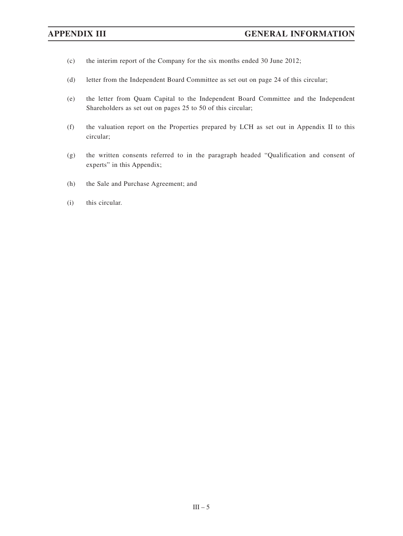- (c) the interim report of the Company for the six months ended 30 June 2012;
- (d) letter from the Independent Board Committee as set out on page 24 of this circular;
- (e) the letter from Quam Capital to the Independent Board Committee and the Independent Shareholders as set out on pages 25 to 50 of this circular;
- (f) the valuation report on the Properties prepared by LCH as set out in Appendix II to this circular;
- (g) the written consents referred to in the paragraph headed "Qualification and consent of experts" in this Appendix;
- (h) the Sale and Purchase Agreement; and
- (i) this circular.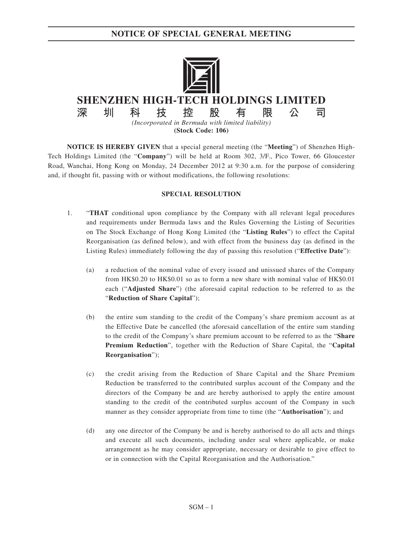**NOTICE OF SPECIAL GENERAL MEETING**



**NOTICE IS HEREBY GIVEN** that a special general meeting (the "**Meeting**") of Shenzhen High-Tech Holdings Limited (the "**Company**") will be held at Room 302, 3/F., Pico Tower, 66 Gloucester Road, Wanchai, Hong Kong on Monday, 24 December 2012 at 9:30 a.m. for the purpose of considering and, if thought fit, passing with or without modifications, the following resolutions:

### **SPECIAL RESOLUTION**

- 1. "**THAT** conditional upon compliance by the Company with all relevant legal procedures and requirements under Bermuda laws and the Rules Governing the Listing of Securities on The Stock Exchange of Hong Kong Limited (the "**Listing Rules**") to effect the Capital Reorganisation (as defined below), and with effect from the business day (as defined in the Listing Rules) immediately following the day of passing this resolution ("**Effective Date**"):
	- (a) a reduction of the nominal value of every issued and unissued shares of the Company from HK\$0.20 to HK\$0.01 so as to form a new share with nominal value of HK\$0.01 each ("**Adjusted Share**") (the aforesaid capital reduction to be referred to as the "**Reduction of Share Capital**");
	- (b) the entire sum standing to the credit of the Company's share premium account as at the Effective Date be cancelled (the aforesaid cancellation of the entire sum standing to the credit of the Company's share premium account to be referred to as the "**Share Premium Reduction**", together with the Reduction of Share Capital, the "**Capital Reorganisation**");
	- (c) the credit arising from the Reduction of Share Capital and the Share Premium Reduction be transferred to the contributed surplus account of the Company and the directors of the Company be and are hereby authorised to apply the entire amount standing to the credit of the contributed surplus account of the Company in such manner as they consider appropriate from time to time (the "**Authorisation**"); and
	- (d) any one director of the Company be and is hereby authorised to do all acts and things and execute all such documents, including under seal where applicable, or make arrangement as he may consider appropriate, necessary or desirable to give effect to or in connection with the Capital Reorganisation and the Authorisation."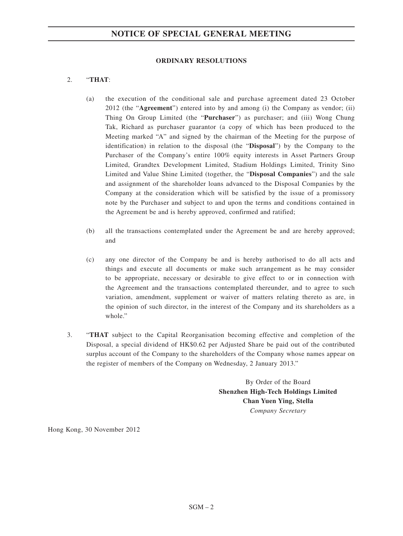# **NOTICE OF SPECIAL GENERAL MEETING**

### **ORDINARY RESOLUTIONS**

# 2. "**THAT**:

- (a) the execution of the conditional sale and purchase agreement dated 23 October 2012 (the "**Agreement**") entered into by and among (i) the Company as vendor; (ii) Thing On Group Limited (the "**Purchaser**") as purchaser; and (iii) Wong Chung Tak, Richard as purchaser guarantor (a copy of which has been produced to the Meeting marked "A" and signed by the chairman of the Meeting for the purpose of identification) in relation to the disposal (the "**Disposal**") by the Company to the Purchaser of the Company's entire 100% equity interests in Asset Partners Group Limited, Grandtex Development Limited, Stadium Holdings Limited, Trinity Sino Limited and Value Shine Limited (together, the "**Disposal Companies**") and the sale and assignment of the shareholder loans advanced to the Disposal Companies by the Company at the consideration which will be satisfied by the issue of a promissory note by the Purchaser and subject to and upon the terms and conditions contained in the Agreement be and is hereby approved, confirmed and ratified;
- (b) all the transactions contemplated under the Agreement be and are hereby approved; and
- (c) any one director of the Company be and is hereby authorised to do all acts and things and execute all documents or make such arrangement as he may consider to be appropriate, necessary or desirable to give effect to or in connection with the Agreement and the transactions contemplated thereunder, and to agree to such variation, amendment, supplement or waiver of matters relating thereto as are, in the opinion of such director, in the interest of the Company and its shareholders as a whole."
- 3. "**THAT** subject to the Capital Reorganisation becoming effective and completion of the Disposal, a special dividend of HK\$0.62 per Adjusted Share be paid out of the contributed surplus account of the Company to the shareholders of the Company whose names appear on the register of members of the Company on Wednesday, 2 January 2013."

By Order of the Board **Shenzhen High-Tech Holdings Limited Chan Yuen Ying, Stella** *Company Secretary*

Hong Kong, 30 November 2012